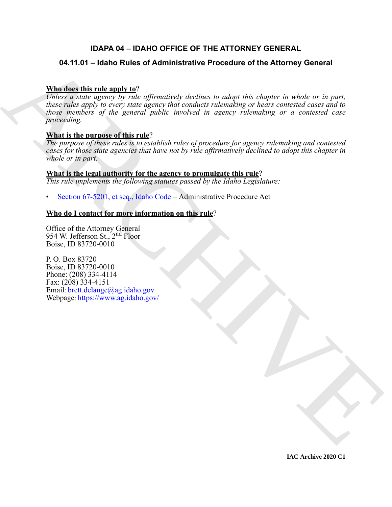# **IDAPA 04 – IDAHO OFFICE OF THE ATTORNEY GENERAL**

# **04.11.01 – Idaho Rules of Administrative Procedure of the Attorney General**

# **Who does this rule apply to**?

0.4.11.01 – Idaho Rules of Administrative Procedure of the Attorney General<br>
Mandato this rate manner by the ofference of device to order this chapter is whole or in port.<br>
Notice rate manner of the expect in different pr *Unless a state agency by rule affirmatively declines to adopt this chapter in whole or in part, these rules apply to every state agency that conducts rulemaking or hears contested cases and to those members of the general public involved in agency rulemaking or a contested case proceeding.*

# **What is the purpose of this rule**?

*The purpose of these rules is to establish rules of procedure for agency rulemaking and contested cases for those state agencies that have not by rule affirmatively declined to adopt this chapter in whole or in part.*

# **What is the legal authority for the agency to promulgate this rule**?

*This rule implements the following statutes passed by the Idaho Legislature:*

• Section 67-5201, et seq., Idaho Code – Administrative Procedure Act

# **Who do I contact for more information on this rule**?

Office of the Attorney General 954 W. Jefferson St., 2nd Floor Boise, ID 83720-0010

P. O. Box 83720 Boise, ID 83720-0010 Phone: (208) 334-4114 Fax: (208) 334-4151 Email: brett.delange@ag.idaho.gov Webpage: https://www.ag.idaho.gov/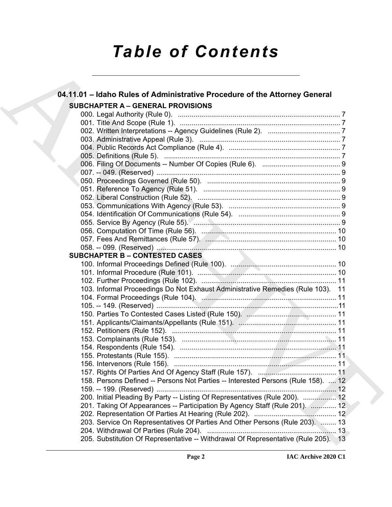# *Table of Contents*

| 04.11.01 - Idaho Rules of Administrative Procedure of the Attorney General         |  |
|------------------------------------------------------------------------------------|--|
| <b>SUBCHAPTER A - GENERAL PROVISIONS</b>                                           |  |
|                                                                                    |  |
|                                                                                    |  |
|                                                                                    |  |
|                                                                                    |  |
|                                                                                    |  |
|                                                                                    |  |
|                                                                                    |  |
|                                                                                    |  |
|                                                                                    |  |
|                                                                                    |  |
|                                                                                    |  |
|                                                                                    |  |
|                                                                                    |  |
|                                                                                    |  |
|                                                                                    |  |
|                                                                                    |  |
|                                                                                    |  |
| <b>SUBCHAPTER B - CONTESTED CASES</b>                                              |  |
|                                                                                    |  |
|                                                                                    |  |
|                                                                                    |  |
| 103. Informal Proceedings Do Not Exhaust Administrative Remedies (Rule 103). 11    |  |
|                                                                                    |  |
|                                                                                    |  |
|                                                                                    |  |
|                                                                                    |  |
|                                                                                    |  |
|                                                                                    |  |
|                                                                                    |  |
|                                                                                    |  |
|                                                                                    |  |
|                                                                                    |  |
| 158. Persons Defined -- Persons Not Parties -- Interested Persons (Rule 158).  12  |  |
|                                                                                    |  |
| 200. Initial Pleading By Party -- Listing Of Representatives (Rule 200).  12       |  |
| 201. Taking Of Appearances -- Participation By Agency Staff (Rule 201).  12        |  |
|                                                                                    |  |
| 203. Service On Representatives Of Parties And Other Persons (Rule 203).  13       |  |
|                                                                                    |  |
| 205. Substitution Of Representative -- Withdrawal Of Representative (Rule 205). 13 |  |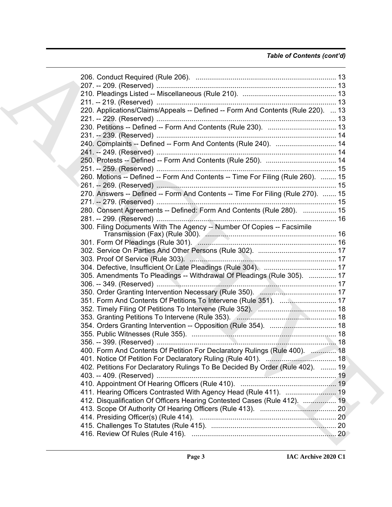# *Table of Contents (cont'd)*

| 220. Applications/Claims/Appeals -- Defined -- Form And Contents (Rule 220).  13 |  |
|----------------------------------------------------------------------------------|--|
|                                                                                  |  |
|                                                                                  |  |
|                                                                                  |  |
| 240. Complaints -- Defined -- Form And Contents (Rule 240).  14                  |  |
|                                                                                  |  |
|                                                                                  |  |
|                                                                                  |  |
| 260. Motions -- Defined -- Form And Contents -- Time For Filing (Rule 260).  15  |  |
|                                                                                  |  |
| 270. Answers -- Defined -- Form And Contents -- Time For Filing (Rule 270).  15  |  |
|                                                                                  |  |
| 280. Consent Agreements -- Defined: Form And Contents (Rule 280).  15            |  |
|                                                                                  |  |
| 300. Filing Documents With The Agency -- Number Of Copies -- Facsimile           |  |
|                                                                                  |  |
|                                                                                  |  |
|                                                                                  |  |
|                                                                                  |  |
| 305. Amendments To Pleadings -- Withdrawal Of Pleadings (Rule 305).  17          |  |
|                                                                                  |  |
|                                                                                  |  |
| 351. Form And Contents Of Petitions To Intervene (Rule 351).  17                 |  |
|                                                                                  |  |
|                                                                                  |  |
|                                                                                  |  |
|                                                                                  |  |
|                                                                                  |  |
| 400. Form And Contents Of Petition For Declaratory Rulings (Rule 400).  18       |  |
|                                                                                  |  |
| 402. Petitions For Declaratory Rulings To Be Decided By Order (Rule 402).  19    |  |
|                                                                                  |  |
|                                                                                  |  |
|                                                                                  |  |
| 412. Disqualification Of Officers Hearing Contested Cases (Rule 412).  19        |  |
|                                                                                  |  |
|                                                                                  |  |
|                                                                                  |  |
|                                                                                  |  |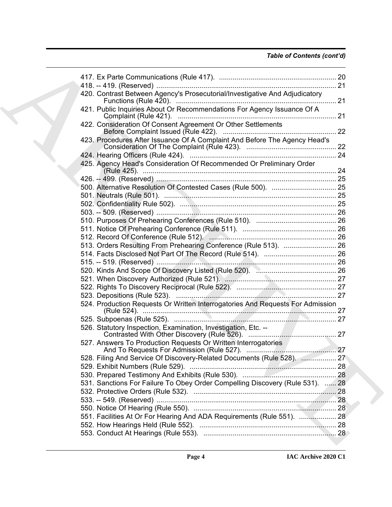# *Table of Contents (cont'd)*

| 420. Contrast Between Agency's Prosecutorial/Investigative And Adjudicatory    |  |
|--------------------------------------------------------------------------------|--|
| 421. Public Inquiries About Or Recommendations For Agency Issuance Of A        |  |
| 422. Consideration Of Consent Agreement Or Other Settlements                   |  |
| 423. Procedures After Issuance Of A Complaint And Before The Agency Head's     |  |
|                                                                                |  |
| 425. Agency Head's Consideration Of Recommended Or Preliminary Order           |  |
|                                                                                |  |
|                                                                                |  |
|                                                                                |  |
|                                                                                |  |
|                                                                                |  |
|                                                                                |  |
|                                                                                |  |
|                                                                                |  |
| 513. Orders Resulting From Prehearing Conference (Rule 513).  26               |  |
|                                                                                |  |
|                                                                                |  |
|                                                                                |  |
|                                                                                |  |
|                                                                                |  |
|                                                                                |  |
| 524. Production Requests Or Written Interrogatories And Requests For Admission |  |
|                                                                                |  |
| 526. Statutory Inspection, Examination, Investigation, Etc. --                 |  |
| 527. Answers To Production Requests Or Written Interrogatories                 |  |
| 528. Filing And Service Of Discovery-Related Documents (Rule 528).  27         |  |
|                                                                                |  |
|                                                                                |  |
| 531. Sanctions For Failure To Obey Order Compelling Discovery (Rule 531).  28  |  |
|                                                                                |  |
|                                                                                |  |
|                                                                                |  |
| 551. Facilities At Or For Hearing And ADA Requirements (Rule 551).  28         |  |
|                                                                                |  |
|                                                                                |  |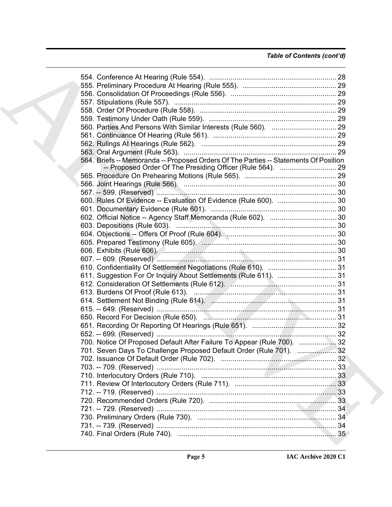| 564. Briefs -- Memoranda -- Proposed Orders Of The Parties -- Statements Of Position |  |
|--------------------------------------------------------------------------------------|--|
|                                                                                      |  |
|                                                                                      |  |
|                                                                                      |  |
|                                                                                      |  |
|                                                                                      |  |
|                                                                                      |  |
|                                                                                      |  |
|                                                                                      |  |
|                                                                                      |  |
|                                                                                      |  |
|                                                                                      |  |
|                                                                                      |  |
|                                                                                      |  |
| 611. Suggestion For Or Inquiry About Settlements (Rule 611).  31                     |  |
|                                                                                      |  |
|                                                                                      |  |
|                                                                                      |  |
|                                                                                      |  |
|                                                                                      |  |
|                                                                                      |  |
|                                                                                      |  |
| 700. Notice Of Proposed Default After Failure To Appear (Rule 700).  32              |  |
| 701. Seven Days To Challenge Proposed Default Order (Rule 701).  32                  |  |
|                                                                                      |  |
|                                                                                      |  |
|                                                                                      |  |
|                                                                                      |  |
|                                                                                      |  |
|                                                                                      |  |
|                                                                                      |  |
|                                                                                      |  |
|                                                                                      |  |
|                                                                                      |  |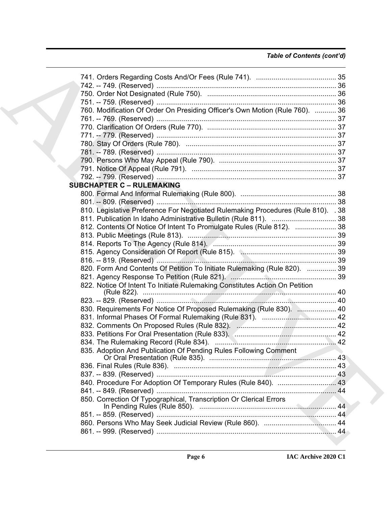# *Table of Contents (cont'd)*

| 760. Modification Of Order On Presiding Officer's Own Motion (Rule 760).  36      |  |
|-----------------------------------------------------------------------------------|--|
|                                                                                   |  |
|                                                                                   |  |
|                                                                                   |  |
|                                                                                   |  |
|                                                                                   |  |
|                                                                                   |  |
|                                                                                   |  |
|                                                                                   |  |
| <b>SUBCHAPTER C - RULEMAKING</b>                                                  |  |
|                                                                                   |  |
|                                                                                   |  |
| 810. Legislative Preference For Negotiated Rulemaking Procedures (Rule 810). . 38 |  |
|                                                                                   |  |
| 812. Contents Of Notice Of Intent To Promulgate Rules (Rule 812).  38             |  |
|                                                                                   |  |
|                                                                                   |  |
|                                                                                   |  |
|                                                                                   |  |
|                                                                                   |  |
| 820. Form And Contents Of Petition To Initiate Rulemaking (Rule 820).  39         |  |
|                                                                                   |  |
| 822. Notice Of Intent To Initiate Rulemaking Constitutes Action On Petition       |  |
|                                                                                   |  |
|                                                                                   |  |
| 830. Requirements For Notice Of Proposed Rulemaking (Rule 830).  40               |  |
|                                                                                   |  |
|                                                                                   |  |
|                                                                                   |  |
|                                                                                   |  |
| 835. Adoption And Publication Of Pending Rules Following Comment                  |  |
|                                                                                   |  |
|                                                                                   |  |
|                                                                                   |  |
|                                                                                   |  |
|                                                                                   |  |
| 850. Correction Of Typographical, Transcription Or Clerical Errors                |  |
|                                                                                   |  |
|                                                                                   |  |
|                                                                                   |  |
|                                                                                   |  |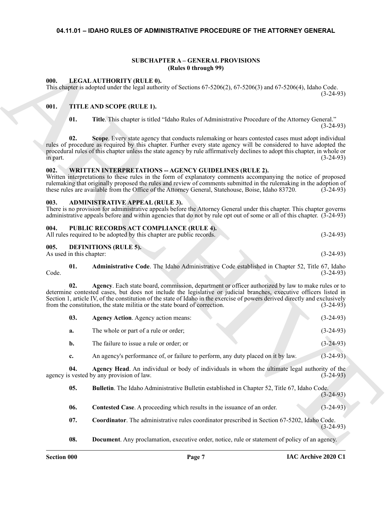# <span id="page-6-0"></span>**04.11.01 – IDAHO RULES OF ADMINISTRATIVE PROCEDURE OF THE ATTORNEY GENERAL**

#### **SUBCHAPTER A – GENERAL PROVISIONS (Rules 0 through 99)**

#### <span id="page-6-18"></span><span id="page-6-2"></span><span id="page-6-1"></span>**000. LEGAL AUTHORITY (RULE 0).**

#### <span id="page-6-20"></span><span id="page-6-3"></span>**001. TITLE AND SCOPE (RULE 1).**

#### <span id="page-6-21"></span><span id="page-6-4"></span>**002. WRITTEN INTERPRETATIONS -- AGENCY GUIDELINES (RULE 2).**

#### <span id="page-6-8"></span><span id="page-6-5"></span>**003. ADMINISTRATIVE APPEAL (RULE 3).**

#### <span id="page-6-19"></span><span id="page-6-6"></span>**004. PUBLIC RECORDS ACT COMPLIANCE (RULE 4).**

| All rules required to be adopted by this chapter are public records.<br>$(3-24-93)$ |  |
|-------------------------------------------------------------------------------------|--|
|-------------------------------------------------------------------------------------|--|

### <span id="page-6-16"></span><span id="page-6-7"></span>**005. DEFINITIONS (RULE 5).**

<span id="page-6-9"></span>

|      | <b>Administrative Code.</b> The Idaho Administrative Code established in Chapter 52, Title 67, Idaho |  |  |  |             |
|------|------------------------------------------------------------------------------------------------------|--|--|--|-------------|
| Code |                                                                                                      |  |  |  | $(3-24-93)$ |

<span id="page-6-17"></span><span id="page-6-15"></span><span id="page-6-14"></span><span id="page-6-13"></span><span id="page-6-12"></span><span id="page-6-11"></span><span id="page-6-10"></span>

| 03. | <b>Agency Action.</b> Agency action means: |  | $(3-24-93)$ |
|-----|--------------------------------------------|--|-------------|
| а.  | The whole or part of a rule or order;      |  | $(3-24-93)$ |
|     | The failure to issue a rule or order; or   |  | $(3-24-93)$ |

|          |                          | <b>SUBCHAPTER A - GENERAL PROVISIONS</b><br>(Rules 0 through 99)                                                                                                                                                                                                                                                                                                                                                                     |             |
|----------|--------------------------|--------------------------------------------------------------------------------------------------------------------------------------------------------------------------------------------------------------------------------------------------------------------------------------------------------------------------------------------------------------------------------------------------------------------------------------|-------------|
| 000.     |                          | LEGAL AUTHORITY (RULE 0).<br>This chapter is adopted under the legal authority of Sections $67-5206(2)$ , $67-5206(3)$ and $67-5206(4)$ , Idaho Code.                                                                                                                                                                                                                                                                                | $(3-24-93)$ |
| 001.     |                          | TITLE AND SCOPE (RULE 1).                                                                                                                                                                                                                                                                                                                                                                                                            |             |
|          | 01.                      | Title. This chapter is titled "Idaho Rules of Administrative Procedure of the Attorney General."                                                                                                                                                                                                                                                                                                                                     | $(3-24-93)$ |
| in part. | 02.                      | Scope. Every state agency that conducts rulemaking or hears contested cases must adopt individual<br>rules of procedure as required by this chapter. Further every state agency will be considered to have adopted the<br>procedural rules of this chapter unless the state agency by rule affirmatively declines to adopt this chapter, in whole or                                                                                 | $(3-24-93)$ |
| 002.     |                          | <b>WRITTEN INTERPRETATIONS -- AGENCY GUIDELINES (RULE 2).</b><br>Written interpretations to these rules in the form of explanatory comments accompanying the notice of proposed<br>rulemaking that originally proposed the rules and review of comments submitted in the rulemaking in the adoption of<br>these rules are available from the Office of the Attorney General, Statehouse, Boise, Idaho 83720.                         | $(3-24-93)$ |
| 003.     |                          | <b>ADMINISTRATIVE APPEAL (RULE 3).</b><br>There is no provision for administrative appeals before the Attorney General under this chapter. This chapter governs<br>administrative appeals before and within agencies that do not by rule opt out of some or all of this chapter. (3-24-93)                                                                                                                                           |             |
| 004.     |                          | PUBLIC RECORDS ACT COMPLIANCE (RULE 4).<br>All rules required to be adopted by this chapter are public records.                                                                                                                                                                                                                                                                                                                      | $(3-24-93)$ |
| 005.     | As used in this chapter: | <b>DEFINITIONS (RULE 5).</b>                                                                                                                                                                                                                                                                                                                                                                                                         | $(3-24-93)$ |
| Code.    | 01.                      | Administrative Code. The Idaho Administrative Code established in Chapter 52, Title 67, Idaho                                                                                                                                                                                                                                                                                                                                        | $(3-24-93)$ |
|          | 02.                      | Agency. Each state board, commission, department or officer authorized by law to make rules or to<br>determine contested cases, but does not include the legislative or judicial branches, executive officers listed in<br>Section 1, article IV, of the constitution of the state of Idaho in the exercise of powers derived directly and exclusively<br>from the constitution, the state militia or the state board of correction. | $(3-24-93)$ |
|          | 03.                      | <b>Agency Action.</b> Agency action means:                                                                                                                                                                                                                                                                                                                                                                                           | $(3-24-93)$ |
|          | a.                       | The whole or part of a rule or order;                                                                                                                                                                                                                                                                                                                                                                                                | $(3-24-93)$ |
|          | b.                       | The failure to issue a rule or order; or                                                                                                                                                                                                                                                                                                                                                                                             | $(3-24-93)$ |
|          | c.                       | An agency's performance of, or failure to perform, any duty placed on it by law.                                                                                                                                                                                                                                                                                                                                                     | $(3-24-93)$ |
|          | 04.                      | Agency Head. An individual or body of individuals in whom the ultimate legal authority of the<br>agency is vested by any provision of law.                                                                                                                                                                                                                                                                                           | $(3-24-93)$ |
|          | 05.                      | Bulletin. The Idaho Administrative Bulletin established in Chapter 52, Title 67, Idaho Code.                                                                                                                                                                                                                                                                                                                                         | $(3-24-93)$ |
|          | 06.                      | Contested Case. A proceeding which results in the issuance of an order.                                                                                                                                                                                                                                                                                                                                                              | $(3-24-93)$ |
|          | 07.                      | Coordinator. The administrative rules coordinator prescribed in Section 67-5202, Idaho Code.                                                                                                                                                                                                                                                                                                                                         | $(3-24-93)$ |
|          | 08.                      | <b>Document</b> . Any proclamation, executive order, notice, rule or statement of policy of an agency.                                                                                                                                                                                                                                                                                                                               |             |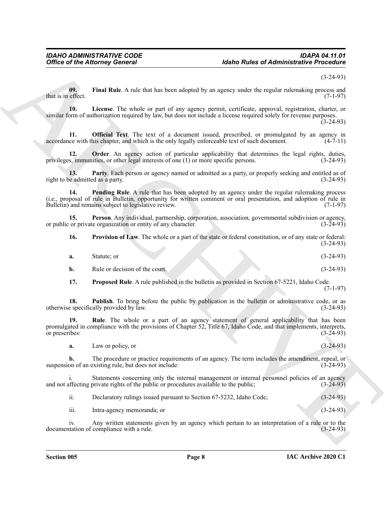(3-24-93)

<span id="page-7-0"></span>**09.** Final Rule. A rule that has been adopted by an agency under the regular rulemaking process and effect. (7-1-97) that is in effect.

<span id="page-7-1"></span>**10. License**. The whole or part of any agency permit, certificate, approval, registration, charter, or similar form of authorization required by law, but does not include a license required solely for revenue purposes.  $(3-24-93)$ 

<span id="page-7-2"></span>**11. Official Text**. The text of a document issued, prescribed, or promulgated by an agency in ce with this chapter, and which is the only legally enforceable text of such document. (4-7-11) accordance with this chapter, and which is the only legally enforceable text of such document.

<span id="page-7-3"></span>**12. Order**. An agency action of particular applicability that determines the legal rights, duties, privileges, immunities, or other legal interests of one (1) or more specific persons. (3-24-93)

<span id="page-7-5"></span><span id="page-7-4"></span>**13. Party**. Each person or agency named or admitted as a party, or properly seeking and entitled as of e admitted as a party. right to be admitted as a party.

Office of the Altomey General<br>
Mata a collision of the fluid whose depends on a gas expansion of the interaction of the state of the state of the state of the state of the state of the state of the state of the state of t **14. Pending Rule**. A rule that has been adopted by an agency under the regular rulemaking process (i.e., proposal of rule in Bulletin, opportunity for written comment or oral presentation, and adoption of rule in Bulletin) and remains subject to legislative review. (7-1-97)

**15. Person**. Any individual, partnership, corporation, association, governmental subdivision or agency, or public or private organization or entity of any character. (3-24-93)

<span id="page-7-8"></span><span id="page-7-6"></span>**16. Provision of Law**. The whole or a part of the state or federal constitution, or of any state or federal: (3-24-93)

| a. | Statute: or |  |  |  | $(3-24-93)$ |
|----|-------------|--|--|--|-------------|
|----|-------------|--|--|--|-------------|

**b.** Rule or decision of the court. (3-24-93)

<span id="page-7-10"></span><span id="page-7-9"></span><span id="page-7-7"></span>**17. Proposed Rule**. A rule published in the bulletin as provided in Section 67-5221, Idaho Code. (7-1-97)

**18. Publish**. To bring before the public by publication in the bulletin or administrative code, or as e specifically provided by law. (3-24-93) otherwise specifically provided by law.

19. Rule. The whole or a part of an agency statement of general applicability that has been promulgated in compliance with the provisions of Chapter 52, Title 67, Idaho Code, and that implements, interprets, or prescribes: (3-24-93)

**a.** Law or policy, or (3-24-93)

**b.** The procedure or practice requirements of an agency. The term includes the amendment, repeal, or on of an existing rule, but does not include: suspension of an existing rule, but does not include:

Statements concerning only the internal management or internal personnel policies of an agency and not affecting private rights of the public or procedures available to the public;  $(3-24-93)$ 

|  | Declaratory rulings issued pursuant to Section 67-5232, Idaho Code; | $(3-24-93)$ |
|--|---------------------------------------------------------------------|-------------|
|--|---------------------------------------------------------------------|-------------|

iii. Intra-agency memoranda; or (3-24-93)

iv. Any written statements given by an agency which pertain to an interpretation of a rule or to the tation of compliance with a rule. (3-24-93) documentation of compliance with a rule.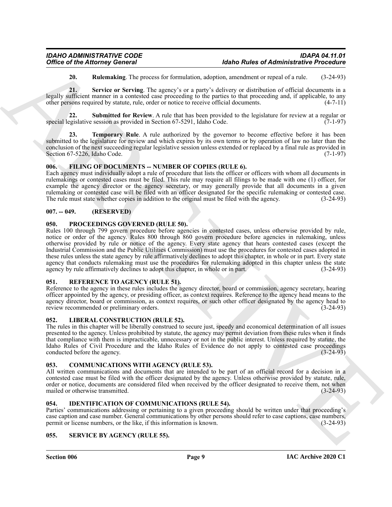<span id="page-8-11"></span><span id="page-8-10"></span><span id="page-8-9"></span>**20. Rulemaking**. The process for formulation, adoption, amendment or repeal of a rule. (3-24-93)

**21. Service or Serving**. The agency's or a party's delivery or distribution of official documents in a legally sufficient manner in a contested case proceeding to the parties to that proceeding and, if applicable, to any other persons required by statute, rule, order or notice to receive official documents. (4-7-11)

**22.** Submitted for Review. A rule that has been provided to the legislature for review at a regular or special legislative session as provided in Section  $67-5291$ , Idaho Code.  $(7-1-97)$ 

<span id="page-8-12"></span>**Temporary Rule**. A rule authorized by the governor to become effective before it has been submitted to the legislature for review and which expires by its own terms or by operation of law no later than the conclusion of the next succeeding regular legislative session unless extended or replaced by a final rule as provided in Section 67-5226, Idaho Code.

### <span id="page-8-13"></span><span id="page-8-0"></span>**006. FILING OF DOCUMENTS -- NUMBER OF COPIES (RULE 6).**

Each agency must individually adopt a rule of procedure that lists the officer or officers with whom all documents in rulemakings or contested cases must be filed. This rule may require all filings to be made with one (1) officer, for example the agency director or the agency secretary, or may generally provide that all documents in a given rulemaking or contested case will be filed with an officer designated for the specific rulemaking or contested case. The rule must state whether copies in addition to the original must be filed with the agency. (3-24-93)

# <span id="page-8-1"></span>**007. -- 049. (RESERVED)**

#### <span id="page-8-16"></span><span id="page-8-2"></span>**050. PROCEEDINGS GOVERNED (RULE 50).**

Office of the Attorney General<br>
28. **Entrantion The space of Attachment Control in the United State can be a space of Attachment Control in the State of Attachment Control in the State of Attachment Control in the State o** Rules 100 through 799 govern procedure before agencies in contested cases, unless otherwise provided by rule, notice or order of the agency. Rules 800 through 860 govern procedure before agencies in rulemaking, unless otherwise provided by rule or notice of the agency. Every state agency that hears contested cases (except the Industrial Commission and the Public Utilities Commission) must use the procedures for contested cases adopted in these rules unless the state agency by rule affirmatively declines to adopt this chapter, in whole or in part. Every state agency that conducts rulemaking must use the procedures for rulemaking adopted in this chapter unless the state agency by rule affirmatively declines to adopt this chapter, in whole or in part. (3-24-93) agency by rule affirmatively declines to adopt this chapter, in whole or in part.

#### <span id="page-8-17"></span><span id="page-8-3"></span>**051. REFERENCE TO AGENCY (RULE 51).**

Reference to the agency in these rules includes the agency director, board or commission, agency secretary, hearing officer appointed by the agency, or presiding officer, as context requires. Reference to the agency head means to the agency director, board or commission, as context requires, or such other officer designated by the agency head to review recommended or preliminary orders. (3-24-93)

# <span id="page-8-15"></span><span id="page-8-4"></span>**052. LIBERAL CONSTRUCTION (RULE 52).**

The rules in this chapter will be liberally construed to secure just, speedy and economical determination of all issues presented to the agency. Unless prohibited by statute, the agency may permit deviation from these rules when it finds that compliance with them is impracticable, unnecessary or not in the public interest. Unless required by statute, the Idaho Rules of Civil Procedure and the Idaho Rules of Evidence do not apply to contested case proceedings conducted before the agency. (3-24-93) conducted before the agency.

#### <span id="page-8-8"></span><span id="page-8-5"></span>**053. COMMUNICATIONS WITH AGENCY (RULE 53).**

All written communications and documents that are intended to be part of an official record for a decision in a contested case must be filed with the officer designated by the agency. Unless otherwise provided by statute, rule, order or notice, documents are considered filed when received by the officer designated to receive them, not when mailed or otherwise transmitted. (3-24-93) mailed or otherwise transmitted.

#### <span id="page-8-14"></span><span id="page-8-6"></span>**054. IDENTIFICATION OF COMMUNICATIONS (RULE 54).**

Parties' communications addressing or pertaining to a given proceeding should be written under that proceeding's case caption and case number. General communications by other persons should refer to case captions, case numbers, permit or license numbers, or the like, if this information is known. (3-24-93) permit or license numbers, or the like, if this information is known.

# <span id="page-8-18"></span><span id="page-8-7"></span>**055. SERVICE BY AGENCY (RULE 55).**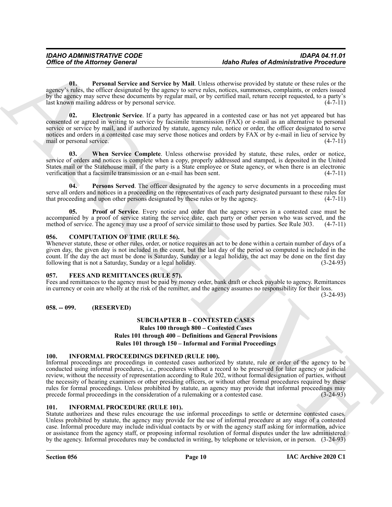<span id="page-9-11"></span>**01. Personal Service and Service by Mail**. Unless otherwise provided by statute or these rules or the agency's rules, the officer designated by the agency to serve rules, notices, summonses, complaints, or orders issued by the agency may serve these documents by regular mail, or by certified mail, return receipt requested, to a party's last known mailing address or by personal service. (4-7-11)

<span id="page-9-10"></span>**02. Electronic Service**. If a party has appeared in a contested case or has not yet appeared but has consented or agreed in writing to service by facsimile transmission (FAX) or e-mail as an alternative to personal service or service by mail, and if authorized by statute, agency rule, notice or order, the officer designated to serve notices and orders in a contested case may serve those notices and orders by FAX or by e-mail in lieu of service by mail or personal service. (4-7-11)

<span id="page-9-14"></span>**03. When Service Complete**. Unless otherwise provided by statute, these rules, order or notice, service of orders and notices is complete when a copy, properly addressed and stamped, is deposited in the United States mail or the Statehouse mail, if the party is a State employee or State agency, or when there is an electronic verification that a facsimile transmission or an e-mail has been sent. (4-7-11)

<span id="page-9-12"></span>**04. Persons Served**. The officer designated by the agency to serve documents in a proceeding must serve all orders and notices in a proceeding on the representatives of each party designated pursuant to these rules for that proceeding and upon other persons designated by these rules or by the agency.  $(4-7-11)$ 

<span id="page-9-13"></span>**05.** Proof of Service. Every notice and order that the agency serves in a contested case must be accompanied by a proof of service stating the service date, each party or other person who was served, and the method of service. The agency may use a proof of service similar to those used by parties. See Rule 303. (4-7-11)

### <span id="page-9-6"></span><span id="page-9-0"></span>**056. COMPUTATION OF TIME (RULE 56).**

Whenever statute, these or other rules, order, or notice requires an act to be done within a certain number of days of a given day, the given day is not included in the count, but the last day of the period so computed is included in the count. If the day the act must be done is Saturday, Sunday or a legal holiday, the act may be done on the first day following that is not a Saturday, Sunday or a legal holiday. (3-24-93)

#### <span id="page-9-7"></span><span id="page-9-1"></span>**057. FEES AND REMITTANCES (RULE 57).**

Fees and remittances to the agency must be paid by money order, bank draft or check payable to agency. Remittances in currency or coin are wholly at the risk of the remitter, and the agency assumes no responsibility for their loss.

(3-24-93)

#### <span id="page-9-3"></span><span id="page-9-2"></span>**058. -- 099. (RESERVED)**

# **SUBCHAPTER B – CONTESTED CASES Rules 100 through 800 – Contested Cases Rules 101 through 400 – Definitions and General Provisions Rules 101 through 150 – Informal and Formal Proceedings**

#### <span id="page-9-9"></span><span id="page-9-4"></span>**100. INFORMAL PROCEEDINGS DEFINED (RULE 100).**

Office of the Altomasy General (about 2008) (about 2008) (about 2008) (about 2008) (about 2008) (about 2008) (about 2008) (about 2008) (about 2008) (about 2008) (about 2008) (about 2008) (about 2008) (about 2008) (about 2 Informal proceedings are proceedings in contested cases authorized by statute, rule or order of the agency to be conducted using informal procedures, i.e., procedures without a record to be preserved for later agency or judicial review, without the necessity of representation according to Rule 202, without formal designation of parties, without the necessity of hearing examiners or other presiding officers, or without other formal procedures required by these rules for formal proceedings. Unless prohibited by statute, an agency may provide that informal proceedings may precede formal proceedings in the consideration of a rule making or a contested case. (3-24-93) precede formal proceedings in the consideration of a rulemaking or a contested case.

#### <span id="page-9-8"></span><span id="page-9-5"></span>**101. INFORMAL PROCEDURE (RULE 101).**

Statute authorizes and these rules encourage the use informal proceedings to settle or determine contested cases. Unless prohibited by statute, the agency may provide for the use of informal procedure at any stage of a contested case. Informal procedure may include individual contacts by or with the agency staff asking for information, advice or assistance from the agency staff, or proposing informal resolution of formal disputes under the law administered by the agency. Informal procedures may be conducted in writing, by telephone or television, or in person. (3-24-93)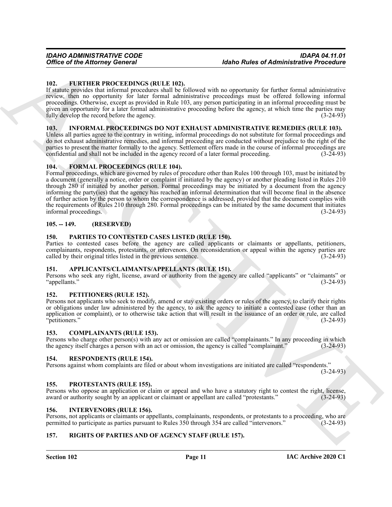#### <span id="page-10-15"></span><span id="page-10-0"></span>**102. FURTHER PROCEEDINGS (RULE 102).**

If statute provides that informal procedures shall be followed with no opportunity for further formal administrative review, then no opportunity for later formal administrative proceedings must be offered following informal proceedings. Otherwise, except as provided in Rule 103, any person participating in an informal proceeding must be given an opportunity for a later formal administrative proceeding before the agency, at which time the parties may fully develop the record before the agency. (3-24-93)

#### <span id="page-10-16"></span><span id="page-10-1"></span>**103. INFORMAL PROCEEDINGS DO NOT EXHAUST ADMINISTRATIVE REMEDIES (RULE 103).**

Unless all parties agree to the contrary in writing, informal proceedings do not substitute for formal proceedings and do not exhaust administrative remedies, and informal proceeding are conducted without prejudice to the right of the parties to present the matter formally to the agency. Settlement offers made in the course of informal proceedings are confidential and shall not be included in the agency record of a later formal proceeding. (3-24-93) confidential and shall not be included in the agency record of a later formal proceeding.

### <span id="page-10-14"></span><span id="page-10-2"></span>**104. FORMAL PROCEEDINGS (RULE 104).**

Office of the Altomay General<br>
162. **CONTRIVATION CONTRIVATION** (Research and the distribution of the state of the state of Altomatic President<br>
183. **CONTRIVATION CONTRIVATION** (RESEAU ARCHIVATION CONTRIBUTION of the sta Formal proceedings, which are governed by rules of procedure other than Rules 100 through 103, must be initiated by a document (generally a notice, order or complaint if initiated by the agency) or another pleading listed in Rules 210 through 280 if initiated by another person. Formal proceedings may be initiated by a document from the agency informing the party(ies) that the agency has reached an informal determination that will become final in the absence of further action by the person to whom the correspondence is addressed, provided that the document complies with the requirements of Rules 210 through 280. Formal proceedings can be initiated by the same document that initiates informal proceedings. (3-24-93) informal proceedings.

### <span id="page-10-3"></span>**105. -- 149. (RESERVED)**

### <span id="page-10-18"></span><span id="page-10-4"></span>**150. PARTIES TO CONTESTED CASES LISTED (RULE 150).**

Parties to contested cases before the agency are called applicants or claimants or appellants, petitioners, complainants, respondents, protestants, or intervenors. On reconsideration or appeal within the agency parties are called by their original titles listed in the previous sentence. (3-24-93)

#### <span id="page-10-12"></span><span id="page-10-5"></span>**151. APPLICANTS/CLAIMANTS/APPELLANTS (RULE 151).**

Persons who seek any right, license, award or authority from the agency are called "applicants" or "claimants" or "appellants." (3-24-93)

#### <span id="page-10-19"></span><span id="page-10-6"></span>**152. PETITIONERS (RULE 152).**

Persons not applicants who seek to modify, amend or stay existing orders or rules of the agency, to clarify their rights or obligations under law administered by the agency, to ask the agency to initiate a contested case (other than an application or complaint), or to otherwise take action that will result in the issuance of an order or rule, are called "petitioners." (3-24-93)

#### <span id="page-10-13"></span><span id="page-10-7"></span>**153. COMPLAINANTS (RULE 153).**

Persons who charge other person(s) with any act or omission are called "complainants." In any proceeding in which the agency itself charges a person with an act or omission, the agency is called "complainant." (3-24-93)

#### <span id="page-10-21"></span><span id="page-10-8"></span>**154. RESPONDENTS (RULE 154).**

Persons against whom complaints are filed or about whom investigations are initiated are called "respondents."

(3-24-93)

#### <span id="page-10-20"></span><span id="page-10-9"></span>**155. PROTESTANTS (RULE 155).**

Persons who oppose an application or claim or appeal and who have a statutory right to contest the right, license, award or authority sought by an applicant or claimant or appellant are called "protestants." (3-24-93)

#### <span id="page-10-17"></span><span id="page-10-10"></span>**156. INTERVENORS (RULE 156).**

Persons, not applicants or claimants or appellants, complainants, respondents, or protestants to a proceeding, who are permitted to participate as parties pursuant to Rules 350 through 354 are called "intervenors." (3-24-9 permitted to participate as parties pursuant to Rules 350 through 354 are called "intervenors."

# <span id="page-10-22"></span><span id="page-10-11"></span>**157. RIGHTS OF PARTIES AND OF AGENCY STAFF (RULE 157).**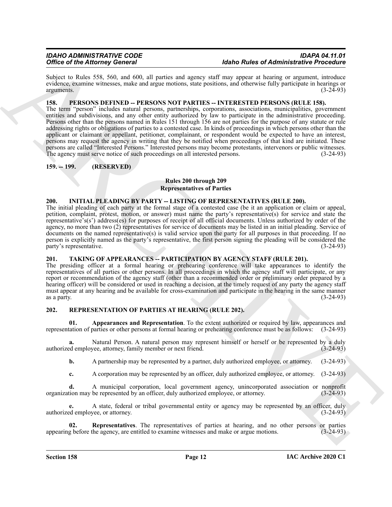Subject to Rules 558, 560, and 600, all parties and agency staff may appear at hearing or argument, introduce evidence, examine witnesses, make and argue motions, state positions, and otherwise fully participate in hearings or arguments.  $(3-2\overline{4}-93)$ 

# <span id="page-11-6"></span><span id="page-11-0"></span>**158. PERSONS DEFINED -- PERSONS NOT PARTIES -- INTERESTED PERSONS (RULE 158).**

Office of the Alternaty Concert is a state of the Alternative Press Column test and the state of the Alternative Press Column test and the state of the state of the state of the state of the state of the state of the stat The term "person" includes natural persons, partnerships, corporations, associations, municipalities, government entities and subdivisions, and any other entity authorized by law to participate in the administrative proceeding. Persons other than the persons named in Rules 151 through 156 are not parties for the purpose of any statute or rule addressing rights or obligations of parties to a contested case. In kinds of proceedings in which persons other than the applicant or claimant or appellant, petitioner, complainant, or respondent would be expected to have an interest, persons may request the agency in writing that they be notified when proceedings of that kind are initiated. These persons are called "Interested Persons." Interested persons may become protestants, intervenors or public witnesses. The agency must serve notice of such proceedings on all interested persons. (3-24-93)

# <span id="page-11-1"></span>**159. -- 199. (RESERVED)**

# **Rules 200 through 209 Representatives of Parties**

### <span id="page-11-5"></span><span id="page-11-2"></span>**200. INITIAL PLEADING BY PARTY -- LISTING OF REPRESENTATIVES (RULE 200).**

The initial pleading of each party at the formal stage of a contested case (be it an application or claim or appeal, petition, complaint, protest, motion, or answer) must name the party's representative(s) for service and state the representative's(s') address(es) for purposes of receipt of all official documents. Unless authorized by order of the agency, no more than two (2) representatives for service of documents may be listed in an initial pleading. Service of documents on the named representative(s) is valid service upon the party for all purposes in that proceeding. If no person is explicitly named as the party's representative, the first person signing the pleading will be considered the party's representative.

# <span id="page-11-10"></span><span id="page-11-3"></span>**201. TAKING OF APPEARANCES -- PARTICIPATION BY AGENCY STAFF (RULE 201).**

The presiding officer at a formal hearing or prehearing conference will take appearances to identify the representatives of all parties or other persons. In all proceedings in which the agency staff will participate, or any report or recommendation of the agency staff (other than a recommended order or preliminary order prepared by a hearing officer) will be considered or used in reaching a decision, at the timely request of any party the agency staff must appear at any hearing and be available for cross-examination and participate in the hearing in the same manner as a party.  $(3-24-93)$ 

# <span id="page-11-7"></span><span id="page-11-4"></span>**202. REPRESENTATION OF PARTIES AT HEARING (RULE 202).**

<span id="page-11-8"></span>**Appearances and Representation**. To the extent authorized or required by law, appearances and parties or other persons at formal hearing or prehearing conference must be as follows: (3-24-93) representation of parties or other persons at formal hearing or prehearing conference must be as follows:

**a.** Natural Person. A natural person may represent himself or herself or be represented by a duly demployee, attorney, family member or next friend. (3-24-93) authorized employee, attorney, family member or next friend.

**b.** A partnership may be represented by a partner, duly authorized employee, or attorney. (3-24-93)

**c.** A corporation may be represented by an officer, duly authorized employee, or attorney. (3-24-93)

**d.** A municipal corporation, local government agency, unincorporated association or nonprofit organization may be represented by an officer, duly authorized employee, or attorney. (3-24-93)

**e.** A state, federal or tribal governmental entity or agency may be represented by an officer, duly authorized employee, or attorney. (3-24-93)

<span id="page-11-9"></span>**02. Representatives**. The representatives of parties at hearing, and no other persons or parties appearing before the agency, are entitled to examine witnesses and make or argue motions. (3-24-93)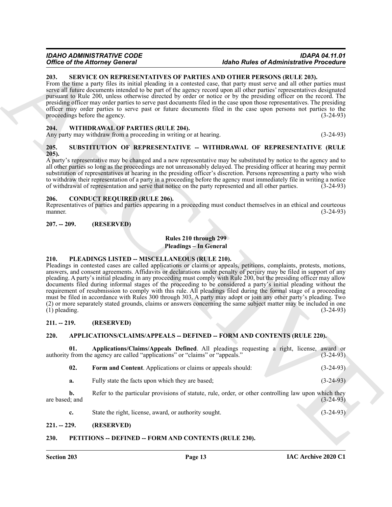#### *IDAHO ADMINISTRATIVE CODE IDAPA 04.11.01 <u>Idaho Rules of Administrative Procedure</u>*

#### <span id="page-12-16"></span><span id="page-12-0"></span>**203. SERVICE ON REPRESENTATIVES OF PARTIES AND OTHER PERSONS (RULE 203).**

From the time a party files its initial pleading in a contested case, that party must serve and all other parties must serve all future documents intended to be part of the agency record upon all other parties' representatives designated pursuant to Rule 200, unless otherwise directed by order or notice or by the presiding officer on the record. The presiding officer may order parties to serve past documents filed in the case upon those representatives. The presiding officer may order parties to serve past or future documents filed in the case upon persons not parties to the proceedings before the agency. (3-24-93) proceedings before the agency.

#### <span id="page-12-18"></span><span id="page-12-1"></span>**204. WITHDRAWAL OF PARTIES (RULE 204).**

Any party may withdraw from a proceeding in writing or at hearing. (3-24-93)

#### <span id="page-12-17"></span><span id="page-12-2"></span>**205. SUBSTITUTION OF REPRESENTATIVE -- WITHDRAWAL OF REPRESENTATIVE (RULE 205).**

A party's representative may be changed and a new representative may be substituted by notice to the agency and to all other parties so long as the proceedings are not unreasonably delayed. The presiding officer at hearing may permit substitution of representatives at hearing in the presiding officer's discretion. Persons representing a party who wish to withdraw their representation of a party in a proceeding before the agency must immediately file in writing a notice of withdrawal of representation and serve that notice on the party represented and all other parties. (3-24-93)

#### <span id="page-12-13"></span><span id="page-12-3"></span>**206. CONDUCT REQUIRED (RULE 206).**

Representatives of parties and parties appearing in a proceeding must conduct themselves in an ethical and courteous manner. (3-24-93) manner. (3-24-93)

#### <span id="page-12-4"></span>**207. -- 209. (RESERVED)**

# **Rules 210 through 299**

**Pleadings – In General**

#### <span id="page-12-15"></span><span id="page-12-5"></span>**210. PLEADINGS LISTED -- MISCELLANEOUS (RULE 210).**

Office of the Altimore Concert is a theoretical and the particle of Altimore is the Altimore Concert of the Barchive Concert of the Barchive Concert of the Barchive Concert of the Barchive Concert of the Barchive Concert Pleadings in contested cases are called applications or claims or appeals, petitions, complaints, protests, motions, answers, and consent agreements. Affidavits or declarations under penalty of perjury may be filed in support of any pleading. A party's initial pleading in any proceeding must comply with Rule 200, but the presiding officer may allow documents filed during informal stages of the proceeding to be considered a party's initial pleading without the requirement of resubmission to comply with this rule. All pleadings filed during the formal stage of a proceeding must be filed in accordance with Rules 300 through 303. A party may adopt or join any other party's pleading. Two (2) or more separately stated grounds, claims or answers concerning the same subject matter may be included in one  $(1)$  pleading.

#### <span id="page-12-6"></span>**211. -- 219. (RESERVED)**

#### <span id="page-12-10"></span><span id="page-12-7"></span>**220. APPLICATIONS/CLAIMS/APPEALS -- DEFINED -- FORM AND CONTENTS (RULE 220).**

**01. Applications/Claims/Appeals Defined**. All pleadings requesting a right, license, award or authority from the agency are called "applications" or "claims" or "appeals." (3-24-93)

<span id="page-12-12"></span><span id="page-12-11"></span>

| 02. | Form and Content. Applications or claims or appeals should: | $(3-24-93)$ |
|-----|-------------------------------------------------------------|-------------|
|     |                                                             |             |

**a.** Fully state the facts upon which they are based; (3-24-93)

**b.** Refer to the particular provisions of statute, rule, order, or other controlling law upon which they are based; and  $(3-24-93)$ 

<span id="page-12-14"></span>**c.** State the right, license, award, or authority sought. (3-24-93)

#### <span id="page-12-8"></span>**221. -- 229. (RESERVED)**

#### <span id="page-12-9"></span>**230. PETITIONS -- DEFINED -- FORM AND CONTENTS (RULE 230).**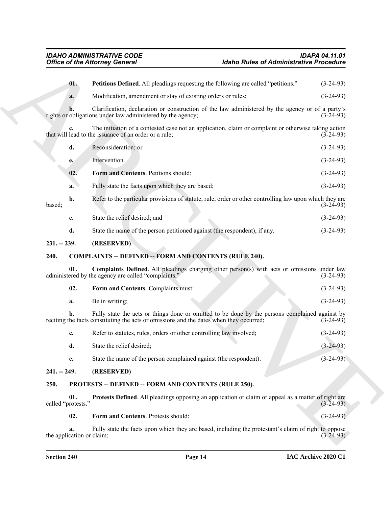<span id="page-13-11"></span><span id="page-13-10"></span><span id="page-13-9"></span><span id="page-13-8"></span><span id="page-13-7"></span><span id="page-13-6"></span><span id="page-13-5"></span><span id="page-13-4"></span><span id="page-13-3"></span><span id="page-13-2"></span><span id="page-13-1"></span><span id="page-13-0"></span>

| <b>Office of the Attorney General</b> |     |                                                                                                                                                                                           | <b>Idaho Rules of Administrative Procedure</b> |             |
|---------------------------------------|-----|-------------------------------------------------------------------------------------------------------------------------------------------------------------------------------------------|------------------------------------------------|-------------|
|                                       | 01. | Petitions Defined. All pleadings requesting the following are called "petitions."                                                                                                         |                                                | $(3-24-93)$ |
|                                       | a.  | Modification, amendment or stay of existing orders or rules;                                                                                                                              |                                                | $(3-24-93)$ |
|                                       |     | Clarification, declaration or construction of the law administered by the agency or of a party's<br>rights or obligations under law administered by the agency;                           |                                                | $(3-24-93)$ |
|                                       | c.  | The initiation of a contested case not an application, claim or complaint or otherwise taking action<br>that will lead to the issuance of an order or a rule;                             |                                                | $(3-24-93)$ |
|                                       | d.  | Reconsideration; or                                                                                                                                                                       |                                                | $(3-24-93)$ |
|                                       | e.  | Intervention.                                                                                                                                                                             |                                                | $(3-24-93)$ |
|                                       | 02. | Form and Contents. Petitions should:                                                                                                                                                      |                                                | $(3-24-93)$ |
|                                       | a.  | Fully state the facts upon which they are based;                                                                                                                                          |                                                | $(3-24-93)$ |
| based;                                | b.  | Refer to the particular provisions of statute, rule, order or other controlling law upon which they are                                                                                   |                                                | $(3-24-93)$ |
|                                       | c.  | State the relief desired; and                                                                                                                                                             |                                                | $(3-24-93)$ |
|                                       | d.  | State the name of the person petitioned against (the respondent), if any.                                                                                                                 |                                                | $(3-24-93)$ |
| $231. - 239.$                         |     | (RESERVED)                                                                                                                                                                                |                                                |             |
| 240.                                  |     | <b>COMPLAINTS -- DEFINED -- FORM AND CONTENTS (RULE 240).</b>                                                                                                                             |                                                |             |
|                                       | 01. | <b>Complaints Defined.</b> All pleadings charging other person(s) with acts or omissions under law<br>administered by the agency are called "complaints."                                 |                                                | $(3-24-93)$ |
|                                       | 02. | Form and Contents. Complaints must:                                                                                                                                                       |                                                | $(3-24-93)$ |
|                                       | a.  | Be in writing;                                                                                                                                                                            |                                                | $(3-24-93)$ |
|                                       | b.  | Fully state the acts or things done or omitted to be done by the persons complained against by<br>reciting the facts constituting the acts or omissions and the dates when they occurred; |                                                | $(3-24-93)$ |
|                                       | c.  | Refer to statutes, rules, orders or other controlling law involved;                                                                                                                       |                                                | $(3-24-93)$ |
|                                       | d.  | State the relief desired;                                                                                                                                                                 |                                                | $(3-24-93)$ |
|                                       | e.  | State the name of the person complained against (the respondent).                                                                                                                         |                                                | $(3-24-93)$ |
| $241. - 249.$                         |     | (RESERVED)                                                                                                                                                                                |                                                |             |
| 250.                                  |     | PROTESTS -- DEFINED -- FORM AND CONTENTS (RULE 250).                                                                                                                                      |                                                |             |
| called "protests."                    | 01. | Protests Defined. All pleadings opposing an application or claim or appeal as a matter of right are                                                                                       |                                                | $(3-24-93)$ |
|                                       | 02. | Form and Contents. Protests should:                                                                                                                                                       |                                                | $(3-24-93)$ |
|                                       | a.  | Fully state the facts upon which they are based, including the protestant's claim of right to oppose                                                                                      |                                                |             |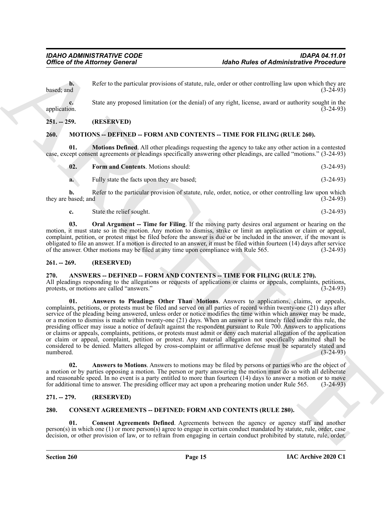**b.** Refer to the particular provisions of statute, rule, order or other controlling law upon which they are  $\alpha$  based; and  $(3-24-93)$ 

**c.** State any proposed limitation (or the denial) of any right, license, award or authority sought in the application. (3-24-93)

### <span id="page-14-0"></span>**251. -- 259. (RESERVED)**

# <span id="page-14-11"></span><span id="page-14-1"></span>**260. MOTIONS -- DEFINED -- FORM AND CONTENTS -- TIME FOR FILING (RULE 260).**

**01.** Motions Defined. All other pleadings requesting the agency to take any other action in a contested case, except consent agreements or pleadings specifically answering other pleadings, are called "motions." (3-24-93)

<span id="page-14-13"></span><span id="page-14-12"></span>

| 02.<br><b>Form and Contents.</b> Motions should: |  | $(3-24-93)$ |
|--------------------------------------------------|--|-------------|
|                                                  |  |             |

**a.** Fully state the facts upon they are based; (3-24-93)

**b.** Refer to the particular provision of statute, rule, order, notice, or other controlling law upon which they are based; and  $(3-24-93)$ 

<span id="page-14-14"></span>**c.** State the relief sought. (3-24-93)

**03. Oral Argument -- Time for Filing**. If the moving party desires oral argument or hearing on the motion, it must state so in the motion. Any motion to dismiss, strike or limit an application or claim or appeal, complaint, petition, or protest must be filed before the answer is due or be included in the answer, if the movant is obligated to file an answer. If a motion is directed to an answer, it must be filed within fourteen (14) days after service of the answer. Other motions may be filed at any time upon compliance with Rule 565. (3-24-93) of the answer. Other motions may be filed at any time upon compliance with Rule 565.

#### <span id="page-14-2"></span>**261. -- 269. (RESERVED)**

#### <span id="page-14-6"></span><span id="page-14-3"></span>**270. ANSWERS -- DEFINED -- FORM AND CONTENTS -- TIME FOR FILING (RULE 270).**

<span id="page-14-8"></span>All pleadings responding to the allegations or requests of applications or claims or appeals, complaints, petitions, protests, or motions are called "answers." (3-24-93)

Office of the Attorney General<br>
Letter of be putched provides of diables and convert the control integral to the convertise of diables and the state of the state of the distribution of the density of the state of the cont **01. Answers to Pleadings Other Than Motions**. Answers to applications, claims, or appeals, complaints, petitions, or protests must be filed and served on all parties of record within twenty-one (21) days after service of the pleading being answered, unless order or notice modifies the time within which answer may be made, or a motion to dismiss is made within twenty-one (21) days. When an answer is not timely filed under this rule, the presiding officer may issue a notice of default against the respondent pursuant to Rule 700. Answers to applications or claims or appeals, complaints, petitions, or protests must admit or deny each material allegation of the application or claim or appeal, complaint, petition or protest. Any material allegation not specifically admitted shall be considered to be denied. Matters alleged by cross-complaint or affirmative defense must be separately stated and numbered. (3-24-93) numbered.  $(3-24-93)$ 

<span id="page-14-7"></span>**02. Answers to Motions**. Answers to motions may be filed by persons or parties who are the object of a motion or by parties opposing a motion. The person or party answering the motion must do so with all deliberate and reasonable speed. In no event is a party entitled to more than fourteen (14) days to answer a motion or to move for additional time to answer. The presiding officer may act upon a prehearing motion under Rule 565. (3-24-93)

# <span id="page-14-4"></span>**271. -- 279. (RESERVED)**

#### <span id="page-14-9"></span><span id="page-14-5"></span>**280. CONSENT AGREEMENTS -- DEFINED: FORM AND CONTENTS (RULE 280).**

<span id="page-14-10"></span>**01. Consent Agreements Defined**. Agreements between the agency or agency staff and another person(s) in which one (1) or more person(s) agree to engage in certain conduct mandated by statute, rule, order, case decision, or other provision of law, or to refrain from engaging in certain conduct prohibited by statute, rule, order,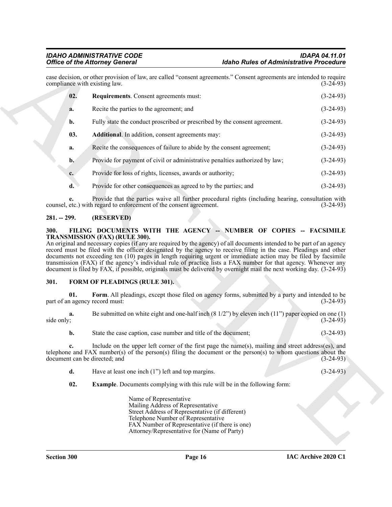<span id="page-15-4"></span>

|                  | <b>Office of the Attorney General</b>                                                                                                                                                                  | <b>Idaho Rules of Administrative Procedure</b>                                                             |             |
|------------------|--------------------------------------------------------------------------------------------------------------------------------------------------------------------------------------------------------|------------------------------------------------------------------------------------------------------------|-------------|
|                  | case decision, or other provision of law, are called "consent agreements." Consent agreements are intended to require<br>compliance with existing law.                                                 |                                                                                                            | $(3-24-93)$ |
| 02.              | Requirements. Consent agreements must:                                                                                                                                                                 |                                                                                                            | $(3-24-93)$ |
| a.               | Recite the parties to the agreement; and                                                                                                                                                               |                                                                                                            | $(3-24-93)$ |
| b.               | Fully state the conduct proscribed or prescribed by the consent agreement.                                                                                                                             |                                                                                                            | $(3-24-93)$ |
| 03.              | Additional. In addition, consent agreements may:                                                                                                                                                       |                                                                                                            | $(3-24-93)$ |
| a.               | Recite the consequences of failure to abide by the consent agreement;                                                                                                                                  |                                                                                                            | $(3-24-93)$ |
| $\mathbf{b}$ .   | Provide for payment of civil or administrative penalties authorized by law;                                                                                                                            |                                                                                                            | $(3-24-93)$ |
| $c_{\cdot}$      | Provide for loss of rights, licenses, awards or authority;                                                                                                                                             |                                                                                                            | $(3-24-93)$ |
| $\mathbf{d}$ .   | Provide for other consequences as agreed to by the parties; and                                                                                                                                        |                                                                                                            | $(3-24-93)$ |
| e.               | counsel, etc.) with regard to enforcement of the consent agreement.                                                                                                                                    | Provide that the parties waive all further procedural rights (including hearing, consultation with         | $(3-24-93)$ |
| $281. - 299.$    | (RESERVED)                                                                                                                                                                                             |                                                                                                            |             |
| 301.<br>01.      | document is filed by FAX, if possible, originals must be delivered by overnight mail the next working day. (3-24-93)<br><b>FORM OF PLEADINGS (RULE 301).</b>                                           | Form. All pleadings, except those filed on agency forms, submitted by a party and intended to be           |             |
|                  | part of an agency record must:                                                                                                                                                                         |                                                                                                            | $(3-24-93)$ |
| a.<br>side only; |                                                                                                                                                                                                        | Be submitted on white eight and one-half inch $(8\ 1/2")$ by eleven inch $(11")$ paper copied on one $(1)$ | $(3-24-93)$ |
| b.               | State the case caption, case number and title of the document;                                                                                                                                         |                                                                                                            | $(3-24-93)$ |
|                  | telephone and FAX number(s) of the person(s) filing the document or the person(s) to whom questions about the<br>document can be directed; and                                                         | Include on the upper left corner of the first page the name(s), mailing and street address(es), and        | $(3-24-93)$ |
| d.               | Have at least one inch $(1")$ left and top margins.                                                                                                                                                    |                                                                                                            | $(3-24-93)$ |
| 02.              |                                                                                                                                                                                                        | <b>Example.</b> Documents complying with this rule will be in the following form:                          |             |
|                  | Name of Representative<br>Mailing Address of Representative<br>Street Address of Representative (if different)<br>Telephone Number of Representative<br>FAX Number of Representative (if there is one) |                                                                                                            |             |

# <span id="page-15-3"></span><span id="page-15-0"></span>**281. -- 299. (RESERVED)**

# <span id="page-15-5"></span><span id="page-15-1"></span>**300. FILING DOCUMENTS WITH THE AGENCY -- NUMBER OF COPIES -- FACSIMILE TRANSMISSION (FAX) (RULE 300).**

# <span id="page-15-8"></span><span id="page-15-6"></span><span id="page-15-2"></span>**301. FORM OF PLEADINGS (RULE 301).**

<span id="page-15-7"></span>

|            | Be submitted on white eight and one-half inch $(8\ 1/2)$ by eleven inch $(11)$ paper copied on one $(1)$ |  |
|------------|----------------------------------------------------------------------------------------------------------|--|
| side only; | $(3-24-93)$                                                                                              |  |
|            |                                                                                                          |  |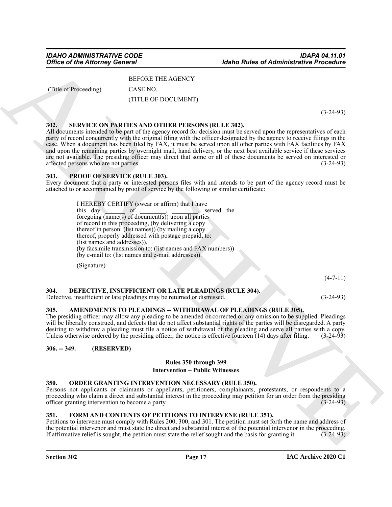(Title of Proceeding) CASE NO.

BEFORE THE AGENCY

(TITLE OF DOCUMENT)

(3-24-93)

# <span id="page-16-12"></span><span id="page-16-0"></span>**302. SERVICE ON PARTIES AND OTHER PERSONS (RULE 302).**

Office of the Attorney General<br>
(Advis To Contract Trusta CNNCY)<br>
(TITL OF DOCUMENT)<br>
(ASS Presencing<br>
(ASS PRESS PRICE)<br>
(ASS PRESS PRICE)<br>
(ASS PRESS PRICE)<br>
(ASS PRICE)<br>
(ASS PRICE)<br>
(ASS PRICE)<br>
(ASS PRICE)<br>
(ASS PRIC All documents intended to be part of the agency record for decision must be served upon the representatives of each party of record concurrently with the original filing with the officer designated by the agency to receive filings in the case. When a document has been filed by FAX, it must be served upon all other parties with FAX facilities by FAX and upon the remaining parties by overnight mail, hand delivery, or the next best available service if these services are not available. The presiding officer may direct that some or all of these documents be served on interested or affected persons who are not parties. (3-24-93)

### <span id="page-16-11"></span><span id="page-16-1"></span>**303. PROOF OF SERVICE (RULE 303).**

Every document that a party or interested persons files with and intends to be part of the agency record must be attached to or accompanied by proof of service by the following or similar certificate:

I HEREBY CERTIFY (swear or affirm) that I have this day of , served the foregoing (name(s) of document(s)) upon all parties of record in this proceeding, (by delivering a copy thereof in person: (list names)) (by mailing a copy thereof, properly addressed with postage prepaid, to: (list names and addresses)). (by facsimile transmission to: (list names and FAX numbers)) (by e-mail to: (list names and e-mail addresses)).

<span id="page-16-8"></span>(Signature)

 $(4 - 7 - 11)$ 

#### <span id="page-16-2"></span>**304. DEFECTIVE, INSUFFICIENT OR LATE PLEADINGS (RULE 304).**

Defective, insufficient or late pleadings may be returned or dismissed. (3-24-93)

# <span id="page-16-7"></span><span id="page-16-3"></span>**305. AMENDMENTS TO PLEADINGS -- WITHDRAWAL OF PLEADINGS (RULE 305).**

The presiding officer may allow any pleading to be amended or corrected or any omission to be supplied. Pleadings will be liberally construed, and defects that do not affect substantial rights of the parties will be disregarded. A party desiring to withdraw a pleading must file a notice of withdrawal of the pleading and serve all parties with a copy. Unless otherwise ordered by the presiding officer, the notice is effective fourteen (14) days after filing. (3-24-93)

# <span id="page-16-4"></span>**306. -- 349. (RESERVED)**

#### **Rules 350 through 399**

#### **Intervention – Public Witnesses**

### <span id="page-16-10"></span><span id="page-16-5"></span>**350. ORDER GRANTING INTERVENTION NECESSARY (RULE 350).**

Persons not applicants or claimants or appellants, petitioners, complainants, protestants, or respondents to a proceeding who claim a direct and substantial interest in the proceeding may petition for an order from the presiding officer granting intervention to become a party. (3-24-93)

# <span id="page-16-9"></span><span id="page-16-6"></span>**351. FORM AND CONTENTS OF PETITIONS TO INTERVENE (RULE 351).**

Petitions to intervene must comply with Rules 200, 300, and 301. The petition must set forth the name and address of the potential intervenor and must state the direct and substantial interest of the potential intervenor in the proceeding. If affirmative relief is sought, the petition must state the relief sought and the basis for granting it. (3-24-93)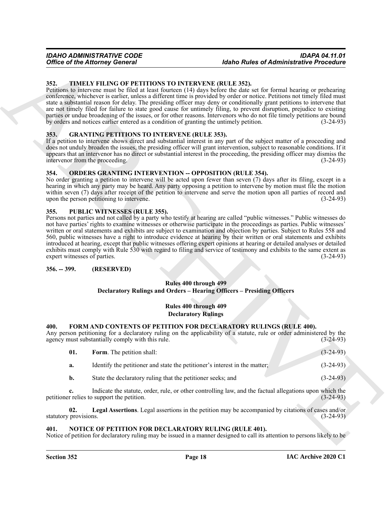### <span id="page-17-14"></span><span id="page-17-0"></span>**352. TIMELY FILING OF PETITIONS TO INTERVENE (RULE 352).**

Petitions to intervene must be filed at least fourteen (14) days before the date set for formal hearing or prehearing conference, whichever is earlier, unless a different time is provided by order or notice. Petitions not timely filed must state a substantial reason for delay. The presiding officer may deny or conditionally grant petitions to intervene that are not timely filed for failure to state good cause for untimely filing, to prevent disruption, prejudice to existing parties or undue broadening of the issues, or for other reasons. Intervenors who do not file timely petitions are bound by orders and notices earlier entered as a condition of granting the untimely petition. (3-24-93)

### <span id="page-17-10"></span><span id="page-17-1"></span>**353. GRANTING PETITIONS TO INTERVENE (RULE 353).**

If a petition to intervene shows direct and substantial interest in any part of the subject matter of a proceeding and does not unduly broaden the issues, the presiding officer will grant intervention, subject to reasonable conditions. If it appears that an intervenor has no direct or substantial interest in the proceeding, the presiding officer may dismiss the intervenor from the proceeding. (3-24-93)

#### <span id="page-17-12"></span><span id="page-17-2"></span>**354. ORDERS GRANTING INTERVENTION -- OPPOSITION (RULE 354).**

No order granting a petition to intervene will be acted upon fewer than seven (7) days after its filing, except in a hearing in which any party may be heard. Any party opposing a petition to intervene by motion must file the motion within seven (7) days after receipt of the petition to intervene and serve the motion upon all parties of record and upon the person petitioning to intervene. (3-24-93)

#### <span id="page-17-13"></span><span id="page-17-3"></span>**355. PUBLIC WITNESSES (RULE 355).**

Office of the Attorney General (and Europa To Million 2013). The Antarctic Control is the control of the Attachement Research of the Attachement Research of the Control in the Control in the Control in the Control in the Persons not parties and not called by a party who testify at hearing are called "public witnesses." Public witnesses do not have parties' rights to examine witnesses or otherwise participate in the proceedings as parties. Public witnesses' written or oral statements and exhibits are subject to examination and objection by parties. Subject to Rules 558 and 560, public witnesses have a right to introduce evidence at hearing by their written or oral statements and exhibits introduced at hearing, except that public witnesses offering expert opinions at hearing or detailed analyses or detailed exhibits must comply with Rule 530 with regard to filing and service of testimony and exhibits to the same extent as expert witnesses of parties. (3-24-93)

# <span id="page-17-4"></span>**356. -- 399. (RESERVED)**

# **Rules 400 through 499 Declaratory Rulings and Orders – Hearing Officers – Presiding Officers**

### **Rules 400 through 409 Declaratory Rulings**

### <span id="page-17-7"></span><span id="page-17-5"></span>**400. FORM AND CONTENTS OF PETITION FOR DECLARATORY RULINGS (RULE 400).**

| Any person petitioning for a declaratory ruling on the applicability of a statute, rule or order administered by the<br>agency must substantially comply with this rule. |  | $(3-24-93)$ |
|--------------------------------------------------------------------------------------------------------------------------------------------------------------------------|--|-------------|
| <b>Form.</b> The petition shall:                                                                                                                                         |  | $(3-24-93)$ |

<span id="page-17-8"></span>

| а. | Identify the petitioner and state the petitioner's interest in the matter. | $(3-24-93)$ |
|----|----------------------------------------------------------------------------|-------------|
|----|----------------------------------------------------------------------------|-------------|

<span id="page-17-9"></span>**b.** State the declaratory ruling that the petitioner seeks; and (3-24-93)

**c.** Indicate the statute, order, rule, or other controlling law, and the factual allegations upon which the petitioner relies to support the petition. (3-24-93)

**02. Legal Assertions**. Legal assertions in the petition may be accompanied by citations of cases and/or statutory provisions. (3-24-93)

#### <span id="page-17-11"></span><span id="page-17-6"></span>**401. NOTICE OF PETITION FOR DECLARATORY RULING (RULE 401).**

Notice of petition for declaratory ruling may be issued in a manner designed to call its attention to persons likely to be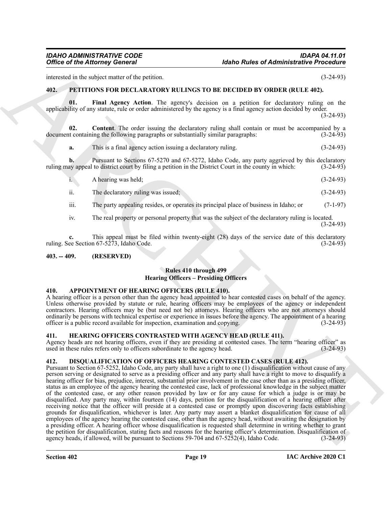interested in the subject matter of the petition. (3-24-93)

### <span id="page-18-10"></span><span id="page-18-8"></span><span id="page-18-0"></span>**402. PETITIONS FOR DECLARATORY RULINGS TO BE DECIDED BY ORDER (RULE 402).**

**01. Final Agency Action**. The agency's decision on a petition for declaratory ruling on the applicability of any statute, rule or order administered by the agency is a final agency action decided by order. (3-24-93)

**02. Content**. The order issuing the declaratory ruling shall contain or must be accompanied by a document containing the following paragraphs or substantially similar paragraphs: (3-24-93)

<span id="page-18-9"></span>**a.** This is a final agency action issuing a declaratory ruling. (3-24-93)

**b.** Pursuant to Sections 67-5270 and 67-5272, Idaho Code, any party aggrieved by this declaratory ruling may appeal to district court by filing a petition in the District Court in the county in which: (3-24-93)

| $\mathbf{i}$ . | A hearing was held; |  | $(3-24-93)$ |  |
|----------------|---------------------|--|-------------|--|
|----------------|---------------------|--|-------------|--|

ii. The declaratory ruling was issued; (3-24-93)

iii. The party appealing resides, or operates its principal place of business in Idaho; or (7-1-97)

iv. The real property or personal property that was the subject of the declaratory ruling is located.

(3-24-93)

**c.** This appeal must be filed within twenty-eight (28) days of the service date of this declaratory ruling. See Section 67-5273, Idaho Code. (3-24-93)

# <span id="page-18-1"></span>**403. -- 409. (RESERVED)**

# **Rules 410 through 499 Hearing Officers – Presiding Officers**

#### <span id="page-18-5"></span><span id="page-18-2"></span>**410. APPOINTMENT OF HEARING OFFICERS (RULE 410).**

A hearing officer is a person other than the agency head appointed to hear contested cases on behalf of the agency. Unless otherwise provided by statute or rule, hearing officers may be employees of the agency or independent contractors. Hearing officers may be (but need not be) attorneys. Hearing officers who are not attorneys should ordinarily be persons with technical expertise or experience in issues before the agency. The appointment of a hearing officer is a public record available for inspection, examination and copying. (3-24-93) officer is a public record available for inspection, examination and copying.

### <span id="page-18-7"></span><span id="page-18-3"></span>**411. HEARING OFFICERS CONTRASTED WITH AGENCY HEAD (RULE 411).**

Agency heads are not hearing officers, even if they are presiding at contested cases. The term "hearing officer" as used in these rules refers only to officers subordinate to the agency head. (3-24-93) used in these rules refers only to officers subordinate to the agency head.

# <span id="page-18-6"></span><span id="page-18-4"></span>**412. DISQUALIFICATION OF OFFICERS HEARING CONTESTED CASES (RULE 412).**

Office of the Attorney General<br>
anti-section (Addin Rales of Administrative Presenting<br>
anti-section in Section 1988.<br>
40. For the Attack of the Attack of Attack of Attack of Attack of Attack of Attack of Attack of Attack Pursuant to Section 67-5252, Idaho Code, any party shall have a right to one (1) disqualification without cause of any person serving or designated to serve as a presiding officer and any party shall have a right to move to disqualify a hearing officer for bias, prejudice, interest, substantial prior involvement in the case other than as a presiding officer, status as an employee of the agency hearing the contested case, lack of professional knowledge in the subject matter of the contested case, or any other reason provided by law or for any cause for which a judge is or may be disqualified. Any party may, within fourteen (14) days, petition for the disqualification of a hearing officer after receiving notice that the officer will preside at a contested case or promptly upon discovering facts establishing grounds for disqualification, whichever is later. Any party may assert a blanket disqualification for cause of all employees of the agency hearing the contested case, other than the agency head, without awaiting the designation by a presiding officer. A hearing officer whose disqualification is requested shall determine in writing whether to grant the petition for disqualification, stating facts and reasons for the hearing officer's determination. Disqualification of agency heads, if allowed, will be pursuant to Sections 59-704 and  $67-5252(4)$ , Idaho Code. (3-24-93)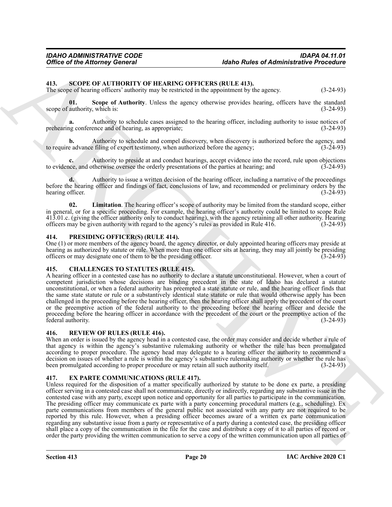# <span id="page-19-9"></span><span id="page-19-0"></span>**413. SCOPE OF AUTHORITY OF HEARING OFFICERS (RULE 413).**

<span id="page-19-11"></span>The scope of hearing officers' authority may be restricted in the appointment by the agency. (3-24-93)

**01. Scope of Authority**. Unless the agency otherwise provides hearing, officers have the standard scope of authority, which is: (3-24-93)

**a.** Authority to schedule cases assigned to the hearing officer, including authority to issue notices of prehearing conference and of hearing, as appropriate; (3-24-93)

**b.** Authority to schedule and compel discovery, when discovery is authorized before the agency, and to require advance filing of expert testimony, when authorized before the agency;  $(3-24-93)$ 

**c.** Authority to preside at and conduct hearings, accept evidence into the record, rule upon objections to evidence, and otherwise oversee the orderly presentations of the parties at hearing; and (3-24-93)

**d.** Authority to issue a written decision of the hearing officer, including a narrative of the proceedings before the hearing officer and findings of fact, conclusions of law, and recommended or preliminary orders by the hearing officer. (3-24-93)

<span id="page-19-10"></span>**02. Limitation**. The hearing officer's scope of authority may be limited from the standard scope, either in general, or for a specific proceeding. For example, the hearing officer's authority could be limited to scope Rule 413.01.c. (giving the officer authority only to conduct hearing), with the agency retaining all other authority. Hearing officers may be given authority with regard to the agency's rules as provided in Rule 416. (3-24-93)

#### <span id="page-19-7"></span><span id="page-19-1"></span>**414. PRESIDING OFFICER(S) (RULE 414).**

One (1) or more members of the agency board, the agency director, or duly appointed hearing officers may preside at hearing as authorized by statute or rule. When more than one officer sits at hearing, they may all jointly be presiding officers or may designate one of them to be the presiding officer. (3-24-93)

# <span id="page-19-5"></span><span id="page-19-2"></span>**415. CHALLENGES TO STATUTES (RULE 415).**

A hearing officer in a contested case has no authority to declare a statute unconstitutional. However, when a court of competent jurisdiction whose decisions are binding precedent in the state of Idaho has declared a statute unconstitutional, or when a federal authority has preempted a state statute or rule, and the hearing officer finds that the same state statute or rule or a substantively identical state statute or rule that would otherwise apply has been challenged in the proceeding before the hearing officer, then the hearing officer shall apply the precedent of the court or the preemptive action of the federal authority to the proceeding before the hearing officer and decide the proceeding before the hearing officer in accordance with the precedent of the court or the preemptive action of the federal authority. (3-24-93)

#### <span id="page-19-8"></span><span id="page-19-3"></span>**416. REVIEW OF RULES (RULE 416).**

When an order is issued by the agency head in a contested case, the order may consider and decide whether a rule of that agency is within the agency's substantive rulemaking authority or whether the rule has been promulgated according to proper procedure. The agency head may delegate to a hearing officer the authority to recommend a decision on issues of whether a rule is within the agency's substantive rulemaking authority or whether the rule has been promulgated according to proper procedure or may retain all such authority itself. (3-24-93) been promulgated according to proper procedure or may retain all such authority itself.

# <span id="page-19-6"></span><span id="page-19-4"></span>**417. EX PARTE COMMUNICATIONS (RULE 417).**

Office of the Attorney General<br>
13. SOOTE COATTEOUTIV OF HEADING OTTECHES (ILLE 444)<br>
The same of basis of the same of the same of the same of the same of the same of the same of the same of the same of the same of the sa Unless required for the disposition of a matter specifically authorized by statute to be done ex parte, a presiding officer serving in a contested case shall not communicate, directly or indirectly, regarding any substantive issue in the contested case with any party, except upon notice and opportunity for all parties to participate in the communication. The presiding officer may communicate ex parte with a party concerning procedural matters (e.g., scheduling). Ex parte communications from members of the general public not associated with any party are not required to be reported by this rule. However, when a presiding officer becomes aware of a written ex parte communication regarding any substantive issue from a party or representative of a party during a contested case, the presiding officer shall place a copy of the communication in the file for the case and distribute a copy of it to all parties of record or order the party providing the written communication to serve a copy of the written communication upon all parties of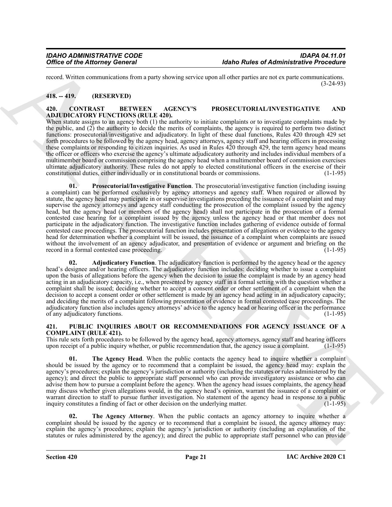record. Written communications from a party showing service upon all other parties are not ex parte communications. (3-24-93)

# <span id="page-20-0"></span>**418. -- 419. (RESERVED)**

#### <span id="page-20-3"></span><span id="page-20-1"></span>**420. CONTRAST BETWEEN AGENCY'S PROSECUTORIAL/INVESTIGATIVE AND ADJUDICATORY FUNCTIONS (RULE 420).**

<span id="page-20-5"></span>When statute assigns to an agency both  $(1)$  the authority to initiate complaints or to investigate complaints made by the public, and (2) the authority to decide the merits of complaints, the agency is required to perform two distinct functions: prosecutorial/investigative and adjudicatory. In light of these dual functions, Rules 420 through 429 set forth procedures to be followed by the agency head, agency attorneys, agency staff and hearing officers in processing these complaints or responding to citizen inquiries. As used in Rules 420 through 429, the term agency head means the officer or officers who exercise the agency's ultimate adjudicatory authority and includes individual members of a multimember board or commission comprising the agency head when a multimember board of commission exercises ultimate adjudicatory authority. These rules do not apply to elected constitutional officers in the exercise of their constitutional duties, either individually or in constitutional boards or commissions. (1-1-95)

Office of the Attorney General<br>
Yarda Rolles of Administrative Presenting<br>
Yarda Politics pairs and the pairs and the state of Administrative Presenting<br>
The CHIVE CONTENT CONTENT (SECUL CONTENT)<br>
ARCHIVE CONTENT (SECUL C **01. Prosecutorial/Investigative Function**. The prosecutorial/investigative function (including issuing a complaint) can be performed exclusively by agency attorneys and agency staff. When required or allowed by statute, the agency head may participate in or supervise investigations preceding the issuance of a complaint and may supervise the agency attorneys and agency staff conducting the prosecution of the complaint issued by the agency head, but the agency head (or members of the agency head) shall not participate in the prosecution of a formal contested case hearing for a complaint issued by the agency unless the agency head or that member does not participate in the adjudicatory function. The investigative function includes gathering of evidence outside of formal contested case proceedings. The prosecutorial function includes presentation of allegations or evidence to the agency head for determination whether a complaint will be issued, the issuance of a complaint when complaints are issued without the involvement of an agency adjudicator, and presentation of evidence or argument and briefing on the record in a formal contested case proceeding. (1-1-95)

<span id="page-20-4"></span>**02. Adjudicatory Function**. The adjudicatory function is performed by the agency head or the agency head's designee and/or hearing officers. The adjudicatory function includes: deciding whether to issue a complaint upon the basis of allegations before the agency when the decision to issue the complaint is made by an agency head acting in an adjudicatory capacity, i.e., when presented by agency staff in a formal setting with the question whether a complaint shall be issued; deciding whether to accept a consent order or other settlement of a complaint when the decision to accept a consent order or other settlement is made by an agency head acting in an adjudicatory capacity; and deciding the merits of a complaint following presentation of evidence in formal contested case proceedings. The adjudicatory function also includes agency attorneys' advice to the agency head or hearing officer in the performance of any adjudicatory functions. (1-1-95)

### <span id="page-20-6"></span><span id="page-20-2"></span>**421. PUBLIC INQUIRIES ABOUT OR RECOMMENDATIONS FOR AGENCY ISSUANCE OF A COMPLAINT (RULE 421).**

This rule sets forth procedures to be followed by the agency head, agency attorneys, agency staff and hearing officers upon receipt of a public inquiry whether, or public recommendation that, the agency issue a complaint. (1-1-95)

<span id="page-20-8"></span>**01.** The Agency Head. When the public contacts the agency head to inquire whether a complaint should be issued by the agency or to recommend that a complaint be issued, the agency head may: explain the agency's procedures; explain the agency's jurisdiction or authority (including the statutes or rules administered by the agency); and direct the public to appropriate staff personnel who can provide investigatory assistance or who can advise them how to pursue a complaint before the agency. When the agency head issues complaints, the agency head may discuss whether given allegations would, in the agency head's opinion, warrant the issuance of a complaint or warrant direction to staff to pursue further investigation. No statement of the agency head in response to a public inquiry constitutes a finding of fact or other decision on the underlying matter. (1-1-95)

<span id="page-20-7"></span>**02. The Agency Attorney**. When the public contacts an agency attorney to inquire whether a complaint should be issued by the agency or to recommend that a complaint be issued, the agency attorney may: explain the agency's procedures; explain the agency's jurisdiction or authority (including an explanation of the statutes or rules administered by the agency); and direct the public to appropriate staff personnel who can provide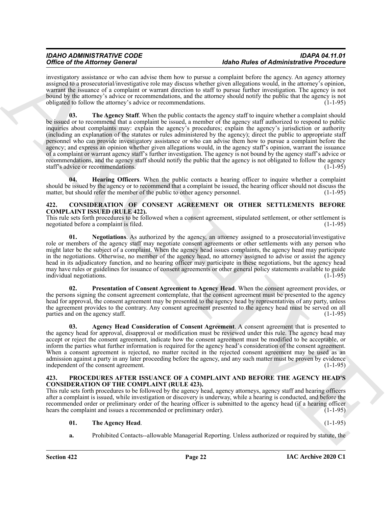<span id="page-21-9"></span>investigatory assistance or who can advise them how to pursue a complaint before the agency. An agency attorney assigned to a prosecutorial/investigative role may discuss whether given allegations would, in the attorney's opinion, warrant the issuance of a complaint or warrant direction to staff to pursue further investigation. The agency is not bound by the attorney's advice or recommendations, and the attorney should notify the public that the agency is not obligated to follow the attorney's advice or recommendations. (1-1-95)

Office of the Alternative Constraint in the property constraints of the Alternative Phenometrical School (149)<br>
ARCHIVES CONSTRUCTION (Fig. 149) and the state of the state of the state of the state of the state of the sta **03.** The Agency Staff. When the public contacts the agency staff to inquire whether a complaint should be issued or to recommend that a complaint be issued, a member of the agency staff authorized to respond to public inquiries about complaints may: explain the agency's procedures; explain the agency's jurisdiction or authority (including an explanation of the statutes or rules administered by the agency); direct the public to appropriate staff personnel who can provide investigatory assistance or who can advise them how to pursue a complaint before the agency; and express an opinion whether given allegations would, in the agency staff's opinion, warrant the issuance of a complaint or warrant agency staff's further investigation. The agency is not bound by the agency staff's advice or recommendations, and the agency staff should notify the public that the agency is not obligated to follow the agency staff's advice or recommendations. (1-1-95) (1-1-95)

<span id="page-21-8"></span>**04. Hearing Officers**. When the public contacts a hearing officer to inquire whether a complaint should be issued by the agency or to recommend that a complaint be issued, the hearing officer should not discuss the matter, but should refer the member of the public to other agency personnel. (1-1-95)

#### <span id="page-21-2"></span><span id="page-21-0"></span>**422. CONSIDERATION OF CONSENT AGREEMENT OR OTHER SETTLEMENTS BEFORE COMPLAINT ISSUED (RULE 422).**

This rule sets forth procedures to be followed when a consent agreement, stipulated settlement, or other settlement is negotiated before a complaint is filed. (1-1-95)

<span id="page-21-4"></span>**01. Negotiations**. As authorized by the agency, an attorney assigned to a prosecutorial/investigative role or members of the agency staff may negotiate consent agreements or other settlements with any person who might later be the subject of a complaint. When the agency head issues complaints, the agency head may participate in the negotiations. Otherwise, no member of the agency head, no attorney assigned to advise or assist the agency head in its adjudicatory function, and no hearing officer may participate in these negotiations, but the agency head may have rules or guidelines for issuance of consent agreements or other general policy statements available to guide individual negotiations. (1-1-95)

<span id="page-21-5"></span>**02. Presentation of Consent Agreement to Agency Head**. When the consent agreement provides, or the persons signing the consent agreement contemplate, that the consent agreement must be presented to the agency head for approval, the consent agreement may be presented to the agency head by representatives of any party, unless the agreement provides to the contrary. Any consent agreement presented to the agency head must be served on all parties and on the agency staff. (1-1-95)

<span id="page-21-3"></span>**03. Agency Head Consideration of Consent Agreement**. A consent agreement that is presented to the agency head for approval, disapproval or modification must be reviewed under this rule. The agency head may accept or reject the consent agreement, indicate how the consent agreement must be modified to be acceptable, or inform the parties what further information is required for the agency head's consideration of the consent agreement. When a consent agreement is rejected, no matter recited in the rejected consent agreement may be used as an admission against a party in any later proceeding before the agency, and any such matter must be proven by evidence independent of the consent agreement. (1-1-95) independent of the consent agreement.

#### <span id="page-21-6"></span><span id="page-21-1"></span>**423. PROCEDURES AFTER ISSUANCE OF A COMPLAINT AND BEFORE THE AGENCY HEAD'S CONSIDERATION OF THE COMPLAINT (RULE 423).**

This rule sets forth procedures to be followed by the agency head, agency attorneys, agency staff and hearing officers after a complaint is issued, while investigation or discovery is underway, while a hearing is conducted, and before the recommended order or preliminary order of the hearing officer is submitted to the agency head (if a hearing officer hears the complaint and issues a recommended or preliminary order). (1-1-95)

#### <span id="page-21-7"></span>**01. The Agency Head**. (1-1-95)

**a.** Prohibited Contacts--allowable Managerial Reporting. Unless authorized or required by statute, the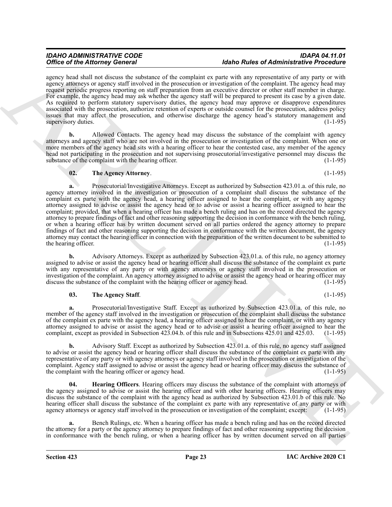agency head shall not discuss the substance of the complaint ex parte with any representative of any party or with agency attorneys or agency staff involved in the prosecution or investigation of the complaint. The agency head may request periodic progress reporting on staff preparation from an executive director or other staff member in charge. For example, the agency head may ask whether the agency staff will be prepared to present its case by a given date. As required to perform statutory supervisory duties, the agency head may approve or disapprove expenditures associated with the prosecution, authorize retention of experts or outside counsel for the prosecution, address policy issues that may affect the prosecution, and otherwise discharge the agency head's statutory management and supervisory duties. (1-1-95)

**b.** Allowed Contacts. The agency head may discuss the substance of the complaint with agency attorneys and agency staff who are not involved in the prosecution or investigation of the complaint. When one or more members of the agency head sits with a hearing officer to hear the contested case, any member of the agency head not participating in the prosecution and not supervising prosecutorial/investigative personnel may discuss the substance of the complaint with the hearing officer. (1-1-95)

# <span id="page-22-1"></span>**02. The Agency Attorney**. (1-1-95)

Office of History General Hermann and the summation of the Definite Particular and the main state of Historical Hermann and the summation of Becker and Historical Hermann and The Company of Becker and The Company of Becke **a.** Prosecutorial/Investigative Attorneys. Except as authorized by Subsection 423.01.a. of this rule, no agency attorney involved in the investigation or prosecution of a complaint shall discuss the substance of the complaint ex parte with the agency head, a hearing officer assigned to hear the complaint, or with any agency attorney assigned to advise or assist the agency head or to advise or assist a hearing officer assigned to hear the complaint; provided, that when a hearing officer has made a bench ruling and has on the record directed the agency attorney to prepare findings of fact and other reasoning supporting the decision in conformance with the bench ruling, or when a hearing officer has by written document served on all parties ordered the agency attorney to prepare findings of fact and other reasoning supporting the decision in conformance with the written document, the agency attorney may contact the hearing officer in connection with the preparation of the written document to be submitted to the hearing officer. (1-1-95) (1-1-95)

**b.** Advisory Attorneys. Except as authorized by Subsection 423.01.a. of this rule, no agency attorney assigned to advise or assist the agency head or hearing officer shall discuss the substance of the complaint ex parte with any representative of any party or with agency attorneys or agency staff involved in the prosecution or investigation of the complaint. An agency attorney assigned to advise or assist the agency head or hearing officer may discuss the substance of the complaint with the hearing officer or agency head. (1-1-95)

# <span id="page-22-2"></span>**03.** The Agency Staff. (1-1-95)

**a.** Prosecutorial/Investigative Staff. Except as authorized by Subsection 423.01.a. of this rule, no member of the agency staff involved in the investigation or prosecution of the complaint shall discuss the substance of the complaint ex parte with the agency head, a hearing officer assigned to hear the complaint, or with any agency attorney assigned to advise or assist the agency head or to advise or assist a hearing officer assigned to hear the complaint, except as provided in Subsection 423.04.b. of this rule and in Subsections 425.01 and 425.03. (1-1-95)

**b.** Advisory Staff. Except as authorized by Subsection 423.01.a. of this rule, no agency staff assigned to advise or assist the agency head or hearing officer shall discuss the substance of the complaint ex parte with any representative of any party or with agency attorneys or agency staff involved in the prosecution or investigation of the complaint. Agency staff assigned to advise or assist the agency head or hearing officer may discuss the substance of the complaint with the hearing officer or agency head. (1-1-95)

<span id="page-22-0"></span>**04. Hearing Officers**. Hearing officers may discuss the substance of the complaint with attorneys of the agency assigned to advise or assist the hearing officer and with other hearing officers. Hearing officers may discuss the substance of the complaint with the agency head as authorized by Subsection 423.01.b of this rule. No hearing officer shall discuss the substance of the complaint ex parte with any representative of any party or with agency attorneys or agency staff involved in the prosecution or investigation of the complaint; except: (1-1-95)

**a.** Bench Rulings, etc. When a hearing officer has made a bench ruling and has on the record directed the attorney for a party or the agency attorney to prepare findings of fact and other reasoning supporting the decision in conformance with the bench ruling, or when a hearing officer has by written document served on all parties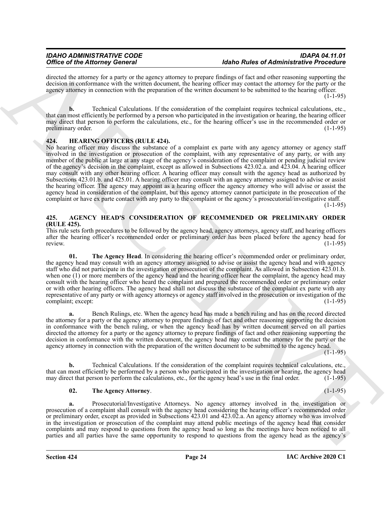directed the attorney for a party or the agency attorney to prepare findings of fact and other reasoning supporting the decision in conformance with the written document, the hearing officer may contact the attorney for the party or the agency attorney in connection with the preparation of the written document to be submitted to the hearing officer.  $(1-1-95)$ 

**b.** Technical Calculations. If the consideration of the complaint requires technical calculations, etc., that can most efficiently be performed by a person who participated in the investigation or hearing, the hearing officer may direct that person to perform the calculations, etc., for the hearing officer's use in the recommended order or preliminary order. (1-1-95)

# <span id="page-23-5"></span><span id="page-23-0"></span>**424. HEARING OFFICERS (RULE 424).**

Office of the Afternote General strengthenius by means allowed that the strengthenius of Afternote Breakforthenius of the strengthenius of the strengthenius of the strengthenius of the strengthenius of the strengthenius o No hearing officer may discuss the substance of a complaint ex parte with any agency attorney or agency staff involved in the investigation or prosecution of the complaint, with any representative of any party, or with any member of the public at large at any stage of the agency's consideration of the complaint or pending judicial review of the agency's decision in the complaint, except as allowed in Subsections 423.02.a. and 423.04. A hearing officer may consult with any other hearing officer. A hearing officer may consult with the agency head as authorized by Subsections 423.01.b. and 425.01. A hearing officer may consult with an agency attorney assigned to advise or assist the hearing officer. The agency may appoint as a hearing officer the agency attorney who will advise or assist the agency head in consideration of the complaint, but this agency attorney cannot participate in the prosecution of the complaint or have ex parte contact with any party to the complaint or the agency's prosecutorial/investigative staff.

 $(1-1-95)$ 

# <span id="page-23-2"></span><span id="page-23-1"></span>**425. AGENCY HEAD'S CONSIDERATION OF RECOMMENDED OR PRELIMINARY ORDER (RULE 425).**

This rule sets forth procedures to be followed by the agency head, agency attorneys, agency staff, and hearing officers after the hearing officer's recommended order or preliminary order has been placed before the agency head for review. (1-1-95)

<span id="page-23-4"></span>The Agency Head. In considering the hearing officer's recommended order or preliminary order, the agency head may consult with an agency attorney assigned to advise or assist the agency head and with agency staff who did not participate in the investigation or prosecution of the complaint. As allowed in Subsection 423.01.b. when one (1) or more members of the agency head and the hearing officer hear the complaint, the agency head may consult with the hearing officer who heard the complaint and prepared the recommended order or preliminary order or with other hearing officers. The agency head shall not discuss the substance of the complaint ex parte with any representative of any party or with agency attorneys or agency staff involved in the prosecution or investigation of the complaint; except: (1-1-95) complaint; except:

**a.** Bench Rulings, etc. When the agency head has made a bench ruling and has on the record directed the attorney for a party or the agency attorney to prepare findings of fact and other reasoning supporting the decision in conformance with the bench ruling, or when the agency head has by written document served on all parties directed the attorney for a party or the agency attorney to prepare findings of fact and other reasoning supporting the decision in conformance with the written document, the agency head may contact the attorney for the party or the agency attorney in connection with the preparation of the written document to be submitted to the agency head.

 $(1 - 1 - 95)$ 

**b.** Technical Calculations. If the consideration of the complaint requires technical calculations, etc., that can most efficiently be performed by a person who participated in the investigation or hearing, the agency head may direct that person to perform the calculations, etc., for the agency head's use in the final order. (1-1-95)

# <span id="page-23-3"></span>**02. The Agency Attorney**. (1-1-95)

**a.** Prosecutorial/Investigative Attorneys. No agency attorney involved in the investigation or prosecution of a complaint shall consult with the agency head considering the hearing officer's recommended order or preliminary order, except as provided in Subsections 423.01 and 423.02.a. An agency attorney who was involved in the investigation or prosecution of the complaint may attend public meetings of the agency head that consider complaints and may respond to questions from the agency head so long as the meetings have been noticed to all parties and all parties have the same opportunity to respond to questions from the agency head as the agency's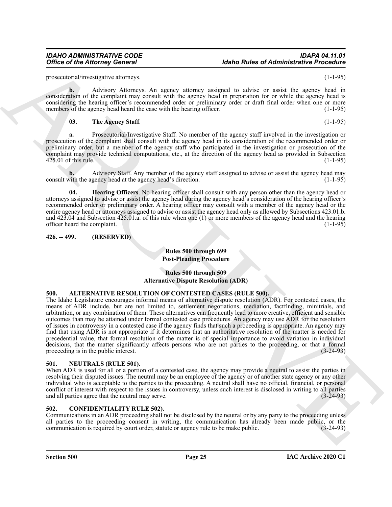# *IDAHO ADMINISTRATIVE CODE IDAPA 04.11.01 <u>Idaho Rules of Administrative Procedure</u>*

prosecutorial/investigative attorneys. (1-1-95)

**b.** Advisory Attorneys. An agency attorney assigned to advise or assist the agency head in consideration of the complaint may consult with the agency head in preparation for or while the agency head is considering the hearing officer's recommended order or preliminary order or draft final order when one or more members of the agency head heard the case with the hearing officer. (1-1-95)

#### <span id="page-24-5"></span>**03. The Agency Staff**. (1-1-95)

**a.** Prosecutorial/Investigative Staff. No member of the agency staff involved in the investigation or prosecution of the complaint shall consult with the agency head in its consideration of the recommended order or preliminary order, but a member of the agency staff who participated in the investigation or prosecution of the complaint may provide technical computations, etc., at the direction of the agency head as provided in Subsection  $425.01$  of this rule. (1-1-95)

**b.** Advisory Staff. Any member of the agency staff assigned to advise or assist the agency head may with the agency head at the agency head's direction. (1-1-95) consult with the agency head at the agency head's direction.

<span id="page-24-4"></span>**04. Hearing Officers**. No hearing officer shall consult with any person other than the agency head or attorneys assigned to advise or assist the agency head during the agency head's consideration of the hearing officer's recommended order or preliminary order. A hearing officer may consult with a member of the agency head or the entire agency head or attorneys assigned to advise or assist the agency head only as allowed by Subsections 423.01.b. and 423.04 and Subsection 425.01.a. of this rule when one (1) or more members of the agency head and the hearing officer heard the complaint. (1-1-95)

<span id="page-24-0"></span>**426. -- 499. (RESERVED)**

# **Rules 500 through 699 Post-Pleading Procedure**

# **Rules 500 through 509 Alternative Dispute Resolution (ADR)**

# <span id="page-24-6"></span><span id="page-24-1"></span>**500. ALTERNATIVE RESOLUTION OF CONTESTED CASES (RULE 500).**

Office of the Attorney General<br>
procedure content of the procedure of Attachment Content of the Content of the Content of the Content of the Content of the Content of the Content of the Content of the Content of the Conte The Idaho Legislature encourages informal means of alternative dispute resolution (ADR). For contested cases, the means of ADR include, but are not limited to, settlement negotiations, mediation, factfinding, minitrials, and arbitration, or any combination of them. These alternatives can frequently lead to more creative, efficient and sensible outcomes than may be attained under formal contested case procedures. An agency may use ADR for the resolution of issues in controversy in a contested case if the agency finds that such a proceeding is appropriate. An agency may find that using ADR is not appropriate if it determines that an authoritative resolution of the matter is needed for precedential value, that formal resolution of the matter is of special importance to avoid variation in individual decisions, that the matter significantly affects persons who are not parties to the proceeding, or that a formal proceeding is in the public interest. (3-24-93)

# <span id="page-24-8"></span><span id="page-24-2"></span>**501. NEUTRALS (RULE 501).**

When ADR is used for all or a portion of a contested case, the agency may provide a neutral to assist the parties in resolving their disputed issues. The neutral may be an employee of the agency or of another state agency or any other individual who is acceptable to the parties to the proceeding. A neutral shall have no official, financial, or personal conflict of interest with respect to the issues in controversy, unless such interest is disclosed in writing to all parties and all parties agree that the neutral may serve. and all parties agree that the neutral may serve.

# <span id="page-24-7"></span><span id="page-24-3"></span>**502. CONFIDENTIALITY RULE 502).**

Communications in an ADR proceeding shall not be disclosed by the neutral or by any party to the proceeding unless all parties to the proceeding consent in writing, the communication has already been made public, or the communication is required by court order, statute or agency rule to be make public. (3-24-93)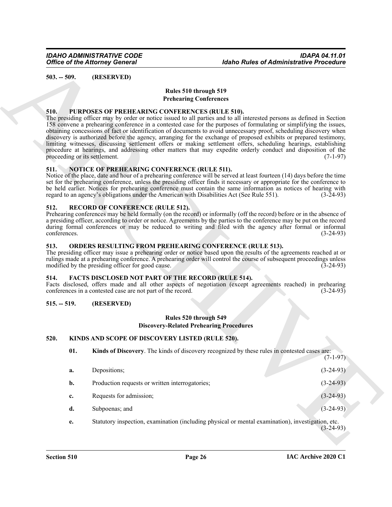<span id="page-25-0"></span>

### **Rules 510 through 519 Prehearing Conferences**

#### <span id="page-25-13"></span><span id="page-25-1"></span>**510. PURPOSES OF PREHEARING CONFERENCES (RULE 510).**

# <span id="page-25-11"></span><span id="page-25-2"></span>**511. NOTICE OF PREHEARING CONFERENCE (RULE 511).**

### <span id="page-25-14"></span><span id="page-25-3"></span>**512. RECORD OF CONFERENCE (RULE 512).**

#### <span id="page-25-12"></span><span id="page-25-4"></span>**513. ORDERS RESULTING FROM PREHEARING CONFERENCE (RULE 513).**

# <span id="page-25-8"></span><span id="page-25-5"></span>**514. FACTS DISCLOSED NOT PART OF THE RECORD (RULE 514).**

#### <span id="page-25-6"></span>**515. -- 519. (RESERVED)**

#### **Rules 520 through 549 Discovery-Related Prehearing Procedures**

# <span id="page-25-7"></span>**520. KINDS AND SCOPE OF DISCOVERY LISTED (RULE 520).**

<span id="page-25-10"></span><span id="page-25-9"></span>

| 01. | Kinds of Discovery. The kinds of discovery recognized by these rules in contested cases are: |  |            |
|-----|----------------------------------------------------------------------------------------------|--|------------|
|     |                                                                                              |  | $(7-1-97)$ |

|                      | <b>Office of the Attorney General</b>                                                                                                     | <b>Idaho Rules of Administrative Procedure</b>                                                                                                                                                                                                                                                                                                                                                                                                                                                                                                                                                                                                                                                                                           |  |
|----------------------|-------------------------------------------------------------------------------------------------------------------------------------------|------------------------------------------------------------------------------------------------------------------------------------------------------------------------------------------------------------------------------------------------------------------------------------------------------------------------------------------------------------------------------------------------------------------------------------------------------------------------------------------------------------------------------------------------------------------------------------------------------------------------------------------------------------------------------------------------------------------------------------------|--|
| $503. - 509.$        | (RESERVED)                                                                                                                                |                                                                                                                                                                                                                                                                                                                                                                                                                                                                                                                                                                                                                                                                                                                                          |  |
|                      |                                                                                                                                           | Rules 510 through 519                                                                                                                                                                                                                                                                                                                                                                                                                                                                                                                                                                                                                                                                                                                    |  |
|                      |                                                                                                                                           | <b>Prehearing Conferences</b>                                                                                                                                                                                                                                                                                                                                                                                                                                                                                                                                                                                                                                                                                                            |  |
| 510.                 | PURPOSES OF PREHEARING CONFERENCES (RULE 510).<br>proceeding or its settlement.                                                           | The presiding officer may by order or notice issued to all parties and to all interested persons as defined in Section<br>158 convene a prehearing conference in a contested case for the purposes of formulating or simplifying the issues,<br>obtaining concessions of fact or identification of documents to avoid unnecessary proof, scheduling discovery when<br>discovery is authorized before the agency, arranging for the exchange of proposed exhibits or prepared testimony,<br>limiting witnesses, discussing settlement offers or making settlement offers, scheduling hearings, establishing<br>procedure at hearings, and addressing other matters that may expedite orderly conduct and disposition of the<br>$(7-1-97)$ |  |
| 511.                 | NOTICE OF PREHEARING CONFERENCE (RULE 511).<br>regard to an agency's obligations under the American with Disabilities Act (See Rule 551). | Notice of the place, date and hour of a prehearing conference will be served at least fourteen (14) days before the time<br>set for the prehearing conference, unless the presiding officer finds it necessary or appropriate for the conference to<br>be held earlier. Notices for prehearing conference must contain the same information as notices of hearing with<br>$(3-24-93)$                                                                                                                                                                                                                                                                                                                                                    |  |
| 512.<br>conferences. | <b>RECORD OF CONFERENCE (RULE 512).</b>                                                                                                   | Prehearing conferences may be held formally (on the record) or informally (off the record) before or in the absence of<br>a presiding officer, according to order or notice. Agreements by the parties to the conference may be put on the record<br>during formal conferences or may be reduced to writing and filed with the agency after formal or informal<br>$(3-24-93)$                                                                                                                                                                                                                                                                                                                                                            |  |
| 513.                 | modified by the presiding officer for good cause.                                                                                         | ORDERS RESULTING FROM PREHEARING CONFERENCE (RULE 513).<br>The presiding officer may issue a prehearing order or notice based upon the results of the agreements reached at or<br>rulings made at a prehearing conference. A prehearing order will control the course of subsequent proceedings unless<br>$(3-24-93)$                                                                                                                                                                                                                                                                                                                                                                                                                    |  |
| 514.                 | <b>FACTS DISCLOSED NOT PART OF THE RECORD (RULE 514).</b><br>conferences in a contested case are not part of the record.                  | Facts disclosed, offers made and all other aspects of negotiation (except agreements reached) in prehearing<br>$(3-24-93)$                                                                                                                                                                                                                                                                                                                                                                                                                                                                                                                                                                                                               |  |
| $515. - 519.$        | (RESERVED)                                                                                                                                |                                                                                                                                                                                                                                                                                                                                                                                                                                                                                                                                                                                                                                                                                                                                          |  |
|                      |                                                                                                                                           | Rules 520 through 549<br><b>Discovery-Related Prehearing Procedures</b>                                                                                                                                                                                                                                                                                                                                                                                                                                                                                                                                                                                                                                                                  |  |
| 520.                 | KINDS AND SCOPE OF DISCOVERY LISTED (RULE 520).                                                                                           |                                                                                                                                                                                                                                                                                                                                                                                                                                                                                                                                                                                                                                                                                                                                          |  |
| 01.                  |                                                                                                                                           | Kinds of Discovery. The kinds of discovery recognized by these rules in contested cases are:<br>$(7-1-97)$                                                                                                                                                                                                                                                                                                                                                                                                                                                                                                                                                                                                                               |  |
| a.                   | Depositions;                                                                                                                              | $(3-24-93)$                                                                                                                                                                                                                                                                                                                                                                                                                                                                                                                                                                                                                                                                                                                              |  |
| b.                   | Production requests or written interrogatories;                                                                                           | $(3-24-93)$                                                                                                                                                                                                                                                                                                                                                                                                                                                                                                                                                                                                                                                                                                                              |  |
|                      | Requests for admission;                                                                                                                   | $(3-24-93)$                                                                                                                                                                                                                                                                                                                                                                                                                                                                                                                                                                                                                                                                                                                              |  |
| c.                   |                                                                                                                                           |                                                                                                                                                                                                                                                                                                                                                                                                                                                                                                                                                                                                                                                                                                                                          |  |
| d.                   | Subpoenas; and                                                                                                                            | $(3-24-93)$                                                                                                                                                                                                                                                                                                                                                                                                                                                                                                                                                                                                                                                                                                                              |  |
| e.                   |                                                                                                                                           | Statutory inspection, examination (including physical or mental examination), investigation, etc.<br>$(3-24-93)$                                                                                                                                                                                                                                                                                                                                                                                                                                                                                                                                                                                                                         |  |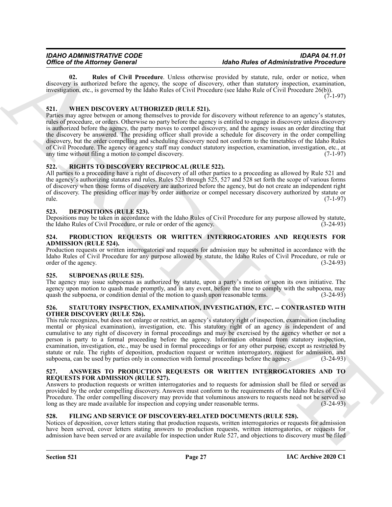<span id="page-26-11"></span>**02. Rules of Civil Procedure**. Unless otherwise provided by statute, rule, order or notice, when discovery is authorized before the agency, the scope of discovery, other than statutory inspection, examination, investigation, etc., is governed by the Idaho Rules of Civil Procedure (see Idaho Rule of Civil Procedure 26(b)).

 $(7-1-97)$ 

# <span id="page-26-16"></span><span id="page-26-0"></span>**521. WHEN DISCOVERY AUTHORIZED (RULE 521).**

Office of History General Constraints when the main factor of Historical Constraints Prescription is a subsective procedure of the main state of the main state of the main state of the main state of the main state of the Parties may agree between or among themselves to provide for discovery without reference to an agency's statutes, rules of procedure, or orders. Otherwise no party before the agency is entitled to engage in discovery unless discovery is authorized before the agency, the party moves to compel discovery, and the agency issues an order directing that the discovery be answered. The presiding officer shall provide a schedule for discovery in the order compelling discovery, but the order compelling and scheduling discovery need not conform to the timetables of the Idaho Rules of Civil Procedure. The agency or agency staff may conduct statutory inspection, examination, investigation, etc., at any time without filing a motion to compel discovery. any time without filing a motion to compel discovery.

# <span id="page-26-13"></span><span id="page-26-1"></span>**522. RIGHTS TO DISCOVERY RECIPROCAL (RULE 522).**

All parties to a proceeding have a right of discovery of all other parties to a proceeding as allowed by Rule 521 and the agency's authorizing statutes and rules. Rules 523 through 525, 527 and 528 set forth the scope of various forms of discovery when those forms of discovery are authorized before the agency, but do not create an independent right of discovery. The presiding officer may by order authorize or compel necessary discovery authorized by statute or rule. (7-1-97)

# <span id="page-26-9"></span><span id="page-26-2"></span>**523. DEPOSITIONS (RULE 523).**

Depositions may be taken in accordance with the Idaho Rules of Civil Procedure for any purpose allowed by statute, the Idaho Rules of Civil Procedure, or rule or order of the agency. (3-24-93)

### <span id="page-26-12"></span><span id="page-26-3"></span>**524. PRODUCTION REQUESTS OR WRITTEN INTERROGATORIES AND REQUESTS FOR ADMISSION (RULE 524).**

Production requests or written interrogatories and requests for admission may be submitted in accordance with the Idaho Rules of Civil Procedure for any purpose allowed by statute, the Idaho Rules of Civil Procedure, or rule or order of the agency. (3-24-93)

# <span id="page-26-15"></span><span id="page-26-4"></span>**525. SUBPOENAS (RULE 525).**

The agency may issue subpoenas as authorized by statute, upon a party's motion or upon its own initiative. The agency upon motion to quash made promptly, and in any event, before the time to comply with the subpoena, may quash the subpoena, or condition denial of the motion to quash upon reasonable terms. (3-24-93)

#### <span id="page-26-14"></span><span id="page-26-5"></span>**526. STATUTORY INSPECTION, EXAMINATION, INVESTIGATION, ETC. -- CONTRASTED WITH OTHER DISCOVERY (RULE 526).**

This rule recognizes, but does not enlarge or restrict, an agency's statutory right of inspection, examination (including mental or physical examination), investigation, etc. This statutory right of an agency is independent of and cumulative to any right of discovery in formal proceedings and may be exercised by the agency whether or not a person is party to a formal proceeding before the agency. Information obtained from statutory inspection, examination, investigation, etc., may be used in formal proceedings or for any other purpose, except as restricted by statute or rule. The rights of deposition, production request or written interrogatory, request for admission, and subpoena, can be used by parties only in connection with formal proceedings before the agency. (3-24-93)

### <span id="page-26-8"></span><span id="page-26-6"></span>**527. ANSWERS TO PRODUCTION REQUESTS OR WRITTEN INTERROGATORIES AND TO REQUESTS FOR ADMISSION (RULE 527).**

Answers to production requests or written interrogatories and to requests for admission shall be filed or served as provided by the order compelling discovery. Answers must conform to the requirements of the Idaho Rules of Civil Procedure. The order compelling discovery may provide that voluminous answers to requests need not be served so long as they are made available for inspection and copying under reasonable terms. (3-24-93)

# <span id="page-26-10"></span><span id="page-26-7"></span>**528. FILING AND SERVICE OF DISCOVERY-RELATED DOCUMENTS (RULE 528).**

Notices of deposition, cover letters stating that production requests, written interrogatories or requests for admission have been served, cover letters stating answers to production requests, written interrogatories, or requests for admission have been served or are available for inspection under Rule 527, and objections to discovery must be filed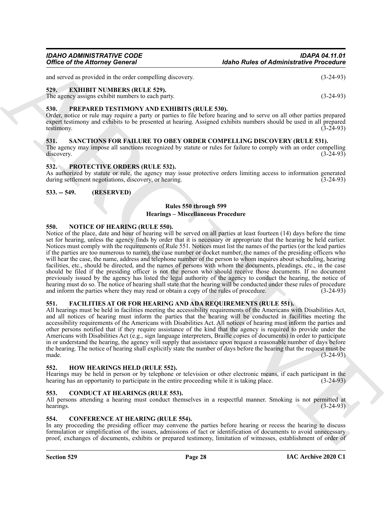and served as provided in the order compelling discovery. (3-24-93)

#### <span id="page-27-12"></span><span id="page-27-0"></span>**529. EXHIBIT NUMBERS (RULE 529).**

The agency assigns exhibit numbers to each party. (3-24-93)

# <span id="page-27-16"></span><span id="page-27-1"></span>**530. PREPARED TESTIMONY AND EXHIBITS (RULE 530).**

Order, notice or rule may require a party or parties to file before hearing and to serve on all other parties prepared expert testimony and exhibits to be presented at hearing. Assigned exhibits numbers should be used in all prepared testimony.  $(3-24-93)$ 

#### <span id="page-27-18"></span><span id="page-27-2"></span>**531. SANCTIONS FOR FAILURE TO OBEY ORDER COMPELLING DISCOVERY (RULE 531).**

The agency may impose all sanctions recognized by statute or rules for failure to comply with an order compelling discovery. (3-24-93) discovery. (3-24-93)

# <span id="page-27-17"></span><span id="page-27-3"></span>**532. PROTECTIVE ORDERS (RULE 532).**

As authorized by statute or rule, the agency may issue protective orders limiting access to information generated during settlement negotiations, discovery, or hearing. (3-24-93) during settlement negotiations, discovery, or hearing.

### <span id="page-27-4"></span>**533. -- 549. (RESERVED)**

### **Rules 550 through 599 Hearings – Miscellaneous Procedure**

### <span id="page-27-15"></span><span id="page-27-5"></span>**550. NOTICE OF HEARING (RULE 550).**

Office of the Attorney General<br>
and Route of Administrative Preceding<br>
and Synchronic Individue theoretic energy density<br>  $(3-2+9)$ <br>  $(3-2+9)$ <br>  $(3-2+9)$ <br>  $(3-2+9)$ <br>  $(3-2+9)$ <br>  $(3-2+9)$ <br>  $(3-2+9)$ <br>  $(3-2+9)$ <br>  $(3-2+9)$ <br> Notice of the place, date and hour of hearing will be served on all parties at least fourteen (14) days before the time set for hearing, unless the agency finds by order that it is necessary or appropriate that the hearing be held earlier. Notices must comply with the requirements of Rule 551. Notices must list the names of the parties (or the lead parties if the parties are too numerous to name), the case number or docket number, the names of the presiding officers who will hear the case, the name, address and telephone number of the person to whom inquires about scheduling, hearing facilities, etc., should be directed, and the names of persons with whom the documents, pleadings, etc., in the case should be filed if the presiding officer is not the person who should receive those documents. If no document previously issued by the agency has listed the legal authority of the agency to conduct the hearing, the notice of hearing must do so. The notice of hearing shall state that the hearing will be conducted under these rules of procedure and inform the parties where they may read or obtain a copy of the rules of procedure. (3-24-93)

#### <span id="page-27-13"></span><span id="page-27-6"></span>**551. FACILITIES AT OR FOR HEARING AND ADA REQUIREMENTS (RULE 551).**

All hearings must be held in facilities meeting the accessibility requirements of the Americans with Disabilities Act, and all notices of hearing must inform the parties that the hearing will be conducted in facilities meeting the accessibility requirements of the Americans with Disabilities Act. All notices of hearing must inform the parties and other persons notified that if they require assistance of the kind that the agency is required to provide under the Americans with Disabilities Act (e.g., sign language interpreters, Braille copies of documents) in order to participate in or understand the hearing, the agency will supply that assistance upon request a reasonable number of days before the hearing. The notice of hearing shall explicitly state the number of days before the hearing that the request must be made.  $(3-24-93)$ 

#### <span id="page-27-14"></span><span id="page-27-7"></span>**552. HOW HEARINGS HELD (RULE 552).**

Hearings may be held in person or by telephone or television or other electronic means, if each participant in the hearing has an opportunity to participate in the entire proceeding while it is taking place. (3-24-93) hearing has an opportunity to participate in the entire proceeding while it is taking place.

#### <span id="page-27-10"></span><span id="page-27-8"></span>**553. CONDUCT AT HEARINGS (RULE 553).**

All persons attending a hearing must conduct themselves in a respectful manner. Smoking is not permitted at hearings. hearings.  $(3-24-93)$ 

# <span id="page-27-11"></span><span id="page-27-9"></span>**554. CONFERENCE AT HEARING (RULE 554).**

In any proceeding the presiding officer may convene the parties before hearing or recess the hearing to discuss formulation or simplification of the issues, admissions of fact or identification of documents to avoid unnecessary proof, exchanges of documents, exhibits or prepared testimony, limitation of witnesses, establishment of order of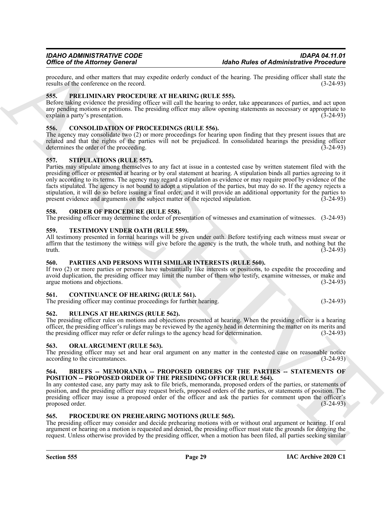procedure, and other matters that may expedite orderly conduct of the hearing. The presiding officer shall state the results of the conference on the record. (3-24-93) results of the conference on the record.

# <span id="page-28-17"></span><span id="page-28-0"></span>**555. PRELIMINARY PROCEDURE AT HEARING (RULE 555).**

Before taking evidence the presiding officer will call the hearing to order, take appearances of parties, and act upon any pending motions or petitions. The presiding officer may allow opening statements as necessary or appropriate to explain a party's presentation. (3-24-93) explain a party's presentation.

# <span id="page-28-12"></span><span id="page-28-1"></span>**556. CONSOLIDATION OF PROCEEDINGS (RULE 556).**

The agency may consolidate two (2) or more proceedings for hearing upon finding that they present issues that are related and that the rights of the parties will not be prejudiced. In consolidated hearings the presiding officer determines the order of the proceeding. (3-24-93)

### <span id="page-28-20"></span><span id="page-28-2"></span>**557. STIPULATIONS (RULE 557).**

Office of the Alternaty Governing to the state of the state of elements and the state of the state of the state of the state of the state of the state of the state of the state of the state of the state of the state of th Parties may stipulate among themselves to any fact at issue in a contested case by written statement filed with the presiding officer or presented at hearing or by oral statement at hearing. A stipulation binds all parties agreeing to it only according to its terms. The agency may regard a stipulation as evidence or may require proof by evidence of the facts stipulated. The agency is not bound to adopt a stipulation of the parties, but may do so. If the agency rejects a stipulation, it will do so before issuing a final order, and it will provide an additional opportunity for the parties to present evidence and arguments on the subject matter of the rejected stipulation. (3-24-93) present evidence and arguments on the subject matter of the rejected stipulation.

#### <span id="page-28-15"></span><span id="page-28-3"></span>**558. ORDER OF PROCEDURE (RULE 558).**

The presiding officer may determine the order of presentation of witnesses and examination of witnesses. (3-24-93)

#### <span id="page-28-21"></span><span id="page-28-4"></span>**559. TESTIMONY UNDER OATH (RULE 559).**

All testimony presented in formal hearings will be given under oath. Before testifying each witness must swear or affirm that the testimony the witness will give before the agency is the truth, the whole truth, and nothing but the truth.  $(3-24-93)$  $(3-24-93)$ 

# <span id="page-28-16"></span><span id="page-28-5"></span>**560. PARTIES AND PERSONS WITH SIMILAR INTERESTS (RULE 560).**

If two (2) or more parties or persons have substantially like interests or positions, to expedite the proceeding and avoid duplication, the presiding officer may limit the number of them who testify, examine witnesses, or make and argue motions and objections. (3-24-93)

# <span id="page-28-13"></span><span id="page-28-6"></span>**561. CONTINUANCE OF HEARING (RULE 561).**

The presiding officer may continue proceedings for further hearing. (3-24-93)

#### <span id="page-28-19"></span><span id="page-28-7"></span>**562. RULINGS AT HEARINGS (RULE 562).**

The presiding officer rules on motions and objections presented at hearing. When the presiding officer is a hearing officer, the presiding officer's rulings may be reviewed by the agency head in determining the matter on its merits and the presiding officer may refer or defer rulings to the agency head for determination. (3-24-93)

#### <span id="page-28-14"></span><span id="page-28-8"></span>**563. ORAL ARGUMENT (RULE 563).**

The presiding officer may set and hear oral argument on any matter in the contested case on reasonable notice according to the circumstances. (3-24-93)

#### <span id="page-28-11"></span><span id="page-28-9"></span>**564. BRIEFS -- MEMORANDA -- PROPOSED ORDERS OF THE PARTIES -- STATEMENTS OF POSITION -- PROPOSED ORDER OF THE PRESIDING OFFICER (RULE 564).**

In any contested case, any party may ask to file briefs, memoranda, proposed orders of the parties, or statements of position, and the presiding officer may request briefs, proposed orders of the parties, or statements of position. The presiding officer may issue a proposed order of the officer and ask the parties for comment upon the officer's proposed order. (3-24-93)

# <span id="page-28-18"></span><span id="page-28-10"></span>**565. PROCEDURE ON PREHEARING MOTIONS (RULE 565).**

The presiding officer may consider and decide prehearing motions with or without oral argument or hearing. If oral argument or hearing on a motion is requested and denied, the presiding officer must state the grounds for denying the request. Unless otherwise provided by the presiding officer, when a motion has been filed, all parties seeking similar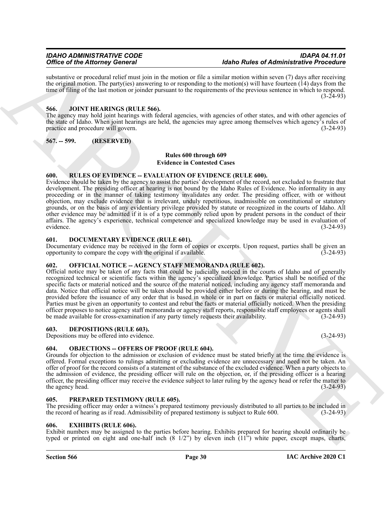substantive or procedural relief must join in the motion or file a similar motion within seven (7) days after receiving the original motion. The party(ies) answering to or responding to the motion(s) will have fourteen (14) days from the time of filing of the last motion or joinder pursuant to the requirements of the previous sentence in which to respond.  $(3-24-93)$ 

### <span id="page-29-12"></span><span id="page-29-0"></span>**566. JOINT HEARINGS (RULE 566).**

The agency may hold joint hearings with federal agencies, with agencies of other states, and with other agencies of the state of Idaho. When joint hearings are held, the agencies may agree among themselves which agency's rules of practice and procedure will govern. (3-24-93)

<span id="page-29-1"></span>**567. -- 599. (RESERVED)**

# **Rules 600 through 609 Evidence in Contested Cases**

# <span id="page-29-16"></span><span id="page-29-2"></span>**600. RULES OF EVIDENCE -- EVALUATION OF EVIDENCE (RULE 600).**

Evidence should be taken by the agency to assist the parties' development of the record, not excluded to frustrate that development. The presiding officer at hearing is not bound by the Idaho Rules of Evidence. No informality in any proceeding or in the manner of taking testimony invalidates any order. The presiding officer, with or without objection, may exclude evidence that is irrelevant, unduly repetitious, inadmissible on constitutional or statutory grounds, or on the basis of any evidentiary privilege provided by statute or recognized in the courts of Idaho. All other evidence may be admitted if it is of a type commonly relied upon by prudent persons in the conduct of their affairs. The agency's experience, technical competence and specialized knowledge may be used in evaluation of evidence. (3-24-93) evidence. (3-24-93)

### <span id="page-29-10"></span><span id="page-29-3"></span>**601. DOCUMENTARY EVIDENCE (RULE 601).**

Documentary evidence may be received in the form of copies or excerpts. Upon request, parties shall be given an opportunity to compare the copy with the original if available. (3-24-93) opportunity to compare the copy with the original if available.

# <span id="page-29-14"></span><span id="page-29-4"></span>**602. OFFICIAL NOTICE -- AGENCY STAFF MEMORANDA (RULE 602).**

Office of the Africany General Mathematical interaction and the field of African College of African Chinachta Properties Chinachta Properties Chinachta Properties Chinachta Properties Chinachta Properties Chinachta Proper Official notice may be taken of any facts that could be judicially noticed in the courts of Idaho and of generally recognized technical or scientific facts within the agency's specialized knowledge. Parties shall be notified of the specific facts or material noticed and the source of the material noticed, including any agency staff memoranda and data. Notice that official notice will be taken should be provided either before or during the hearing, and must be provided before the issuance of any order that is based in whole or in part on facts or material officially noticed. Parties must be given an opportunity to contest and rebut the facts or material officially noticed. When the presiding officer proposes to notice agency staff memoranda or agency staff reports, responsible staff employees or agents shall be made available for cross-examination if any party timely requests their availability. (3-24-93)

# <span id="page-29-9"></span><span id="page-29-5"></span>**603. DEPOSITIONS (RULE 603).**

Depositions may be offered into evidence. (3-24-93)

# <span id="page-29-13"></span><span id="page-29-6"></span>**604. OBJECTIONS -- OFFERS OF PROOF (RULE 604).**

Grounds for objection to the admission or exclusion of evidence must be stated briefly at the time the evidence is offered. Formal exceptions to rulings admitting or excluding evidence are unnecessary and need not be taken. An offer of proof for the record consists of a statement of the substance of the excluded evidence. When a party objects to the admission of evidence, the presiding officer will rule on the objection, or, if the presiding officer is a hearing officer, the presiding officer may receive the evidence subject to later ruling by the agency head or refer the matter to the agency head.  $(3-24-93)$ 

### <span id="page-29-15"></span><span id="page-29-7"></span>**605. PREPARED TESTIMONY (RULE 605).**

The presiding officer may order a witness's prepared testimony previously distributed to all parties to be included in the record of hearing as if read. Admissibility of prepared testimony is subject to Rule 600. (3-24-93)

#### <span id="page-29-11"></span><span id="page-29-8"></span>**606. EXHIBITS (RULE 606).**

Exhibit numbers may be assigned to the parties before hearing. Exhibits prepared for hearing should ordinarily be typed or printed on eight and one-half inch (8 1/2") by eleven inch (11") white paper, except maps, charts,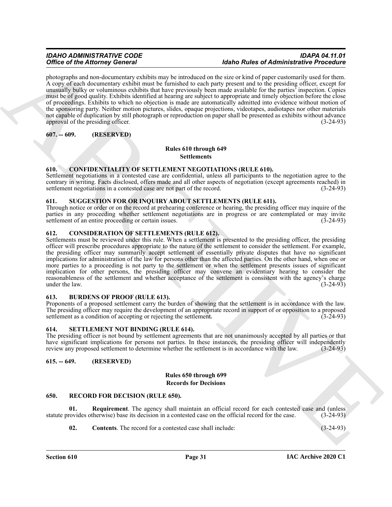photographs and non-documentary exhibits may be introduced on the size or kind of paper customarily used for them. A copy of each documentary exhibit must be furnished to each party present and to the presiding officer, except for unusually bulky or voluminous exhibits that have previously been made available for the parties' inspection. Copies must be of good quality. Exhibits identified at hearing are subject to appropriate and timely objection before the close of proceedings. Exhibits to which no objection is made are automatically admitted into evidence without motion of the sponsoring party. Neither motion pictures, slides, opaque projections, videotapes, audiotapes nor other materials not capable of duplication by still photograph or reproduction on paper shall be presented as exhibits without advance approval of the presiding officer. (3-24-93)

<span id="page-30-0"></span>**607. -- 609. (RESERVED)**

### **Rules 610 through 649 Settlements**

# <span id="page-30-9"></span><span id="page-30-1"></span>**610. CONFIDENTIALITY OF SETTLEMENT NEGOTIATIONS (RULE 610).**

Settlement negotiations in a contested case are confidential, unless all participants to the negotiation agree to the contrary in writing. Facts disclosed, offers made and all other aspects of negotiation (except agreements reached) in settlement negotiations in a contested case are not part of the record. (3-24-93)

# <span id="page-30-15"></span><span id="page-30-2"></span>**611. SUGGESTION FOR OR INQUIRY ABOUT SETTLEMENTS (RULE 611).**

Through notice or order or on the record at prehearing conference or hearing, the presiding officer may inquire of the parties in any proceeding whether settlement negotiations are in progress or are contemplated or may invite settlement of an entire proceeding or certain issues. (3-24-93)

# <span id="page-30-10"></span><span id="page-30-3"></span>**612. CONSIDERATION OF SETTLEMENTS (RULE 612).**

One can be Alternative processes of the Alternative processes of Alternative Presenction<br>
Archives the Alternative contribution of the Alternative Control of the Alternative Control of the Control of the Control of the Co Settlements must be reviewed under this rule. When a settlement is presented to the presiding officer, the presiding officer will prescribe procedures appropriate to the nature of the settlement to consider the settlement. For example, the presiding officer may summarily accept settlement of essentially private disputes that have no significant implications for administration of the law for persons other than the affected parties. On the other hand, when one or more parties to a proceeding is not party to the settlement or when the settlement presents issues of significant implication for other persons, the presiding officer may convene an evidentiary hearing to consider the reasonableness of the settlement and whether acceptance of the settlement is consistent with the agency's charge under the law. (3-24-93) under the law.

# <span id="page-30-8"></span><span id="page-30-4"></span>**613. BURDENS OF PROOF (RULE 613).**

Proponents of a proposed settlement carry the burden of showing that the settlement is in accordance with the law. The presiding officer may require the development of an appropriate record in support of or opposition to a proposed settlement as a condition of accepting or rejecting the settlement. (3-24-93) settlement as a condition of accepting or rejecting the settlement.

# <span id="page-30-14"></span><span id="page-30-5"></span>**614. SETTLEMENT NOT BINDING (RULE 614).**

The presiding officer is not bound by settlement agreements that are not unanimously accepted by all parties or that have significant implications for persons not parties. In these instances, the presiding officer will independently review any proposed settlement to determine whether the settlement is in accordance with the law. (3-24-93 review any proposed settlement to determine whether the settlement is in accordance with the law.

# <span id="page-30-6"></span>**615. -- 649. (RESERVED)**

#### **Rules 650 through 699 Records for Decisions**

# <span id="page-30-11"></span><span id="page-30-7"></span>**650. RECORD FOR DECISION (RULE 650).**

**01. Requirement**. The agency shall maintain an official record for each contested case and (unless statute provides otherwise) base its decision in a contested case on the official record for the case. (3-24-93)

<span id="page-30-13"></span><span id="page-30-12"></span>**02. Contents**. The record for a contested case shall include: (3-24-93)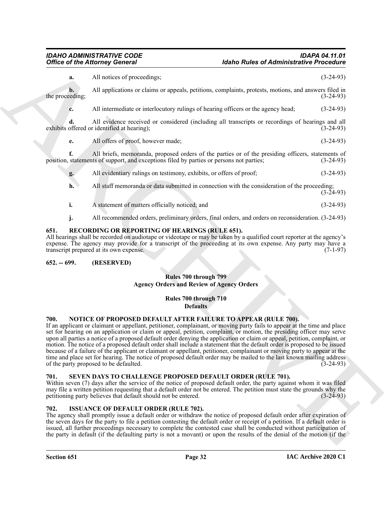# *IDAHO ADMINISTRATIVE CODE IDAPA 04.11.01*

Office of the Attorney General<br>
All strates of Attention contents.<br>
All strates of Attention contents,<br>
All strates of positive and interaction of the strates of the strates of the strates of the strates of the strates of **a.** All notices of proceedings; (3-24-93) **b.** All applications or claims or appeals, petitions, complaints, protests, motions, and answers filed in the proceeding;  $(3-24-93)$ **c.** All intermediate or interlocutory rulings of hearing officers or the agency head;  $(3-24-93)$ **d.** All evidence received or considered (including all transcripts or recordings of hearings and all exhibits offered or identified at hearing); (3-24-93) **e.** All offers of proof, however made; (3-24-93) **f.** All briefs, memoranda, proposed orders of the parties or of the presiding officers, statements of position, statements of support, and exceptions filed by parties or persons not parties; (3-24-93) **g.** All evidentiary rulings on testimony, exhibits, or offers of proof; (3-24-93) **h.** All staff memoranda or data submitted in connection with the consideration of the proceeding;  $(3-24-93)$ **i.** A statement of matters officially noticed; and (3-24-93) **j.** All recommended orders, preliminary orders, final orders, and orders on reconsideration.  $(3-24-93)$ 

# <span id="page-31-7"></span><span id="page-31-0"></span>**651. RECORDING OR REPORTING OF HEARINGS (RULE 651).**

All hearings shall be recorded on audiotape or videotape or may be taken by a qualified court reporter at the agency's expense. The agency may provide for a transcript of the proceeding at its own expense. Any party may have a transcript prepared at its own expense. transcript prepared at its own expense.

# <span id="page-31-1"></span>**652. -- 699. (RESERVED)**

# **Rules 700 through 799 Agency Orders and Review of Agency Orders**

#### **Rules 700 through 710 Defaults**

#### <span id="page-31-6"></span><span id="page-31-2"></span>**700. NOTICE OF PROPOSED DEFAULT AFTER FAILURE TO APPEAR (RULE 700).**

If an applicant or claimant or appellant, petitioner, complainant, or moving party fails to appear at the time and place set for hearing on an application or claim or appeal, petition, complaint, or motion, the presiding officer may serve upon all parties a notice of a proposed default order denying the application or claim or appeal, petition, complaint, or motion. The notice of a proposed default order shall include a statement that the default order is proposed to be issued because of a failure of the applicant or claimant or appellant, petitioner, complainant or moving party to appear at the time and place set for hearing. The notice of proposed default order may be mailed to the last known mailing address<br>of the party proposed to be defaulted. (3-24-93) of the party proposed to be defaulted.

### <span id="page-31-8"></span><span id="page-31-3"></span>**701. SEVEN DAYS TO CHALLENGE PROPOSED DEFAULT ORDER (RULE 701).**

Within seven (7) days after the service of the notice of proposed default order, the party against whom it was filed may file a written petition requesting that a default order not be entered. The petition must state the grounds why the petitioning party believes that default should not be entered. (3-24-93) petitioning party believes that default should not be entered.

#### <span id="page-31-5"></span><span id="page-31-4"></span>**702. ISSUANCE OF DEFAULT ORDER (RULE 702).**

The agency shall promptly issue a default order or withdraw the notice of proposed default order after expiration of the seven days for the party to file a petition contesting the default order or receipt of a petition. If a default order is issued, all further proceedings necessary to complete the contested case shall be conducted without participation of the party in default (if the defaulting party is not a movant) or upon the results of the denial of the motion (if the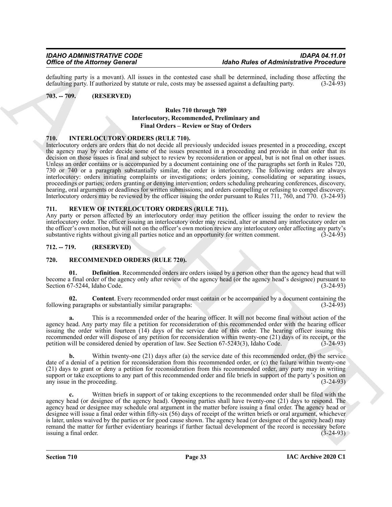defaulting party is a movant). All issues in the contested case shall be determined, including those affecting the defaulting party. If authorized by statute or rule, costs may be assessed against a defaulting party. (3-24 defaulting party. If authorized by statute or rule, costs may be assessed against a defaulting party.

# <span id="page-32-0"></span>**703. -- 709. (RESERVED)**

# **Rules 710 through 789 Interlocutory, Recommended, Preliminary and Final Orders – Review or Stay of Orders**

# <span id="page-32-5"></span><span id="page-32-1"></span>**710. INTERLOCUTORY ORDERS (RULE 710).**

Office of the Africane Consert is the same like variable that the basis of Africane Schedule and the same of the same of the same of the same of the same of the same of the same of the same of the same of the same of the Interlocutory orders are orders that do not decide all previously undecided issues presented in a proceeding, except the agency may by order decide some of the issues presented in a proceeding and provide in that order that its decision on those issues is final and subject to review by reconsideration or appeal, but is not final on other issues. Unless an order contains or is accompanied by a document containing one of the paragraphs set forth in Rules 720, 730 or 740 or a paragraph substantially similar, the order is interlocutory. The following orders are always interlocutory: orders initiating complaints or investigations; orders joining, consolidating or separating issues, proceedings or parties; orders granting or denying intervention; orders scheduling prehearing conferences, discovery, hearing, oral arguments or deadlines for written submissions; and orders compelling or refusing to compel discovery. Interlocutory orders may be reviewed by the officer issuing the order pursuant to Rules 711, 760, and 770. (3-24-93)

### <span id="page-32-9"></span><span id="page-32-2"></span>**711. REVIEW OF INTERLOCUTORY ORDERS (RULE 711).**

Any party or person affected by an interlocutory order may petition the officer issuing the order to review the interlocutory order. The officer issuing an interlocutory order may rescind, alter or amend any interlocutory order on the officer's own motion, but will not on the officer's own motion review any interlocutory order affecting any party's substantive rights without giving all parties notice and an opportunity for written comment.  $(3-24-93)$ 

# <span id="page-32-3"></span>**712. -- 719. (RESERVED)**

# <span id="page-32-6"></span><span id="page-32-4"></span>**720. RECOMMENDED ORDERS (RULE 720).**

<span id="page-32-8"></span>**01. Definition**. Recommended orders are orders issued by a person other than the agency head that will become a final order of the agency only after review of the agency head (or the agency head's designee) pursuant to Section 67-5244, Idaho Code. (3-24-93)

<span id="page-32-7"></span>**02. Content**. Every recommended order must contain or be accompanied by a document containing the following paragraphs or substantially similar paragraphs: (3-24-93)

**a.** This is a recommended order of the hearing officer. It will not become final without action of the agency head. Any party may file a petition for reconsideration of this recommended order with the hearing officer issuing the order within fourteen (14) days of the service date of this order. The hearing officer issuing this recommended order will dispose of any petition for reconsideration within twenty-one (21) days of its receipt, or the petition will be considered denied by operation of law. See Section 67-5243(3), Idaho Code. (3-24-93)

**b.** Within twenty-one (21) days after (a) the service date of this recommended order, (b) the service date of a denial of a petition for reconsideration from this recommended order, or (c) the failure within twenty-one (21) days to grant or deny a petition for reconsideration from this recommended order, any party may in writing support or take exceptions to any part of this recommended order and file briefs in support of the party's position on any issue in the proceeding. (3-24-93)

**c.** Written briefs in support of or taking exceptions to the recommended order shall be filed with the agency head (or designee of the agency head). Opposing parties shall have twenty-one (21) days to respond. The agency head or designee may schedule oral argument in the matter before issuing a final order. The agency head or designee will issue a final order within fifty-six (56) days of receipt of the written briefs or oral argument, whichever is later, unless waived by the parties or for good cause shown. The agency head (or designee of the agency head) may remand the matter for further evidentiary hearings if further factual development of the record is necessary before issuing a final order. (3-24-93) issuing a final order.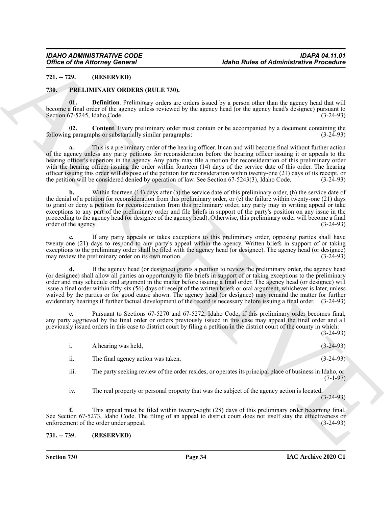# <span id="page-33-0"></span>**721. -- 729. (RESERVED)**

# <span id="page-33-3"></span><span id="page-33-1"></span>**730. PRELIMINARY ORDERS (RULE 730).**

<span id="page-33-5"></span>**01. Definition**. Preliminary orders are orders issued by a person other than the agency head that will become a final order of the agency unless reviewed by the agency head (or the agency head's designee) pursuant to Section 67-5245, Idaho Code. (3-24-93) Section 67-5245, Idaho Code.

<span id="page-33-4"></span>**02. Content**. Every preliminary order must contain or be accompanied by a document containing the g paragraphs or substantially similar paragraphs: (3-24-93) following paragraphs or substantially similar paragraphs:

**a.** This is a preliminary order of the hearing officer. It can and will become final without further action of the agency unless any party petitions for reconsideration before the hearing officer issuing it or appeals to the hearing officer's superiors in the agency. Any party may file a motion for reconsideration of this preliminary order with the hearing officer issuing the order within fourteen (14) days of the service date of this order. The hearing officer issuing this order will dispose of the petition for reconsideration within twenty-one (21) days of its receipt, or<br>the petition will be considered denied by operation of law. See Section 67-5243(3), Idaho Code. (3the petition will be considered denied by operation of law. See Section 67-5243(3), Idaho Code.

Office of the Attorney General<br>
21. The projection of the state of Attachment Contact Contact Contact Contact Contact Contact Contact Contact Contact Contact Contact Contact Contact Contact Contact Contact Contact Contact **b.** Within fourteen (14) days after (a) the service date of this preliminary order, (b) the service date of the denial of a petition for reconsideration from this preliminary order, or  $(c)$  the failure within twenty-one (21) days to grant or deny a petition for reconsideration from this preliminary order, any party may in writing appeal or take exceptions to any part of the preliminary order and file briefs in support of the party's position on any issue in the proceeding to the agency head (or designee of the agency head). Otherwise, this preliminary order will become a final order of the agency. (3-24-93)

**c.** If any party appeals or takes exceptions to this preliminary order, opposing parties shall have twenty-one (21) days to respond to any party's appeal within the agency. Written briefs in support of or taking exceptions to the preliminary order shall be filed with the agency head (or designee). The agency head (or designee) may review the preliminary order on its own motion. (3-24-93) may review the preliminary order on its own motion.

**d.** If the agency head (or designee) grants a petition to review the preliminary order, the agency head (or designee) shall allow all parties an opportunity to file briefs in support of or taking exceptions to the preliminary order and may schedule oral argument in the matter before issuing a final order. The agency head (or designee) will issue a final order within fifty-six (56) days of receipt of the written briefs or oral argument, whichever is later, unless waived by the parties or for good cause shown. The agency head (or designee) may remand the matter for further evidentiary hearings if further factual development of the record is necessary before issuing a final order. (3-24-93)

**e.** Pursuant to Sections 67-5270 and 67-5272, Idaho Code, if this preliminary order becomes final, any party aggrieved by the final order or orders previously issued in this case may appeal the final order and all previously issued orders in this case to district court by filing a petition in the district court of the county in which: (3-24-93)

|     | A hearing was held,                | $(3-24-93)$ |
|-----|------------------------------------|-------------|
| ii. | The final agency action was taken, | $(3-24-93)$ |

iii. The party seeking review of the order resides, or operates its principal place of business in Idaho, or (7-1-97)

iv. The real property or personal property that was the subject of the agency action is located. (3-24-93)

**f.** This appeal must be filed within twenty-eight (28) days of this preliminary order becoming final. See Section 67-5273, Idaho Code. The filing of an appeal to district court does not itself stay the effectiveness or enforcement of the order under appeal. (3-24-93) enforcement of the order under appeal.

# <span id="page-33-2"></span>**731. -- 739. (RESERVED)**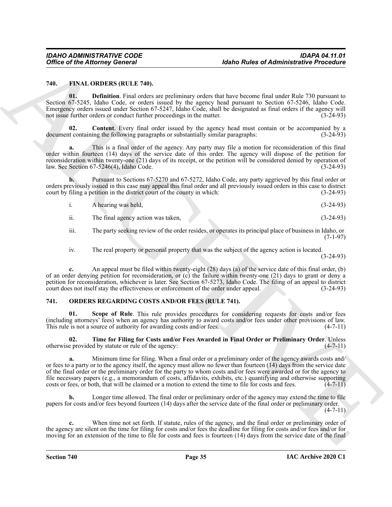#### <span id="page-34-2"></span><span id="page-34-0"></span>**740. FINAL ORDERS (RULE 740).**

<span id="page-34-4"></span>**01. Definition**. Final orders are preliminary orders that have become final under Rule 730 pursuant to Section 67-5245, Idaho Code, or orders issued by the agency head pursuant to Section 67-5246, Idaho Code. Emergency orders issued under Section 67-5247, Idaho Code, shall be designated as final orders if the agency will not issue further orders or conduct further proceedings in the matter.

<span id="page-34-3"></span>**02. Content**. Every final order issued by the agency head must contain or be accompanied by a document containing the following paragraphs or substantially similar paragraphs: (3-24-93)

**a.** This is a final order of the agency. Any party may file a motion for reconsideration of this final order within fourteen (14) days of the service date of this order. The agency will dispose of the petition for reconsideration within twenty-one (21) days of its receipt, or the petition will be considered denied by operation of law. See Section 67-5246(4), Idaho Code. (3-24-93)

**b.** Pursuant to Sections 67-5270 and 67-5272, Idaho Code, any party aggrieved by this final order or orders previously issued in this case may appeal this final order and all previously issued orders in this case to district court by filing a petition in the district court of the county in which: (3-24-93)

| A hearing was held, | $(3-24-93)$ |
|---------------------|-------------|
|                     |             |

ii. The final agency action was taken, (3-24-93)

iii. The party seeking review of the order resides, or operates its principal place of business in Idaho, or  $(7-1-97)$ 

iv. The real property or personal property that was the subject of the agency action is located.

(3-24-93)

**c.** An appeal must be filed within twenty-eight (28) days (a) of the service date of this final order, (b) of an order denying petition for reconsideration, or  $(c)$  the failure within twenty-one  $(21)$  days to grant or deny a petition for reconsideration, whichever is later. See Section 67-5273, Idaho Code. The filing of an appeal to district court does not itself stay the effectiveness or enforcement of the order under appeal. (3-24-93)

# <span id="page-34-7"></span><span id="page-34-1"></span>**741. ORDERS REGARDING COSTS AND/OR FEES (RULE 741).**

<span id="page-34-5"></span>**01. Scope of Rule**. This rule provides procedures for considering requests for costs and/or fees (including attorneys' fees) when an agency has authority to award costs and/or fees under other provisions of law.<br>This rule is not a source of authority for awarding costs and/or fees. (4-7-11) This rule is not a source of authority for awarding costs and/or fees.

<span id="page-34-6"></span>**02. Time for Filing for Costs and/or Fees Awarded in Final Order or Preliminary Order**. Unless otherwise provided by statute or rule of the agency: (4-7-11)

Office of the Altomaty General<br>
16 And Rolles of Administrative Preceding<br>
16 And Distribution (16 And Rolles of Administrative Preceding<br>
170. By Distribution (16 And Rolles of Administrative Preceding School and Rolles **a.** Minimum time for filing. When a final order or a preliminary order of the agency awards costs and/ or fees to a party or to the agency itself, the agency must allow no fewer than fourteen (14) days from the service date of the final order or the preliminary order for the party to whom costs and/or fees were awarded or for the agency to file necessary papers (e.g., a memorandum of costs, affidavits, exhibits, etc.) quantifying and otherwise supporting costs or fees, or both, that will be claimed or a motion to extend the time to file for costs and fees.  $(4-7-11)$ 

**b.** Longer time allowed. The final order or preliminary order of the agency may extend the time to file papers for costs and/or fees beyond fourteen (14) days after the service date of the final order or preliminary order.  $(4 - 7 - 11)$ 

**c.** When time not set forth. If statute, rules of the agency, and the final order or preliminary order of the agency are silent on the time for filing for costs and/or fees the deadline for filing for costs and/or fees and/or for moving for an extension of the time to file for costs and fees is fourteen (14) days from the service date of the final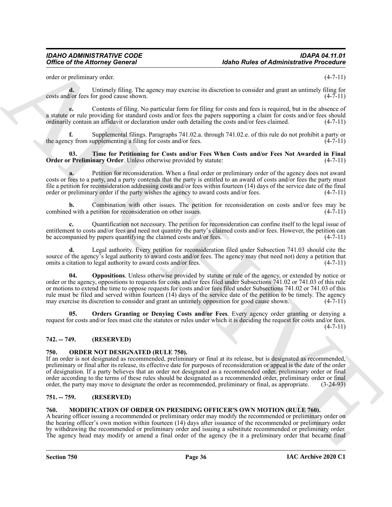order or preliminary order. (4-7-11)

**d.** Untimely filing. The agency may exercise its discretion to consider and grant an untimely filing for costs and/or fees for good cause shown. (4-7-11)

**e.** Contents of filing. No particular form for filing for costs and fees is required, but in the absence of a statute or rule providing for standard costs and/or fees the papers supporting a claim for costs and/or fees should ordinarily contain an affidavit or declaration under oath detailing the costs and/or fees claimed.  $(4-7-11)$ 

**f.** Supplemental filings. Paragraphs 741.02.a. through 741.02.e. of this rule do not prohibit a party or the agency from supplementing a filing for costs and/or fees.  $(4-7-11)$ 

<span id="page-35-8"></span>**03. Time for Petitioning for Costs and/or Fees When Costs and/or Fees Not Awarded in Final Order or Preliminary Order**. Unless otherwise provided by statute: (4-7-11)

**a.** Petition for reconsideration. When a final order or preliminary order of the agency does not award costs or fees to a party, and a party contends that the party is entitled to an award of costs and/or fees the party must file a petition for reconsideration addressing costs and/or fees within fourteen (14) days of the service date of the final order or preliminary order if the party wishes the agency to award costs and/or fees. (4-7-11)

**b.** Combination with other issues. The petition for reconsideration on costs and/or fees may be d with a petition for reconsideration on other issues. (4-7-11) combined with a petition for reconsideration on other issues.

**c.** Quantification not necessary. The petition for reconsideration can confine itself to the legal issue of entitlement to costs and/or fees and need not quantity the party's claimed costs and/or fees. However, the petition can<br>be accompanied by papers quantifying the claimed costs and/or fees. (4-7-11) be accompanied by papers quantifying the claimed costs and/or fees.

<span id="page-35-6"></span>**d.** Legal authority. Every petition for reconsideration filed under Subsection 741.03 should cite the source of the agency's legal authority to award costs and/or fees. The agency may (but need not) deny a petition that omits a citation to legal authority to award costs and/or fees. (4-7-11)

Office of the Attorney General<br>
only of the Strainers of Administrative Presenting<br>
such as political property and the Strainers of Administrative Presentation<br>
such as the strainer of the Strainers of the Strainers of Ad **04. Oppositions**. Unless otherwise provided by statute or rule of the agency, or extended by notice or order or the agency, oppositions to requests for costs and/or fees filed under Subsections 741.02 or 741.03 of this rule or motions to extend the time to oppose requests for costs and/or fees filed under Subsections 741.02 or 741.03 of this rule must be filed and served within fourteen (14) days of the service date of the petition to be timely. The agency may exercise its discretion to consider and grant an untimely opposition for good cause shown. (4-7-11)

<span id="page-35-7"></span>**05. Orders Granting or Denying Costs and/or Fees**. Every agency order granting or denying a request for costs and/or fees must cite the statutes or rules under which it is deciding the request for costs and/or fees.  $(4-7-11)$ 

# <span id="page-35-0"></span>**742. -- 749. (RESERVED)**

# <span id="page-35-5"></span><span id="page-35-1"></span>**750. ORDER NOT DESIGNATED (RULE 750).**

If an order is not designated as recommended, preliminary or final at its release, but is designated as recommended, preliminary or final after its release, its effective date for purposes of reconsideration or appeal is the date of the order of designation. If a party believes that an order not designated as a recommended order, preliminary order or final order according to the terms of these rules should be designated as a recommended order, preliminary order or final order, the party may move to designate the order as recommended, preliminary or final, as appropriate. (3-24-93)

# <span id="page-35-2"></span>**751. -- 759. (RESERVED)**

#### <span id="page-35-4"></span><span id="page-35-3"></span>**760. MODIFICATION OF ORDER ON PRESIDING OFFICER'S OWN MOTION (RULE 760).**

A hearing officer issuing a recommended or preliminary order may modify the recommended or preliminary order on the hearing officer's own motion within fourteen (14) days after issuance of the recommended or preliminary order by withdrawing the recommended or preliminary order and issuing a substitute recommended or preliminary order. The agency head may modify or amend a final order of the agency (be it a preliminary order that became final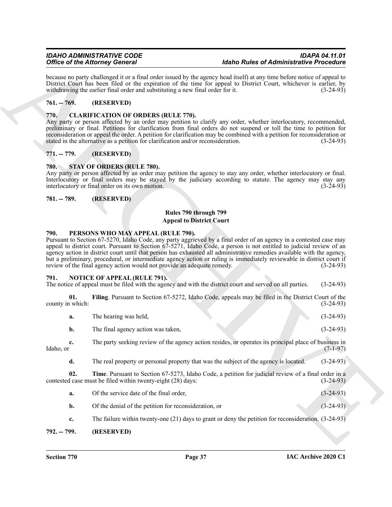# <span id="page-36-0"></span>**761. -- 769. (RESERVED)**

# <span id="page-36-8"></span><span id="page-36-1"></span>**770. CLARIFICATION OF ORDERS (RULE 770).**

# <span id="page-36-2"></span>**771. -- 779. (RESERVED)**

### <span id="page-36-13"></span><span id="page-36-4"></span><span id="page-36-3"></span>**780. STAY OF ORDERS (RULE 780).**

# **Rules 790 through 799 Appeal to District Court**

#### <span id="page-36-12"></span><span id="page-36-5"></span>**790. PERSONS WHO MAY APPEAL (RULE 790).**

#### <span id="page-36-11"></span><span id="page-36-10"></span><span id="page-36-9"></span><span id="page-36-7"></span><span id="page-36-6"></span>**791. NOTICE OF APPEAL (RULE 791).**

|                         | <b>Office of the Attorney General</b>                                                                                           | <b>Idaho Rules of Administrative Procedure</b>                                                                                                                                                                                                                                                                                                                                                                                                                                                |             |
|-------------------------|---------------------------------------------------------------------------------------------------------------------------------|-----------------------------------------------------------------------------------------------------------------------------------------------------------------------------------------------------------------------------------------------------------------------------------------------------------------------------------------------------------------------------------------------------------------------------------------------------------------------------------------------|-------------|
|                         | withdrawing the earlier final order and substituting a new final order for it.                                                  | because no party challenged it or a final order issued by the agency head itself) at any time before notice of appeal to<br>District Court has been filed or the expiration of the time for appeal to District Court, whichever is earlier, by                                                                                                                                                                                                                                                | $(3-24-93)$ |
| $761. - 769.$           | (RESERVED)                                                                                                                      |                                                                                                                                                                                                                                                                                                                                                                                                                                                                                               |             |
| 770.                    | <b>CLARIFICATION OF ORDERS (RULE 770).</b><br>stated in the alternative as a petition for clarification and/or reconsideration. | Any party or person affected by an order may petition to clarify any order, whether interlocutory, recommended,<br>preliminary or final. Petitions for clarification from final orders do not suspend or toll the time to petition for<br>reconsideration or appeal the order. A petition for clarification may be combined with a petition for reconsideration or                                                                                                                            | $(3-24-93)$ |
| $771. - 779.$           | (RESERVED)                                                                                                                      |                                                                                                                                                                                                                                                                                                                                                                                                                                                                                               |             |
| <b>780.</b>             | <b>STAY OF ORDERS (RULE 780).</b><br>interlocutory or final order on its own motion.                                            | Any party or person affected by an order may petition the agency to stay any order, whether interlocutory or final.<br>Interlocutory or final orders may be stayed by the judiciary according to statute. The agency may stay any                                                                                                                                                                                                                                                             | $(3-24-93)$ |
| 781. -- 789.            | (RESERVED)                                                                                                                      |                                                                                                                                                                                                                                                                                                                                                                                                                                                                                               |             |
|                         |                                                                                                                                 | Rules 790 through 799<br><b>Appeal to District Court</b>                                                                                                                                                                                                                                                                                                                                                                                                                                      |             |
| 790.                    | PERSONS WHO MAY APPEAL (RULE 790).<br>review of the final agency action would not provide an adequate remedy.                   | Pursuant to Section 67-5270, Idaho Code, any party aggrieved by a final order of an agency in a contested case may<br>appeal to district court. Pursuant to Section 67-5271, Idaho Code, a person is not entitled to judicial review of an<br>agency action in district court until that person has exhausted all administrative remedies available with the agency,<br>but a preliminary, procedural, or intermediate agency action or ruling is immediately reviewable in district court if | $(3-24-93)$ |
| 791.                    | <b>NOTICE OF APPEAL (RULE 791).</b>                                                                                             | The notice of appeal must be filed with the agency and with the district court and served on all parties.                                                                                                                                                                                                                                                                                                                                                                                     | $(3-24-93)$ |
| 01.<br>county in which: |                                                                                                                                 | Filing. Pursuant to Section 67-5272, Idaho Code, appeals may be filed in the District Court of the                                                                                                                                                                                                                                                                                                                                                                                            | $(3-24-93)$ |
| a.                      | The hearing was held,                                                                                                           |                                                                                                                                                                                                                                                                                                                                                                                                                                                                                               | $(3-24-93)$ |
| b.                      | The final agency action was taken,                                                                                              |                                                                                                                                                                                                                                                                                                                                                                                                                                                                                               | $(3-24-93)$ |
| c.<br>Idaho, or         |                                                                                                                                 | The party seeking review of the agency action resides, or operates its principal place of business in                                                                                                                                                                                                                                                                                                                                                                                         | $(7-1-97)$  |
|                         |                                                                                                                                 | The real property or personal property that was the subject of the agency is located.                                                                                                                                                                                                                                                                                                                                                                                                         | $(3-24-93)$ |
| d.                      |                                                                                                                                 |                                                                                                                                                                                                                                                                                                                                                                                                                                                                                               |             |
| 02.                     | contested case must be filed within twenty-eight (28) days:                                                                     | Time. Pursuant to Section 67-5273, Idaho Code, a petition for judicial review of a final order in a                                                                                                                                                                                                                                                                                                                                                                                           | $(3-24-93)$ |
| a.                      | Of the service date of the final order,                                                                                         |                                                                                                                                                                                                                                                                                                                                                                                                                                                                                               | $(3-24-93)$ |
| b.                      | Of the denial of the petition for reconsideration, or                                                                           |                                                                                                                                                                                                                                                                                                                                                                                                                                                                                               | $(3-24-93)$ |
| c.                      |                                                                                                                                 | The failure within twenty-one $(21)$ days to grant or deny the petition for reconsideration. $(3-24-93)$                                                                                                                                                                                                                                                                                                                                                                                      |             |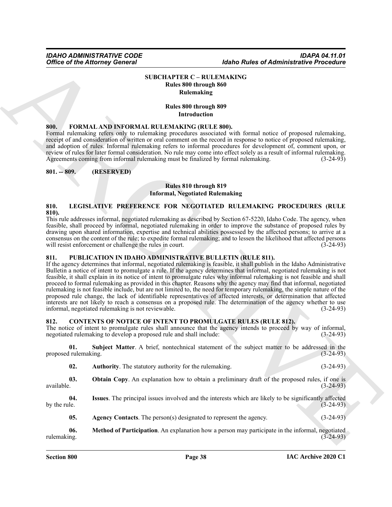### **SUBCHAPTER C – RULEMAKING Rules 800 through 860 Rulemaking**

#### **Rules 800 through 809 Introduction**

### <span id="page-37-13"></span><span id="page-37-1"></span>**800. FORMAL AND INFORMAL RULEMAKING (RULE 800).**

Formal rulemaking refers only to rulemaking procedures associated with formal notice of proposed rulemaking, receipt of and consideration of written or oral comment on the record in response to notice of proposed rulemaking, and adoption of rules. Informal rulemaking refers to informal procedures for development of, comment upon, or review of rules for later formal consideration. No rule may come into effect solely as a result of informal rulemaking.<br>Agreements coming from informal rulemaking must be finalized by formal rulemaking. (3-24-93) Agreements coming from informal rulemaking must be finalized by formal rulemaking.

#### <span id="page-37-2"></span>**801. -- 809. (RESERVED)**

#### **Rules 810 through 819 Informal, Negotiated Rulemaking**

#### <span id="page-37-14"></span><span id="page-37-3"></span>**810. LEGISLATIVE PREFERENCE FOR NEGOTIATED RULEMAKING PROCEDURES (RULE 810).**

This rule addresses informal, negotiated rulemaking as described by Section 67-5220, Idaho Code. The agency, when feasible, shall proceed by informal, negotiated rulemaking in order to improve the substance of proposed rules by drawing upon shared information, expertise and technical abilities possessed by the affected persons; to arrive at a consensus on the content of the rule; to expedite formal rulemaking; and to lessen the likelihood that affected persons will resist enforcement or challenge the rules in court. (3-24-93)

# <span id="page-37-15"></span><span id="page-37-4"></span>**811. PUBLICATION IN IDAHO ADMINISTRATIVE BULLETIN (RULE 811).**

<span id="page-37-0"></span>Office of the Attorney General<br>SUECLAYEDR C -- ALLEMANANC C<br>SUECLAYEDR C -- ALLEMANANC C<br>SUECLAYEDR C -- ALLEMANANC C<br>SUECLAYEDR C -- ALLEMANANC C<br>SUECLAYEDR C -- ALLEMANANC C -- ALLEMANANC C<br>SUECLAYEDR C -- ALLEMANANC C If the agency determines that informal, negotiated rulemaking is feasible, it shall publish in the Idaho Administrative Bulletin a notice of intent to promulgate a rule. If the agency determines that informal, negotiated rulemaking is not feasible, it shall explain in its notice of intent to promulgate rules why informal rulemaking is not feasible and shall proceed to formal rulemaking as provided in this chapter. Reasons why the agency may find that informal, negotiated rulemaking is not feasible include, but are not limited to, the need for temporary rulemaking, the simple nature of the proposed rule change, the lack of identifiable representatives of affected interests, or determination that affected interests are not likely to reach a consensus on a proposed rule. The determination of the agency whether to use informal, negotiated rulemaking is not reviewable. (3-24-93)

<span id="page-37-6"></span><span id="page-37-5"></span>**812. CONTENTS OF NOTICE OF INTENT TO PROMULGATE RULES (RULE 812).** The notice of intent to promulgate rules shall announce that the agency intends to proceed by way of informal, negotiated rulemaking to develop a proposed rule and shall include: (3-24-93)

**01. Subject Matter**. A brief, nontechnical statement of the subject matter to be addressed in the proposed rulemaking.

<span id="page-37-12"></span><span id="page-37-11"></span><span id="page-37-8"></span>

| <b>Authority.</b> The statutory authority for the rulemaking. | $(3-24-93)$ |
|---------------------------------------------------------------|-------------|
|---------------------------------------------------------------|-------------|

**03. Obtain Copy**. An explanation how to obtain a preliminary draft of the proposed rules, if one is available.  $(3-24-93)$ 

**04. Issues**. The principal issues involved and the interests which are likely to be significantly affected by the rule.  $(3-24-93)$ 

<span id="page-37-10"></span><span id="page-37-9"></span><span id="page-37-7"></span>**05.** Agency Contacts. The person(s) designated to represent the agency.  $(3-24-93)$ 

**06. Method of Participation**. An explanation how a person may participate in the informal, negotiated rulemaking. (3-24-93)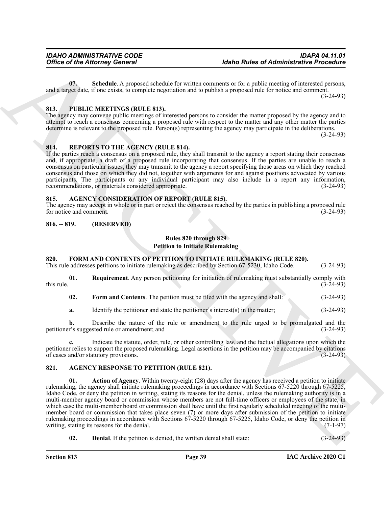<span id="page-38-10"></span>**07. Schedule**. A proposed schedule for written comments or for a public meeting of interested persons, and a target date, if one exists, to complete negotiation and to publish a proposed rule for notice and comment. (3-24-93)

# <span id="page-38-14"></span><span id="page-38-0"></span>**813. PUBLIC MEETINGS (RULE 813).**

The agency may convene public meetings of interested persons to consider the matter proposed by the agency and to attempt to reach a consensus concerning a proposed rule with respect to the matter and any other matter the parties determine is relevant to the proposed rule. Person(s) representing the agency may participate in the deliberations. (3-24-93)

### <span id="page-38-15"></span><span id="page-38-1"></span>**814. REPORTS TO THE AGENCY (RULE 814).**

If the parties reach a consensus on a proposed rule, they shall transmit to the agency a report stating their consensus and, if appropriate, a draft of a proposed rule incorporating that consensus. If the parties are unable to reach a consensus on particular issues, they may transmit to the agency a report specifying those areas on which they reached consensus and those on which they did not, together with arguments for and against positions advocated by various participants. The participants or any individual participant may also include in a report any information, recommendations, or materials considered appropriate. (3-24-93)

# <span id="page-38-6"></span><span id="page-38-2"></span>**815. AGENCY CONSIDERATION OF REPORT (RULE 815).**

The agency may accept in whole or in part or reject the consensus reached by the parties in publishing a proposed rule<br>for notice and comment. (3-24-93) for notice and comment.

### <span id="page-38-3"></span>**816. -- 819. (RESERVED)**

### **Rules 820 through 829 Petition to Initiate Rulemaking**

# <span id="page-38-13"></span><span id="page-38-4"></span>**820. FORM AND CONTENTS OF PETITION TO INITIATE RULEMAKING (RULE 820).**

This rule addresses petitions to initiate rulemaking as described by Section 67-5230, Idaho Code. (3-24-93)

**01.** Requirement. Any person petitioning for initiation of rulemaking must substantially comply with  $(3-24-93)$ this rule.  $(3-24-93)$ 

<span id="page-38-12"></span><span id="page-38-11"></span>**02.** Form and Contents. The petition must be filed with the agency and shall: (3-24-93)

**a.** Identify the petitioner and state the petitioner's interest(s) in the matter; (3-24-93)

**b.** Describe the nature of the rule or amendment to the rule urged to be promulgated and the petitioner's suggested rule or amendment; and (3-24-93)

**c.** Indicate the statute, order, rule, or other controlling law, and the factual allegations upon which the petitioner relies to support the proposed rulemaking. Legal assertions in the petition may be accompanied by citations of cases and/or statutory provisions. of cases and/or statutory provisions.

# <span id="page-38-8"></span><span id="page-38-7"></span><span id="page-38-5"></span>**821. AGENCY RESPONSE TO PETITION (RULE 821).**

Office of the Attorney General (about the basis of Administrative Precedure<br>
Co. Setting the Attorney General (about the result of the attention of the problem control of the problem of the state of the state of the probl **01. Action of Agency**. Within twenty-eight (28) days after the agency has received a petition to initiate rulemaking, the agency shall initiate rulemaking proceedings in accordance with Sections 67-5220 through 67-5225, Idaho Code, or deny the petition in writing, stating its reasons for the denial, unless the rulemaking authority is in a multi-member agency board or commission whose members are not full-time officers or employees of the state, in which case the multi-member board or commission shall have until the first regularly scheduled meeting of the multimember board or commission that takes place seven (7) or more days after submission of the petition to initiate rulemaking proceedings in accordance with Sections 67-5220 through 67-5225, Idaho Code, or deny the petition in writing, stating its reasons for the denial.  $(7-1-97)$ 

<span id="page-38-9"></span>**02. Denial**. If the petition is denied, the written denial shall state:  $(3-24-93)$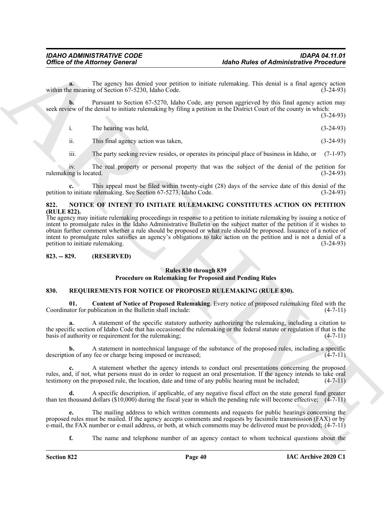**a.** The agency has denied your petition to initiate rulemaking. This denial is a final agency action within the meaning of Section 67-5230, Idaho Code. (3-24-93)

**b.** Pursuant to Section 67-5270, Idaho Code, any person aggrieved by this final agency action may seek review of the denial to initiate rulemaking by filing a petition in the District Court of the county in which:

(3-24-93)

| The hearing was held. | $(3-24-93)$ |
|-----------------------|-------------|
|                       |             |

ii. This final agency action was taken, (3-24-93)

iii. The party seeking review resides, or operates its principal place of business in Idaho, or (7-1-97)

iv. The real property or personal property that was the subject of the denial of the petition for ng is located. (3-24-93) rulemaking is located.

**c.** This appeal must be filed within twenty-eight (28) days of the service date of this denial of the petition to initiate rulemaking. See Section 67-5273, Idaho Code. (3-24-93)

# <span id="page-39-3"></span><span id="page-39-0"></span>**822. NOTICE OF INTENT TO INITIATE RULEMAKING CONSTITUTES ACTION ON PETITION (RULE 822).**

Office of the Attorney General<br>
The sample of Attachement Control of the same of Attachement Control of the same of Attachement Control of the same of Attachement Control of the Same Control of the Same Control of the Sam The agency may initiate rulemaking proceedings in response to a petition to initiate rulemaking by issuing a notice of intent to promulgate rules in the Idaho Administrative Bulletin on the subject matter of the petition if it wishes to obtain further comment whether a rule should be proposed or what rule should be proposed. Issuance of a notice of intent to promulgate rules satisfies an agency's obligations to take action on the petition and is not a denial of a petition to initiate rulemaking. (3-24-93)

# <span id="page-39-1"></span>**823. -- 829. (RESERVED)**

# **Rules 830 through 839**

#### <span id="page-39-5"></span>**Procedure on Rulemaking for Proposed and Pending Rules**

# <span id="page-39-4"></span><span id="page-39-2"></span>**830. REQUIREMENTS FOR NOTICE OF PROPOSED RULEMAKING (RULE 830).**

**01.** Content of Notice of Proposed Rulemaking. Every notice of proposed rulemaking filed with the tor for publication in the Bulletin shall include: (4-7-11) Coordinator for publication in the Bulletin shall include:

**a.** A statement of the specific statutory authority authorizing the rulemaking, including a citation to the specific section of Idaho Code that has occasioned the rulemaking or the federal statute or regulation if that is the basis of authority or requirement for the rulemaking; (4-7-11)

**b.** A statement in nontechnical language of the substance of the proposed rules, including a specific on of any fee or charge being imposed or increased:  $(4-7-11)$ description of any fee or charge being imposed or increased;

**c.** A statement whether the agency intends to conduct oral presentations concerning the proposed rules, and, if not, what persons must do in order to request an oral presentation. If the agency intends to take oral testimony on the proposed rule, the location, date and time of any public hearing must be included; (4-7 testimony on the proposed rule, the location, date and time of any public hearing must be included;

**d.** A specific description, if applicable, of any negative fiscal effect on the state general fund greater than ten thousand dollars  $(\$10,000)$  during the fiscal year in which the pending rule will become effective;  $(4-7-11)$ 

**e.** The mailing address to which written comments and requests for public hearings concerning the proposed rules must be mailed. If the agency accepts comments and requests by facsimile transmission (FAX) or by e-mail, the FAX number or e-mail address, or both, at which comments may be delivered must be provided; (4-7-11)

**f.** The name and telephone number of an agency contact to whom technical questions about the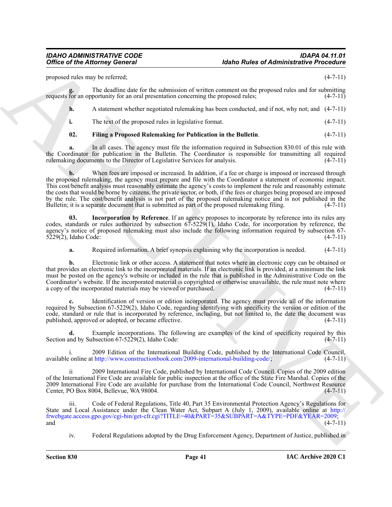proposed rules may be referred; (4-7-11)

**g.** The deadline date for the submission of written comment on the proposed rules and for submitting requests for an opportunity for an oral presentation concerning the proposed rules; (4-7-11)

**h.** A statement whether negotiated rulemaking has been conducted, and if not, why not; and (4-7-11)

**i.** The text of the proposed rules in legislative format. (4-7-11)

<span id="page-40-0"></span>**02. Filing a Proposed Rulemaking for Publication in the Bulletin**. (4-7-11)

**a.** In all cases. The agency must file the information required in Subsection 830.01 of this rule with the Coordinator for publication in the Bulletin. The Coordinator is responsible for transmitting all required rulemaking documents to the Director of Legislative Services for analysis. (4-7-11)

Office of the Attorney General<br>
proposed in the fact of the attack of the state of Attack of the State of Attack of the State of Attack of the State of the State of the State of the State of the State of the State of the **b.** When fees are imposed or increased. In addition, if a fee or charge is imposed or increased through the proposed rulemaking, the agency must prepare and file with the Coordinator a statement of economic impact. This cost/benefit analysis must reasonably estimate the agency's costs to implement the rule and reasonably estimate the costs that would be borne by citizens, the private sector, or both, if the fees or charges being proposed are imposed by the rule. The cost/benefit analysis is not part of the proposed rulemaking notice and is not published in the Bulletin; it is a separate document that is submitted as part of the proposed rulemaking filing. (4-7-11)

**03. Incorporation by Reference**. If an agency proposes to incorporate by reference into its rules any codes, standards or rules authorized by subsection 67-5229(1), Idaho Code, for incorporation by reference, the agency's notice of proposed rulemaking must also include the following information required by subsection 67-<br>5229(2), Idaho Code: (4-7-11) 5229(2), Idaho Code:

<span id="page-40-1"></span>**a.** Required information. A brief synopsis explaining why the incorporation is needed.  $(4-7-11)$ 

**b.** Electronic link or other access. A statement that notes where an electronic copy can be obtained or that provides an electronic link to the incorporated materials. If an electronic link is provided, at a minimum the link must be posted on the agency's website or included in the rule that is published in the Administrative Code on the Coordinator's website. If the incorporated material is copyrighted or otherwise unavailable, the rule must note where a copy of the incorporated materials may be viewed or purchased. (4-7-11)

**c.** Identification of version or edition incorporated. The agency must provide all of the information required by Subsection 67-5229(2), Idaho Code, regarding identifying with specificity the version or edition of the code, standard or rule that is incorporated by reference, including, but not limited to, the date the document was published, approved or adopted, or became effective. (4-7-11)

**d.** Example incorporations. The following are examples of the kind of specificity required by this Section and by Subsection 67-5229(2), Idaho Code: (4-7-11)

i. 2009 Edition of the International Building Code, published by the International Code Council, available online at http://www.constructionbook.com/2009-international-building-code/; (4-7-11)

2009 International Fire Code, published by International Code Council. Copies of the 2009 edition of the International Fire Code are available for public inspection at the office of the State Fire Marshal. Copies of the 2009 International Fire Code are available for purchase from the International Code Council, Northwest Resource Center, PO Box 8004, Bellevue, WA 98004.

Code of Federal Regulations, Title 40, Part 35 Environmental Protection Agency's Regulations for State and Local Assistance under the Clean Water Act, Subpart A (July 1, 2009), available online at http:// frwebgate.access.gpo.gov/cgi-bin/get-cfr.cgi?TITLE=40&PART=35&SUBPART=A&TYPE=PDF&YEAR=2009; and  $(4-7-11)$ 

iv. Federal Regulations adopted by the Drug Enforcement Agency, Department of Justice, published in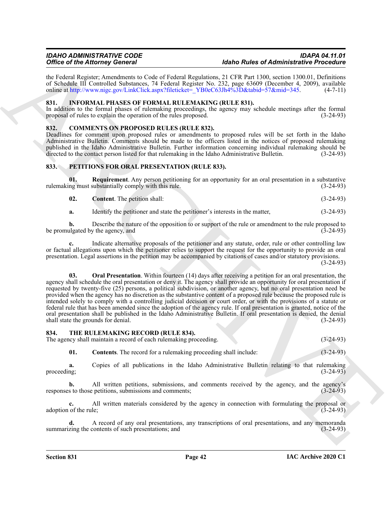the Federal Register; Amendments to Code of Federal Regulations, 21 CFR Part 1300, section 1300.01, Definitions of Schedule III Controlled Substances, 74 Federal Register No. 232, page 63609 (December 4, 2009), available online at http://www.nigc.gov/LinkClick.aspx?fileticket=\_YB0eC63Jh4%3D&tabid=57&mid=345. (4-7-11)

# <span id="page-41-5"></span><span id="page-41-0"></span>**831. INFORMAL PHASES OF FORMAL RULEMAKING (RULE 831).**

In addition to the formal phases of rulemaking proceedings, the agency may schedule meetings after the formal proposal of rules to explain the operation of the rules proposed. (3-24-93) proposal of rules to explain the operation of the rules proposed.

### <span id="page-41-4"></span><span id="page-41-1"></span>**832. COMMENTS ON PROPOSED RULES (RULE 832).**

Deadlines for comment upon proposed rules or amendments to proposed rules will be set forth in the Idaho Administrative Bulletin. Comments should be made to the officers listed in the notices of proposed rulemaking published in the Idaho Administrative Bulletin. Further information concerning individual rulemaking should be<br>directed to the contact person listed for that rulemaking in the Idaho Administrative Bulletin. (3-24-93) directed to the contact person listed for that rulemaking in the Idaho Administrative Bulletin.

# <span id="page-41-6"></span><span id="page-41-2"></span>**833. PETITIONS FOR ORAL PRESENTATION (RULE 833).**

**01. Requirement**. Any person petitioning for an opportunity for an oral presentation in a substantive rulemaking must substantially comply with this rule. (3-24-93)

- <span id="page-41-9"></span><span id="page-41-7"></span>**02. Content**. The petition shall: (3-24-93)
- **a.** Identify the petitioner and state the petitioner's interests in the matter,  $(3-24-93)$

**b.** Describe the nature of the opposition to or support of the rule or amendment to the rule proposed to be promulgated by the agency, and  $(\overline{3}-24-93)$ 

<span id="page-41-8"></span>**c.** Indicate alternative proposals of the petitioner and any statute, order, rule or other controlling law or factual allegations upon which the petitioner relies to support the request for the opportunity to provide an oral presentation. Legal assertions in the petition may be accompanied by citations of cases and/or statutory provisions.

 $(3-24-93)$ 

Office of the [A](http://www.nigc.gov/LinkClick.aspx?fileticket=_YB0eC63Jh4%3D&tabid=57&mid=345)fricane Georgia Chemical Mathematics (Advertised Mathematics President Mathematics President Mathematics Chemical Mathematics (Advertised Mathematics President Mathematics President Mathematics (Advertised **03. Oral Presentation**. Within fourteen (14) days after receiving a petition for an oral presentation, the agency shall schedule the oral presentation or deny it. The agency shall provide an opportunity for oral presentation if requested by twenty-five (25) persons, a political subdivision, or another agency, but no oral presentation need be provided when the agency has no discretion as the substantive content of a proposed rule because the proposed rule is intended solely to comply with a controlling judicial decision or court order, or with the provisions of a statute or federal rule that has been amended since the adoption of the agency rule. If oral presentation is granted, notice of the oral presentation shall be published in the Idaho Administrative Bulletin. If oral presentation is denied, the denial shall state the grounds for denial. (3-24-93)

#### <span id="page-41-10"></span><span id="page-41-3"></span>**834. THE RULEMAKING RECORD (RULE 834).**

The agency shall maintain a record of each rulemaking proceeding. (3-24-93)

<span id="page-41-11"></span>**01. Contents**. The record for a rulemaking proceeding shall include:  $(3-24-93)$ 

**a.** Copies of all publications in the Idaho Administrative Bulletin relating to that rulemaking (3-24-93) proceeding;  $(3-24-93)$ 

**b.** All written petitions, submissions, and comments received by the agency, and the agency's s to those petitions, submissions and comments; (3-24-93) responses to those petitions, submissions and comments;

**c.** All written materials considered by the agency in connection with formulating the proposal or of the rule; (3-24-93) adoption of the rule;

**d.** A record of any oral presentations, any transcriptions of oral presentations, and any memoranda zing the contents of such presentations; and (3-24-93) summarizing the contents of such presentations; and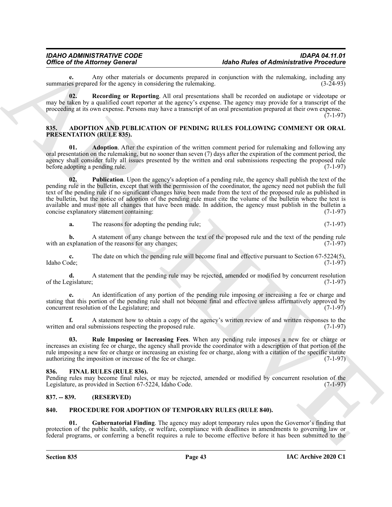**e.** Any other materials or documents prepared in conjunction with the rulemaking, including any es prepared for the agency in considering the rulemaking. summaries prepared for the agency in considering the rulemaking.

<span id="page-42-11"></span>**02. Recording or Reporting**. All oral presentations shall be recorded on audiotape or videotape or may be taken by a qualified court reporter at the agency's expense. The agency may provide for a transcript of the proceeding at its own expense. Persons may have a transcript of an oral presentation prepared at their own expense.  $(7-1-97)$ 

#### <span id="page-42-7"></span><span id="page-42-0"></span>**835. ADOPTION AND PUBLICATION OF PENDING RULES FOLLOWING COMMENT OR ORAL PRESENTATION (RULE 835).**

<span id="page-42-5"></span><span id="page-42-4"></span>**01. Adoption**. After the expiration of the written comment period for rulemaking and following any oral presentation on the rulemaking, but no sooner than seven (7) days after the expiration of the comment period, the agency shall consider fully all issues presented by the written and oral submissions respecting the proposed rule before adopting a pending rule. (7-1-97)

Office of the Altomay General is the system and the system of Altomatical interests in the matter of the system and the system of the system of the system of the system of the system of the system of the system of the sys **02. Publication**. Upon the agency's adoption of a pending rule, the agency shall publish the text of the pending rule in the bulletin, except that with the permission of the coordinator, the agency need not publish the full text of the pending rule if no significant changes have been made from the text of the proposed rule as published in the bulletin, but the notice of adoption of the pending rule must cite the volume of the bulletin where the text is available and must note all changes that have been made. In addition, the agency must publish in the bulletin a concise explanatory statement containing: (7-1-97) concise explanatory statement containing:

**a.** The reasons for adopting the pending rule; (7-1-97)

**b.** A statement of any change between the text of the proposed rule and the text of the pending rule with an explanation of the reasons for any changes; (7-1-97)

**c.** The date on which the pending rule will become final and effective pursuant to Section 67-5224(5), Idaho Code; (7-1-97)

**d.** A statement that the pending rule may be rejected, amended or modified by concurrent resolution of the Legislature; (7-1-97)

**e.** An identification of any portion of the pending rule imposing or increasing a fee or charge and stating that this portion of the pending rule shall not become final and effective unless affirmatively approved by<br>concurrent resolution of the Legislature: and (7-1-97) concurrent resolution of the Legislature; and

A statement how to obtain a copy of the agency's written review of and written responses to the ubmissions respecting the proposed rule. (7-1-97) written and oral submissions respecting the proposed rule.

<span id="page-42-6"></span>**03. Rule Imposing or Increasing Fees**. When any pending rule imposes a new fee or charge or increases an existing fee or charge, the agency shall provide the coordinator with a description of that portion of the rule imposing a new fee or charge or increasing an existing fee or charge, along with a citation of the specific statute authorizing the imposition or increase of the fee or charge. (7-1-97)

# <span id="page-42-8"></span><span id="page-42-1"></span>**836. FINAL RULES (RULE 836).**

Pending rules may become final rules, or may be rejected, amended or modified by concurrent resolution of the Legislature, as provided in Section 67-5224, Idaho Code. (7-1-97)

# <span id="page-42-2"></span>**837. -- 839. (RESERVED)**

#### <span id="page-42-9"></span><span id="page-42-3"></span>**840. PROCEDURE FOR ADOPTION OF TEMPORARY RULES (RULE 840).**

<span id="page-42-10"></span>**01. Gubernatorial Finding**. The agency may adopt temporary rules upon the Governor's finding that protection of the public health, safety, or welfare, compliance with deadlines in amendments to governing law or federal programs, or conferring a benefit requires a rule to become effective before it has been submitted to the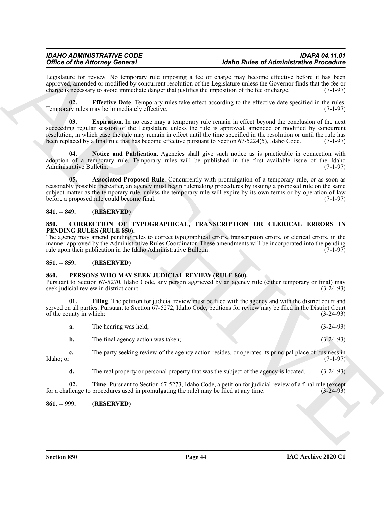# <span id="page-43-12"></span><span id="page-43-11"></span><span id="page-43-9"></span><span id="page-43-0"></span>**841. -- 849. (RESERVED)**

#### <span id="page-43-5"></span><span id="page-43-1"></span>**850. CORRECTION OF TYPOGRAPHICAL, TRANSCRIPTION OR CLERICAL ERRORS IN PENDING RULES (RULE 850).**

# <span id="page-43-2"></span>**851. -- 859. (RESERVED)**

# <span id="page-43-7"></span><span id="page-43-6"></span><span id="page-43-3"></span>**860. PERSONS WHO MAY SEEK JUDICIAL REVIEW (RULE 860).**

<span id="page-43-10"></span>

| Legislature for review. No temporary rule imposing a fee or charge may become effective before it has been<br>approved, amended or modified by concurrent resolution of the Legislature unless the Governor finds that the fee or<br>charge is necessary to avoid immediate danger that justifies the imposition of the fee or charge.<br><b>Effective Date</b> . Temporary rules take effect according to the effective date specified in the rules.<br>02.<br>Temporary rules may be immediately effective.<br>Expiration. In no case may a temporary rule remain in effect beyond the conclusion of the next<br>03.<br>succeeding regular session of the Legislature unless the rule is approved, amended or modified by concurrent<br>resolution, in which case the rule may remain in effect until the time specified in the resolution or until the rule has<br>been replaced by a final rule that has become effective pursuant to Section 67-5224(5), Idaho Code.<br>04.<br>Notice and Publication. Agencies shall give such notice as is practicable in connection with<br>adoption of a temporary rule. Temporary rules will be published in the first available issue of the Idaho<br>Administrative Bulletin.<br>05.<br>Associated Proposed Rule. Concurrently with promulgation of a temporary rule, or as soon as<br>reasonably possible thereafter, an agency must begin rulemaking procedures by issuing a proposed rule on the same<br>subject matter as the temporary rule, unless the temporary rule will expire by its own terms or by operation of law<br>before a proposed rule could become final.<br>(RESERVED)<br>$841. - 849.$<br>CORRECTION OF TYPOGRAPHICAL, TRANSCRIPTION OR CLERICAL ERRORS IN<br>850.<br>PENDING RULES (RULE 850).<br>The agency may amend pending rules to correct typographical errors, transcription errors, or clerical errors, in the<br>manner approved by the Administrative Rules Coordinator. These amendments will be incorporated into the pending<br>rule upon their publication in the Idaho Administrative Bulletin.<br>$851. - 859.$<br>(RESERVED)<br>PERSONS WHO MAY SEEK JUDICIAL REVIEW (RULE 860).<br>860.<br>Pursuant to Section 67-5270, Idaho Code, any person aggrieved by an agency rule (either temporary or final) may<br>seek judicial review in district court.<br>Filing. The petition for judicial review must be filed with the agency and with the district court and<br>01.<br>served on all parties. Pursuant to Section 67-5272, Idaho Code, petitions for review may be filed in the District Court<br>of the county in which:<br>The hearing was held;<br>a.<br>The final agency action was taken;<br>b.<br>The party seeking review of the agency action resides, or operates its principal place of business in<br>c.<br>Idaho; or<br>d.<br>The real property or personal property that was the subject of the agency is located.<br>02.<br>Time. Pursuant to Section 67-5273, Idaho Code, a petition for judicial review of a final rule (except<br>for a challenge to procedures used in promulgating the rule) may be filed at any time.<br>(RESERVED)<br>$861. - 999.$ | <b>Office of the Attorney General</b> | <b>Idaho Rules of Administrative Procedure</b> |
|------------------------------------------------------------------------------------------------------------------------------------------------------------------------------------------------------------------------------------------------------------------------------------------------------------------------------------------------------------------------------------------------------------------------------------------------------------------------------------------------------------------------------------------------------------------------------------------------------------------------------------------------------------------------------------------------------------------------------------------------------------------------------------------------------------------------------------------------------------------------------------------------------------------------------------------------------------------------------------------------------------------------------------------------------------------------------------------------------------------------------------------------------------------------------------------------------------------------------------------------------------------------------------------------------------------------------------------------------------------------------------------------------------------------------------------------------------------------------------------------------------------------------------------------------------------------------------------------------------------------------------------------------------------------------------------------------------------------------------------------------------------------------------------------------------------------------------------------------------------------------------------------------------------------------------------------------------------------------------------------------------------------------------------------------------------------------------------------------------------------------------------------------------------------------------------------------------------------------------------------------------------------------------------------------------------------------------------------------------------------------------------------------------------------------------------------------------------------------------------------------------------------------------------------------------------------------------------------------------------------------------------------------------------------------------------------------------------------------------------------------------------------------------------------------------------------------------------------------------------------------------------------------------------------------------------------------------------------------------------------------------------------------------------------------------------------------------------------------------------------------------------------------------------|---------------------------------------|------------------------------------------------|
|                                                                                                                                                                                                                                                                                                                                                                                                                                                                                                                                                                                                                                                                                                                                                                                                                                                                                                                                                                                                                                                                                                                                                                                                                                                                                                                                                                                                                                                                                                                                                                                                                                                                                                                                                                                                                                                                                                                                                                                                                                                                                                                                                                                                                                                                                                                                                                                                                                                                                                                                                                                                                                                                                                                                                                                                                                                                                                                                                                                                                                                                                                                                                                  |                                       | $(7-1-97)$                                     |
|                                                                                                                                                                                                                                                                                                                                                                                                                                                                                                                                                                                                                                                                                                                                                                                                                                                                                                                                                                                                                                                                                                                                                                                                                                                                                                                                                                                                                                                                                                                                                                                                                                                                                                                                                                                                                                                                                                                                                                                                                                                                                                                                                                                                                                                                                                                                                                                                                                                                                                                                                                                                                                                                                                                                                                                                                                                                                                                                                                                                                                                                                                                                                                  |                                       | $(7-1-97)$                                     |
|                                                                                                                                                                                                                                                                                                                                                                                                                                                                                                                                                                                                                                                                                                                                                                                                                                                                                                                                                                                                                                                                                                                                                                                                                                                                                                                                                                                                                                                                                                                                                                                                                                                                                                                                                                                                                                                                                                                                                                                                                                                                                                                                                                                                                                                                                                                                                                                                                                                                                                                                                                                                                                                                                                                                                                                                                                                                                                                                                                                                                                                                                                                                                                  |                                       | $(7-1-97)$                                     |
|                                                                                                                                                                                                                                                                                                                                                                                                                                                                                                                                                                                                                                                                                                                                                                                                                                                                                                                                                                                                                                                                                                                                                                                                                                                                                                                                                                                                                                                                                                                                                                                                                                                                                                                                                                                                                                                                                                                                                                                                                                                                                                                                                                                                                                                                                                                                                                                                                                                                                                                                                                                                                                                                                                                                                                                                                                                                                                                                                                                                                                                                                                                                                                  |                                       | $(7-1-97)$                                     |
|                                                                                                                                                                                                                                                                                                                                                                                                                                                                                                                                                                                                                                                                                                                                                                                                                                                                                                                                                                                                                                                                                                                                                                                                                                                                                                                                                                                                                                                                                                                                                                                                                                                                                                                                                                                                                                                                                                                                                                                                                                                                                                                                                                                                                                                                                                                                                                                                                                                                                                                                                                                                                                                                                                                                                                                                                                                                                                                                                                                                                                                                                                                                                                  |                                       | $(7-1-97)$                                     |
|                                                                                                                                                                                                                                                                                                                                                                                                                                                                                                                                                                                                                                                                                                                                                                                                                                                                                                                                                                                                                                                                                                                                                                                                                                                                                                                                                                                                                                                                                                                                                                                                                                                                                                                                                                                                                                                                                                                                                                                                                                                                                                                                                                                                                                                                                                                                                                                                                                                                                                                                                                                                                                                                                                                                                                                                                                                                                                                                                                                                                                                                                                                                                                  |                                       |                                                |
|                                                                                                                                                                                                                                                                                                                                                                                                                                                                                                                                                                                                                                                                                                                                                                                                                                                                                                                                                                                                                                                                                                                                                                                                                                                                                                                                                                                                                                                                                                                                                                                                                                                                                                                                                                                                                                                                                                                                                                                                                                                                                                                                                                                                                                                                                                                                                                                                                                                                                                                                                                                                                                                                                                                                                                                                                                                                                                                                                                                                                                                                                                                                                                  |                                       | $(7-1-97)$                                     |
|                                                                                                                                                                                                                                                                                                                                                                                                                                                                                                                                                                                                                                                                                                                                                                                                                                                                                                                                                                                                                                                                                                                                                                                                                                                                                                                                                                                                                                                                                                                                                                                                                                                                                                                                                                                                                                                                                                                                                                                                                                                                                                                                                                                                                                                                                                                                                                                                                                                                                                                                                                                                                                                                                                                                                                                                                                                                                                                                                                                                                                                                                                                                                                  |                                       |                                                |
|                                                                                                                                                                                                                                                                                                                                                                                                                                                                                                                                                                                                                                                                                                                                                                                                                                                                                                                                                                                                                                                                                                                                                                                                                                                                                                                                                                                                                                                                                                                                                                                                                                                                                                                                                                                                                                                                                                                                                                                                                                                                                                                                                                                                                                                                                                                                                                                                                                                                                                                                                                                                                                                                                                                                                                                                                                                                                                                                                                                                                                                                                                                                                                  |                                       | $(3-24-93)$                                    |
|                                                                                                                                                                                                                                                                                                                                                                                                                                                                                                                                                                                                                                                                                                                                                                                                                                                                                                                                                                                                                                                                                                                                                                                                                                                                                                                                                                                                                                                                                                                                                                                                                                                                                                                                                                                                                                                                                                                                                                                                                                                                                                                                                                                                                                                                                                                                                                                                                                                                                                                                                                                                                                                                                                                                                                                                                                                                                                                                                                                                                                                                                                                                                                  |                                       | $(3-24-93)$                                    |
|                                                                                                                                                                                                                                                                                                                                                                                                                                                                                                                                                                                                                                                                                                                                                                                                                                                                                                                                                                                                                                                                                                                                                                                                                                                                                                                                                                                                                                                                                                                                                                                                                                                                                                                                                                                                                                                                                                                                                                                                                                                                                                                                                                                                                                                                                                                                                                                                                                                                                                                                                                                                                                                                                                                                                                                                                                                                                                                                                                                                                                                                                                                                                                  |                                       | $(3-24-93)$                                    |
|                                                                                                                                                                                                                                                                                                                                                                                                                                                                                                                                                                                                                                                                                                                                                                                                                                                                                                                                                                                                                                                                                                                                                                                                                                                                                                                                                                                                                                                                                                                                                                                                                                                                                                                                                                                                                                                                                                                                                                                                                                                                                                                                                                                                                                                                                                                                                                                                                                                                                                                                                                                                                                                                                                                                                                                                                                                                                                                                                                                                                                                                                                                                                                  |                                       | $(3-24-93)$                                    |
|                                                                                                                                                                                                                                                                                                                                                                                                                                                                                                                                                                                                                                                                                                                                                                                                                                                                                                                                                                                                                                                                                                                                                                                                                                                                                                                                                                                                                                                                                                                                                                                                                                                                                                                                                                                                                                                                                                                                                                                                                                                                                                                                                                                                                                                                                                                                                                                                                                                                                                                                                                                                                                                                                                                                                                                                                                                                                                                                                                                                                                                                                                                                                                  |                                       | $(7-1-97)$                                     |
|                                                                                                                                                                                                                                                                                                                                                                                                                                                                                                                                                                                                                                                                                                                                                                                                                                                                                                                                                                                                                                                                                                                                                                                                                                                                                                                                                                                                                                                                                                                                                                                                                                                                                                                                                                                                                                                                                                                                                                                                                                                                                                                                                                                                                                                                                                                                                                                                                                                                                                                                                                                                                                                                                                                                                                                                                                                                                                                                                                                                                                                                                                                                                                  |                                       | $(3-24-93)$                                    |
|                                                                                                                                                                                                                                                                                                                                                                                                                                                                                                                                                                                                                                                                                                                                                                                                                                                                                                                                                                                                                                                                                                                                                                                                                                                                                                                                                                                                                                                                                                                                                                                                                                                                                                                                                                                                                                                                                                                                                                                                                                                                                                                                                                                                                                                                                                                                                                                                                                                                                                                                                                                                                                                                                                                                                                                                                                                                                                                                                                                                                                                                                                                                                                  |                                       | $(3-24-93)$                                    |
|                                                                                                                                                                                                                                                                                                                                                                                                                                                                                                                                                                                                                                                                                                                                                                                                                                                                                                                                                                                                                                                                                                                                                                                                                                                                                                                                                                                                                                                                                                                                                                                                                                                                                                                                                                                                                                                                                                                                                                                                                                                                                                                                                                                                                                                                                                                                                                                                                                                                                                                                                                                                                                                                                                                                                                                                                                                                                                                                                                                                                                                                                                                                                                  |                                       |                                                |
|                                                                                                                                                                                                                                                                                                                                                                                                                                                                                                                                                                                                                                                                                                                                                                                                                                                                                                                                                                                                                                                                                                                                                                                                                                                                                                                                                                                                                                                                                                                                                                                                                                                                                                                                                                                                                                                                                                                                                                                                                                                                                                                                                                                                                                                                                                                                                                                                                                                                                                                                                                                                                                                                                                                                                                                                                                                                                                                                                                                                                                                                                                                                                                  |                                       |                                                |
|                                                                                                                                                                                                                                                                                                                                                                                                                                                                                                                                                                                                                                                                                                                                                                                                                                                                                                                                                                                                                                                                                                                                                                                                                                                                                                                                                                                                                                                                                                                                                                                                                                                                                                                                                                                                                                                                                                                                                                                                                                                                                                                                                                                                                                                                                                                                                                                                                                                                                                                                                                                                                                                                                                                                                                                                                                                                                                                                                                                                                                                                                                                                                                  |                                       |                                                |

# <span id="page-43-8"></span><span id="page-43-4"></span>**861. -- 999. (RESERVED)**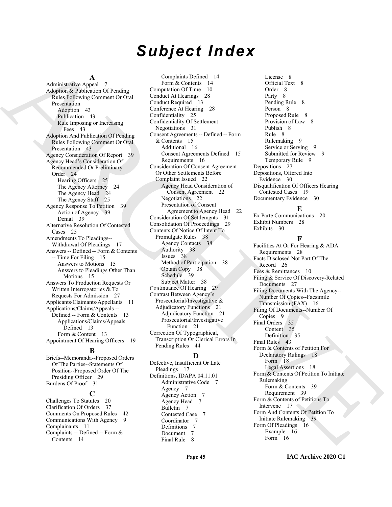# *Subject Index*

**A** Administrative Appeal 7 Adoption & Publication Of Pending Rules Following Comment Or Oral Presentation Adoption 43 Publication 43 Rule Imposing or Increasing Fees 43 Adoption And Publication Of Pending Rules Following Comment Or Oral Presentation 43 Agency Consideration Of Report 39 Agency Head's Consideration Of Recommended Or Preliminary Order 24 Hearing Officers 25 The Agency Attorney 24 The Agency Head 24 The Agency Staff 25 Agency Response To Petition 39 Action of Agency 39 Denial 39 Alternative Resolution Of Contested Cases 25 Amendments To Pleadings-- Withdrawal Of Pleadings 17 Answers -- Defined -- Form & Contents -- Time For Filing 15 Answers to Motions 15 Answers to Pleadings Other Than Motions 15 Answers To Production Requests Or Written Interrogatories & To Requests For Admission 27 Applicants/Claimants/Appellants 11 Applications/Claims/Appeals -- Defined -- Form & Contents 13 Applications/Claims/Appeals Defined 13 Form & Content 13 Appointment Of Hearing Officers 19

#### **B**

Briefs--Memoranda--Proposed Orders Of The Parties--Statements Of Position--Proposed Order Of The Presiding Officer 29 Burdens Of Proof 31

#### **C**

Challenges To Statutes 20 Clarification Of Orders 37 Comments On Proposed Rules 42 Communications With Agency 9 Complainants 11 Complaints -- Defined -- Form & Contents 14

Antarctic Anti- Considered Proposition (Anti- Considered Proposition 2)<br>
Magnetic Application Considered Proposition 2)<br>
Magnetic Anti- Considered Proposition 2)<br> [AR](#page-42-7)[C](#page-21-2)[H](#page-20-3)[I](#page-15-5)[V](#page-8-13)[E](#page-16-9)S Considered Proposition 2)<br>
Considered Proposition Complaints Defined 14 Form & Contents 14 Computation Of Time 10 Conduct At Hearings 28 Conduct Required 13 Conference At Hearing 28 Confidentiality 25 Confidentiality Of Settlement Negotiations 31 Consent Agreements -- Defined -- Form & Contents 15 Additional 16 Consent Agreements Defined 15 Requirements 16 Consideration Of Consent Agreement Or Other Settlements Before Complaint Issued 22 Agency Head Consideration of Consent Agreement 22 Negotiations 22 Presentation of Consent Agreement to Agency Head 22 Consideration Of Settlements 31 Consolidation Of Proceedings 29 Contents Of Notice Of Intent To Promulgate Rules 38 Agency Contacts 38 Authority 38 Issues 38 Method of Participation 38 Obtain Copy 38 Schedule 39 Subject Matter 38 Continuance Of Hearing 29 Contrast Between Agency's Prosecutorial/Investigative & Adjudicatory Functions 21 Adjudicatory Function 21 Prosecutorial/Investigative Function 21 Correction Of Typographical, Transcription Or Clerical Errors In Pending Rules 44

#### **D**

Defective, Insufficient Or Late Pleadings 17 Definitions, IDAPA 04.11.01 Administrative Code 7 Agency 7 Agency Action 7 Agency Head 7 Bulletin 7 Contested Case 7 Coordinator 7 Definitions 7 Document 7 Final Rule 8

License 8 Official Text 8 Order 8 Party 8 Pending Rule 8 Person 8 Proposed Rule 8 Provision of Law 8 Publish 8 Rule 8 Rulemaking 9 Service or Serving 9 Submitted for Review 9 Temporary Rule 9 Depositions 27 Depositions, Offered Into Evidence 30 Disqualification Of Officers Hearing Contested Cases 19 Documentary Evidence 30

# **E**

Ex Parte Communications 20 Exhibit Numbers 28 Exhibits 30

### **F**

Facilities At Or For Hearing & ADA Requirements 28 Facts Disclosed Not Part Of The Record 26 Fees & Remittances 10 Filing & Service Of Discovery-Related Documents 27 Filing Documents With The Agency-- Number Of Copies--Facsimile Transmission (FAX) 16 Filing Of Documents--Number Of Copies 9 Final Orders 35 Content 35 Definition 35 Final Rules 43 Form & Contents of Petition For Declaratory Rulings 18 Form 18 Legal Assertions 18 Form & Contents Of Petition To Initiate Rulemaking Form & Contents 39 Requirement 39 Form & Contents of Petitions To Intervene 17 Form And Contents Of Petition To Initiate Rulemaking 39 Form Of Pleadings 16 Example 16 Form 16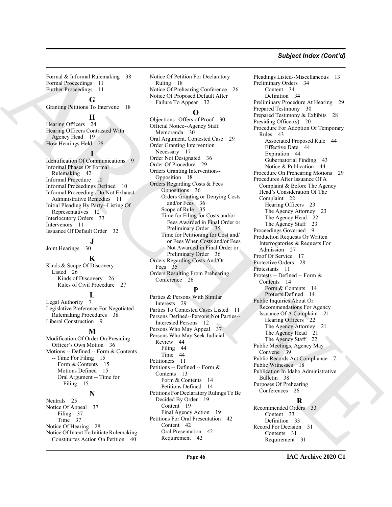# *Subject Index (Cont'd)*

Formal & Informal Rulemaking 38 Formal Proceedings 11 Further Proceedings 11

# **G**

Granting Petitions To Intervene 18

### **H**

Hearing Officers 24 Hearing Officers Contrasted With Agency Head 19 How Hearings Held 28

#### **I**

Identification Of Communications Informal Phases Of Formal Rulemaking 42 Informal Procedure 10 Informal Proceedings Defined 10 Informal Proceedings Do Not Exhaust Administrative Remedies 11 Initial Pleading By Party--Listing Of Representatives 12 Interlocutory Orders 33 Intervenors 11 Issuance Of Default Order 32

 $\frac{30}{ }$ Joint Hearings

**K** Kinds & Scope Of Discovery Listed 26 Kinds of Discovery 26 Rules of Civil Procedure 27

#### **L**

Legal Authority 7 Legislative Preference For Negotiated Rulemaking Procedures 38 Liberal Construction 9

#### **M**

Modification Of Order On Presiding Officer's Own Motion 36 Motions -- Defined -- Form & Contents -- Time For Filing 15 Form & Contents 15 Motions Defined 15 Oral Argument -- Time for Filing 15 **N**

Neutrals 25

Notice Of Appeal 37 Filing 37 Time 37 Notice Of Hearing 28 Notice Of Intent To Initiate Rulemaking Constiturtes Action On Petition 40

Notice Of Petition For Declaratory Ruling 18 Notice Of Prehearing Conference 26 Notice Of Proposed Default After Failure To Appear 32

# **O**

Objections--Offers of Proof 30 Official Notice--Agency Staff Memoranda 30 Oral Argument, Contested Case 29 Order Granting Intervention Necessary 17 Order Not Designated 36 Order Of Procedure 29 Orders Granting Intervention-- Opposition 18 Orders Regarding Costs & Fees Oppositions 36 Orders Granting or Denying Costs and/or Fees 36 Scope of Rule 35 Time for Filing for Costs and/or Fees Awarded in Final Order or Preliminary Order 35 Time for Petitioning for Cost and/ or Fees When Costs and/or Fees Not Awarded in Final Order or Preliminary Order 36 Orders Regarding Costs And/Or Fees 35 Orders Resulting From Prehearing Conference 26

# **P**

Parties & Persons With Similar Interests 29 Parties To Contested Cases Listed 11 Persons Defined--Persons Not Parties-- Interested Persons 12 Persons Who May Appeal 37 Persons Who May Seek Judicial Review 44 Filing 44 Time 44 Petitioners 11 Petitions -- Defined -- Form & Contents 13 Form & Contents 14 Petitions Defined 14 Petitions For Declaratory Rulings To Be Decided By Order 19 Content 19 Final Agency Action 19 Petitions For Oral Presentation 42 Content 42 Oral Presentation 42 Requirement 42

[AR](#page-18-7)[CH](#page-35-8)[IV](#page-20-6)[E](#page-37-15) Pleadings Listed--Miscellaneous 13 Preliminary Orders 34 Content 34 Definition 34 Preliminary Procedure At Hearing 29 Prepared Testimony 30 Prepared Testimony & Exhibits 28 Presiding Officer(s) 20 Procedure For Adoption Of Temporary Rules 43 Associated Proposed Rule 44 Effective Date 44 Expiration 44 Gubernatorial Finding 43 Notice & Publication 44 Procedure On Prehearing Motions 29 Procedures After Issuance Of A Complaint & Before The Agency Head's Consideration Of The Complaint 22 Hearing Officers 23 The Agency Attorney 23 The Agency Head 22 The Agency Staff 23 Proceedings Governed 9 Production Requests Or Written Interrogatories & Requests For Admission 27 Proof Of Service 17 Protective Orders 28 Protestants 11 Protests -- Defined -- Form & Contents 14 Form & Contents 14 Protests Defined 14 Public Inquiries About Or Recommendations For Agency Issuance Of A Complaint 21 Hearing Officers 22 The Agency Attorney 21 The Agency Head 21 The Agency Staff 22 Public Meetings, Agency May Convene 39 Public Records Act Compliance 7 Public Witnesses 18 Publication In Idaho Administrative Bulletin 38 Purposes Of Prehearing Conferences 26

**R**

Recommended Orders 33 Content 33 Definition 33 Record For Decision 31 Contents 31 Requirement 31